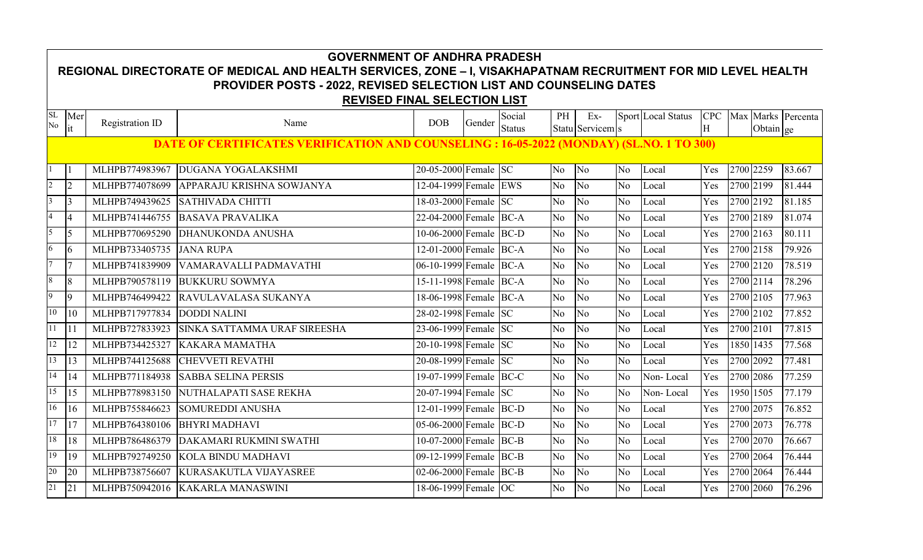|                 | <b>GOVERNMENT OF ANDHRA PRADESH</b><br>REGIONAL DIRECTORATE OF MEDICAL AND HEALTH SERVICES, ZONE - I, VISAKHAPATNAM RECRUITMENT FOR MID LEVEL HEALTH |                        |                                                                                                 |                                      |        |                         |                |                         |                |                           |                 |  |           |                    |
|-----------------|------------------------------------------------------------------------------------------------------------------------------------------------------|------------------------|-------------------------------------------------------------------------------------------------|--------------------------------------|--------|-------------------------|----------------|-------------------------|----------------|---------------------------|-----------------|--|-----------|--------------------|
|                 |                                                                                                                                                      |                        |                                                                                                 |                                      |        |                         |                |                         |                |                           |                 |  |           |                    |
|                 |                                                                                                                                                      |                        | <b>PROVIDER POSTS - 2022, REVISED SELECTION LIST AND COUNSELING DATES</b>                       |                                      |        |                         |                |                         |                |                           |                 |  |           |                    |
|                 |                                                                                                                                                      |                        | <b>REVISED FINAL SELECTION LIST</b>                                                             |                                      |        |                         |                |                         |                |                           |                 |  |           |                    |
| SL<br>$\rm No$  | Mer<br>it                                                                                                                                            | <b>Registration ID</b> | Name                                                                                            | <b>DOB</b>                           | Gender | Social<br><b>Status</b> | PH             | Ex-<br>Statu Servicem s |                | <b>Sport Local Status</b> | <b>CPC</b><br>H |  | Obtain ge | Max Marks Percenta |
|                 |                                                                                                                                                      |                        | <b>DATE OF CERTIFICATES VERIFICATION AND COUNSELING : 16-05-2022 (MONDAY) (SL.NO. 1 TO 300)</b> |                                      |        |                         |                |                         |                |                           |                 |  |           |                    |
|                 |                                                                                                                                                      |                        |                                                                                                 |                                      |        |                         |                |                         |                |                           |                 |  |           |                    |
|                 |                                                                                                                                                      | MLHPB774983967         | <b>DUGANA YOGALAKSHMI</b>                                                                       | 20-05-2000 Female SC                 |        |                         | No             | No                      | No             | Local                     | Yes             |  | 2700 2259 | 83.667             |
| $\overline{2}$  | $\vert$ 2                                                                                                                                            | MLHPB774078699         | APPARAJU KRISHNA SOWJANYA                                                                       | 12-04-1999 Female EWS                |        |                         | N <sub>o</sub> | N <sub>o</sub>          | N <sub>o</sub> | Local                     | Yes             |  | 2700 2199 | 81.444             |
| $\overline{3}$  | 13                                                                                                                                                   | MLHPB749439625         | <b>SATHIVADA CHITTI</b>                                                                         | 18-03-2000 Female SC                 |        |                         | N <sub>o</sub> | N <sub>o</sub>          | N <sub>o</sub> | Local                     | Yes             |  | 2700 2192 | 81.185             |
| $\overline{4}$  | l4                                                                                                                                                   | MLHPB741446755         | <b>BASAVA PRAVALIKA</b>                                                                         | 22-04-2000 Female BC-A               |        |                         | N <sub>o</sub> | N <sub>o</sub>          | N <sub>o</sub> | Local                     | Yes             |  | 2700 2189 | 81.074             |
| 5               | $\overline{5}$                                                                                                                                       | MLHPB770695290         | <b>DHANUKONDA ANUSHA</b>                                                                        | 10-06-2000 Female BC-D               |        |                         | N <sub>o</sub> | N <sub>o</sub>          | N <sub>o</sub> | Local                     | Yes             |  | 2700 2163 | 80.111             |
| 6               | $\overline{6}$                                                                                                                                       | MLHPB733405735         | <b>JANA RUPA</b>                                                                                | 12-01-2000 Female BC-A               |        |                         | No.            | N <sub>o</sub>          | N <sub>o</sub> | Local                     | Yes             |  | 2700 2158 | 79.926             |
| $\overline{7}$  | 17                                                                                                                                                   | MLHPB741839909         | VAMARAVALLI PADMAVATHI                                                                          | 06-10-1999 Female BC-A               |        |                         | N <sub>o</sub> | N <sub>o</sub>          | N <sub>o</sub> | Local                     | Yes             |  | 2700 2120 | 78.519             |
| 8               | $\sqrt{8}$                                                                                                                                           | MLHPB790578119         | <b>BUKKURU SOWMYA</b>                                                                           | 15-11-1998 Female BC-A               |        |                         | N <sub>o</sub> | N <sub>o</sub>          | N <sub>o</sub> | Local                     | Yes             |  | 2700 2114 | 78.296             |
| 9               | $\overline{9}$                                                                                                                                       | MLHPB746499422         | RAVULAVALASA SUKANYA                                                                            | 18-06-1998 Female BC-A               |        |                         | No.            | N <sub>o</sub>          | N <sub>o</sub> | Local                     | Yes             |  | 2700 2105 | 77.963             |
| 10              | 10                                                                                                                                                   | MLHPB717977834         | <b>DODDI NALINI</b>                                                                             | 28-02-1998 Female SC                 |        |                         | N <sub>o</sub> | N <sub>o</sub>          | N <sub>o</sub> | Local                     | Yes             |  | 2700 2102 | 77.852             |
| $\overline{11}$ | l 11                                                                                                                                                 | MLHPB727833923         | SINKA SATTAMMA URAF SIREESHA                                                                    | 23-06-1999 Female SC                 |        |                         | N <sub>o</sub> | N <sub>o</sub>          | N <sub>o</sub> | Local                     | Yes             |  | 2700 2101 | 77.815             |
| 12              | 12                                                                                                                                                   | MLHPB734425327         | <b>KAKARA MAMATHA</b>                                                                           | 20-10-1998 Female SC                 |        |                         | N <sub>o</sub> | N <sub>o</sub>          | N <sub>o</sub> | Local                     | Yes             |  | 1850 1435 | 77.568             |
| 13              | 13                                                                                                                                                   | MLHPB744125688         | <b>CHEVVETI REVATHI</b>                                                                         | 20-08-1999 Female SC                 |        |                         | N <sub>o</sub> | $\overline{No}$         | N <sub>o</sub> | Local                     | Yes             |  | 2700 2092 | 77.481             |
| 14              | 14                                                                                                                                                   | MLHPB771184938         | <b>SABBA SELINA PERSIS</b>                                                                      | 19-07-1999 Female BC-C               |        |                         | No.            | N <sub>o</sub>          | No             | Non-Local                 | Yes             |  | 2700 2086 | 77.259             |
| 15              | 15                                                                                                                                                   | MLHPB778983150         | NUTHALAPATI SASE REKHA                                                                          | 20-07-1994 Female SC                 |        |                         | No.            | N <sub>o</sub>          | No             | Non-Local                 | Yes             |  | 1950 1505 | 77.179             |
| 16              | 16                                                                                                                                                   | MLHPB755846623         | <b>SOMUREDDI ANUSHA</b>                                                                         | 12-01-1999 Female BC-D               |        |                         | N <sub>o</sub> | $\overline{No}$         | No             | Local                     | Yes             |  | 2700 2075 | 76.852             |
| 17              | 17                                                                                                                                                   | MLHPB764380106         | <b>BHYRI MADHAVI</b>                                                                            | 05-06-2000 Female BC-D               |        |                         | N <sub>o</sub> | N <sub>o</sub>          | N <sub>o</sub> | Local                     | Yes             |  | 2700 2073 | 76.778             |
| $18\,$          | 18                                                                                                                                                   | MLHPB786486379         | DAKAMARI RUKMINI SWATHI                                                                         | 10-07-2000 Female BC-B               |        |                         | N <sub>o</sub> | N <sub>o</sub>          | N <sub>o</sub> | Local                     | Yes             |  | 2700 2070 | 76.667             |
| 19              | 19                                                                                                                                                   | MLHPB792749250         | KOLA BINDU MADHAVI                                                                              | 09-12-1999 Female BC-B               |        |                         | No             | N <sub>o</sub>          | N <sub>0</sub> | Local                     | Yes             |  | 2700 2064 | 76.444             |
| 20              | 20                                                                                                                                                   | MLHPB738756607         | KURASAKUTLA VIJAYASREE                                                                          | $\overline{02-06}$ -2000 Female BC-B |        |                         | N <sub>o</sub> | N <sub>o</sub>          | No             | Local                     | Yes             |  | 2700 2064 | 76.444             |
| 21              | 21                                                                                                                                                   |                        | MLHPB750942016 KAKARLA MANASWINI                                                                | 18-06-1999 Female OC                 |        |                         | N <sub>o</sub> | No                      | N <sub>o</sub> | Local                     | Yes             |  | 2700 2060 | 76.296             |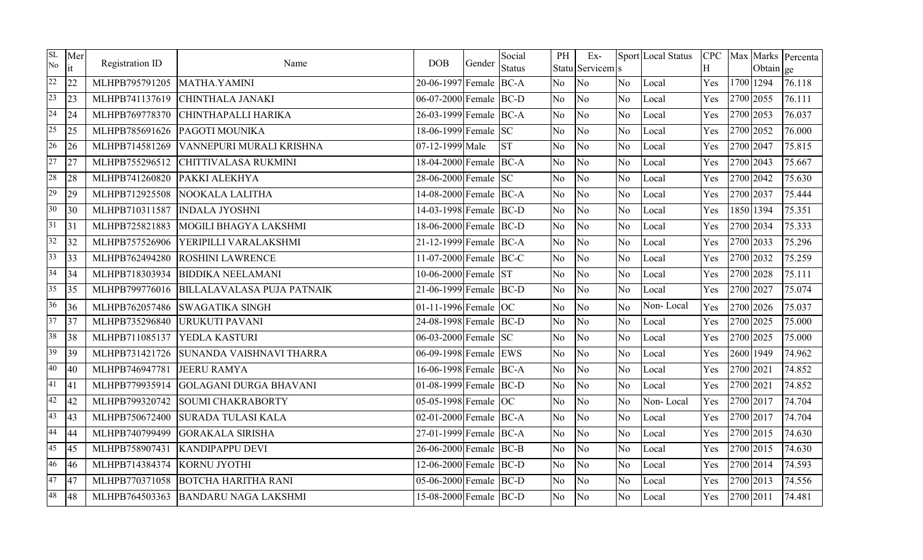| SL<br>No        | Mer<br>it | Registration ID | Name                              | <b>DOB</b>             | Gender | Social<br><b>Status</b> | PH             | $Ex-$<br>Statu Servicem s |                | Sport Local Status | <b>CPC</b><br>H |           | Obtain ge | Max Marks Percenta |
|-----------------|-----------|-----------------|-----------------------------------|------------------------|--------|-------------------------|----------------|---------------------------|----------------|--------------------|-----------------|-----------|-----------|--------------------|
| 22              | 22        | MLHPB795791205  | MATHA.YAMINI                      | 20-06-1997 Female BC-A |        |                         | N <sub>o</sub> | No                        | No             | Local              | Yes             |           | 1700 1294 | 76.118             |
| 23              | 23        | MLHPB741137619  | <b>CHINTHALA JANAKI</b>           | 06-07-2000 Female BC-D |        |                         | No             | No                        | N <sub>o</sub> | Local              | Yes             |           | 2700 2055 | 76.111             |
| 24              | 24        | MLHPB769778370  | CHINTHAPALLI HARIKA               | 26-03-1999 Female BC-A |        |                         | N <sub>o</sub> | No                        | No             | Local              | Yes             | 2700 2053 |           | 76.037             |
| 25              | 25        | MLHPB785691626  | PAGOTI MOUNIKA                    | 18-06-1999 Female SC   |        |                         | N <sub>o</sub> | No                        | No             | Local              | Yes             | 2700 2052 |           | 76.000             |
| 26              | 26        | MLHPB714581269  | VANNEPURI MURALI KRISHNA          | 07-12-1999 Male        |        | <b>ST</b>               | N <sub>o</sub> | No                        | N <sub>o</sub> | Local              | Yes             | 2700 2047 |           | 75.815             |
| 27              | 27        | MLHPB755296512  | CHITTIVALASA RUKMINI              | 18-04-2000 Female BC-A |        |                         | N <sub>o</sub> | No                        | N <sub>o</sub> | Local              | Yes             | 2700 2043 |           | 75.667             |
| 28              | 28        | MLHPB741260820  | PAKKI ALEKHYA                     | 28-06-2000 Female SC   |        |                         | No.            | No                        | N <sub>o</sub> | Local              | Yes             | 2700 2042 |           | 75.630             |
| 29              | 29        | MLHPB712925508  | NOOKALA LALITHA                   | 14-08-2000 Female BC-A |        |                         | N <sub>o</sub> | No                        | N <sub>o</sub> | Local              | Yes             | 2700 2037 |           | 75.444             |
| 30 <sup>°</sup> | 30        | MLHPB710311587  | <b>INDALA JYOSHNI</b>             | 14-03-1998 Female BC-D |        |                         | No.            | N <sub>o</sub>            | No             | Local              | Yes             |           | 1850 1394 | 75.351             |
| $\overline{31}$ | 31        | MLHPB725821883  | MOGILI BHAGYA LAKSHMI             | 18-06-2000 Female BC-D |        |                         | No             | No                        | N <sub>o</sub> | Local              | Yes             | 2700 2034 |           | 75.333             |
| 32              | 32        | MLHPB757526906  | YERIPILLI VARALAKSHMI             | 21-12-1999 Female BC-A |        |                         | N <sub>o</sub> | No                        | No             | Local              | Yes             | 2700 2033 |           | 75.296             |
| 33              | 33        | MLHPB762494280  | <b>ROSHINI LAWRENCE</b>           | 11-07-2000 Female BC-C |        |                         | No             | N <sub>o</sub>            | No             | Local              | Yes             | 2700 2032 |           | 75.259             |
| 34              | 34        | MLHPB718303934  | <b>BIDDIKA NEELAMANI</b>          | 10-06-2000 Female ST   |        |                         | No             | No                        | N <sub>o</sub> | Local              | Yes             | 2700 2028 |           | 75.111             |
| 35              | 35        | MLHPB799776016  | <b>BILLALAVALASA PUJA PATNAIK</b> | 21-06-1999 Female BC-D |        |                         | N <sub>o</sub> | No                        | No             | Local              | Yes             | 2700 2027 |           | 75.074             |
| 36              | 36        | MLHPB762057486  | <b>SWAGATIKA SINGH</b>            | 01-11-1996 Female $OC$ |        |                         | N <sub>o</sub> | No                        | N <sub>o</sub> | Non-Local          | Yes             |           | 2700 2026 | 75.037             |
| $\overline{37}$ | 37        | MLHPB735296840  | URUKUTI PAVANI                    | 24-08-1998 Female BC-D |        |                         | N <sub>o</sub> | No                        | N <sub>o</sub> | Local              | Yes             | 2700 2025 |           | 75.000             |
| 38              | 38        | MLHPB711085137  | YEDLA KASTURI                     | 06-03-2000 Female SC   |        |                         | No.            | No                        | N <sub>o</sub> | Local              | Yes             | 2700 2025 |           | 75.000             |
| 39              | 39        | MLHPB731421726  | SUNANDA VAISHNAVI THARRA          | 06-09-1998 Female EWS  |        |                         | N <sub>o</sub> | No                        | N <sub>o</sub> | Local              | Yes             | 2600 1949 |           | 74.962             |
| 40              | 40        | MLHPB746947781  | <b>JEERU RAMYA</b>                | 16-06-1998 Female BC-A |        |                         | No.            | No                        | N <sub>o</sub> | Local              | Yes             | 2700 2021 |           | 74.852             |
| 41              | 41        | MLHPB779935914  | <b>GOLAGANI DURGA BHAVANI</b>     | 01-08-1999 Female BC-D |        |                         | N <sub>o</sub> | No                        | N <sub>o</sub> | Local              | Yes             | 2700 2021 |           | 74.852             |
| 42              | 42        | MLHPB799320742  | <b>SOUMI CHAKRABORTY</b>          | 05-05-1998 Female OC   |        |                         | N <sub>o</sub> | No                        | N <sub>o</sub> | Non-Local          | Yes             | 2700 2017 |           | 74.704             |
| 43              | 43        | MLHPB750672400  | <b>SURADA TULASI KALA</b>         | 02-01-2000 Female BC-A |        |                         | No             | No                        | No             | Local              | Yes             | 2700 2017 |           | 74.704             |
| 44              | 44        | MLHPB740799499  | <b>GORAKALA SIRISHA</b>           | 27-01-1999 Female BC-A |        |                         | N <sub>o</sub> | No                        | No             | Local              | Yes             |           | 2700 2015 | 74.630             |
| 45              | 45        | MLHPB758907431  | <b>KANDIPAPPU DEVI</b>            | 26-06-2000 Female BC-B |        |                         | N <sub>o</sub> | No                        | N <sub>o</sub> | Local              | Yes             | 2700 2015 |           | 74.630             |
| 46              | 46        | MLHPB714384374  | <b>KORNU JYOTHI</b>               | 12-06-2000 Female BC-D |        |                         | No             | N <sub>o</sub>            | N <sub>o</sub> | Local              | Yes             | 2700 2014 |           | 74.593             |
| 47              | 47        | MLHPB770371058  | <b>BOTCHA HARITHA RANI</b>        | 05-06-2000 Female BC-D |        |                         | No             | No                        | No             | Local              | Yes             | 2700 2013 |           | 74.556             |
| 48              | 48        | MLHPB764503363  | <b>BANDARU NAGA LAKSHMI</b>       | 15-08-2000 Female BC-D |        |                         | No             | No                        | No.            | Local              | Yes             | 2700 2011 |           | 74.481             |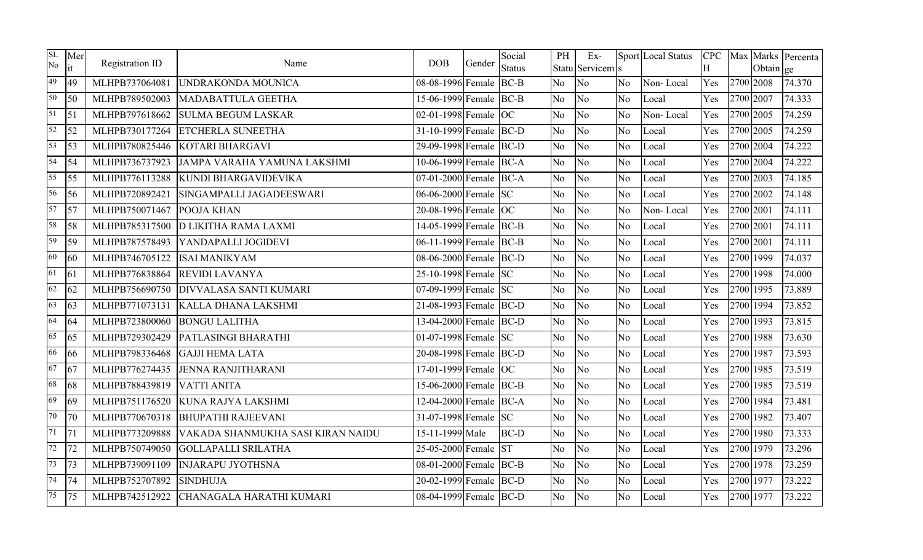| SL<br>No | Mer<br>it       | Registration ID | Name                               | <b>DOB</b>               | Gender | Social<br><b>Status</b> | PH             | $Ex-$<br>Statu Servicem s |                | Sport Local Status | H   |           | Obtain ge | CPC   Max   Marks   Percenta |
|----------|-----------------|-----------------|------------------------------------|--------------------------|--------|-------------------------|----------------|---------------------------|----------------|--------------------|-----|-----------|-----------|------------------------------|
| 49       | 49              | MLHPB737064081  | UNDRAKONDA MOUNICA                 | 08-08-1996 Female BC-B   |        |                         | No             | No                        | N <sub>o</sub> | Non-Local          | Yes | 2700 2008 |           | 74.370                       |
| 50       | $\overline{50}$ | MLHPB789502003  | MADABATTULA GEETHA                 | 15-06-1999 Female BC-B   |        |                         | <b>No</b>      | N <sub>o</sub>            | N <sub>o</sub> | Local              | Yes | 2700 2007 |           | 74.333                       |
| 51       | $\sqrt{51}$     | MLHPB797618662  | <b>SULMA BEGUM LASKAR</b>          | 02-01-1998 Female $OC$   |        |                         | No             | N <sub>o</sub>            | N <sub>o</sub> | Non-Local          | Yes | 2700 2005 |           | 74.259                       |
| 52       | 52              | MLHPB730177264  | <b>ETCHERLA SUNEETHA</b>           | 31-10-1999 Female BC-D   |        |                         | No             | No                        | No             | Local              | Yes | 2700 2005 |           | 74.259                       |
| 53       | $\overline{53}$ | MLHPB780825446  | KOTARI BHARGAVI                    | 29-09-1998 Female BC-D   |        |                         | No             | No                        | N <sub>o</sub> | Local              | Yes | 2700 2004 |           | 74.222                       |
| 54       | 54              | MLHPB736737923  | <b>JAMPA VARAHA YAMUNA LAKSHMI</b> | 10-06-1999 Female BC-A   |        |                         | No             | No                        | No             | Local              | Yes | 2700 2004 |           | 74.222                       |
| 55       | $\overline{55}$ | MLHPB776113288  | KUNDI BHARGAVIDEVIKA               | 07-01-2000 Female BC-A   |        |                         | No             | N <sub>o</sub>            | N <sub>o</sub> | Local              | Yes | 2700 2003 |           | 74.185                       |
| 56       | 56              | MLHPB720892421  | SINGAMPALLI JAGADEESWARI           | 06-06-2000 Female SC     |        |                         | N <sub>o</sub> | No                        | N <sub>o</sub> | Local              | Yes | 2700 2002 |           | 74.148                       |
| 57       | $\frac{157}{2}$ | MLHPB750071467  | POOJA KHAN                         | 20-08-1996 Female OC     |        |                         | No             | No                        | No             | Non-Local          | Yes | 2700 2001 |           | 74.111                       |
| 58       | 58              | MLHPB785317500  | <b>D LIKITHA RAMA LAXMI</b>        | 14-05-1999 Female BC-B   |        |                         | N <sub>o</sub> | N <sub>o</sub>            | N <sub>o</sub> | Local              | Yes | 2700 2001 |           | 74.111                       |
| 59       | 59              | MLHPB787578493  | YANDAPALLI JOGIDEVI                | 06-11-1999 Female BC-B   |        |                         | No             | No                        | No             | Local              | Yes | 2700 2001 |           | 74.111                       |
| 60       | 60              | MLHPB746705122  | <b>ISAI MANIKYAM</b>               | 08-06-2000 Female BC-D   |        |                         | <b>No</b>      | N <sub>o</sub>            | N <sub>o</sub> | Local              | Yes | 2700 1999 |           | 74.037                       |
| 61       | 61              | MLHPB776838864  | <b>REVIDI LAVANYA</b>              | 25-10-1998 Female SC     |        |                         | No             | No                        | N <sub>o</sub> | Local              | Yes | 2700 1998 |           | 74.000                       |
| 62       | 62              | MLHPB756690750  | <b>DIVVALASA SANTI KUMARI</b>      | 07-09-1999 Female SC     |        |                         | N <sub>o</sub> | No                        | No             | Local              | Yes | 2700 1995 |           | 73.889                       |
| 63       | 63              | MLHPB771073131  | KALLA DHANA LAKSHMI                | $21-08-1993$ Female BC-D |        |                         | No             | No                        | No             | Local              | Yes | 2700 1994 |           | 73.852                       |
| 64       | 64              | MLHPB723800060  | <b>BONGU LALITHA</b>               | 13-04-2000 Female BC-D   |        |                         | No             | No                        | No             | Local              | Yes | 2700 1993 |           | 73.815                       |
| 65       | 65              | MLHPB729302429  | PATLASINGI BHARATHI                | 01-07-1998 Female SC     |        |                         | No             | No                        | N <sub>o</sub> | Local              | Yes | 2700 1988 |           | 73.630                       |
| 66       | 66              | MLHPB798336468  | <b>GAJJI HEMA LATA</b>             | 20-08-1998 Female BC-D   |        |                         | No             | No                        | N <sub>o</sub> | Local              | Yes | 2700 1987 |           | 73.593                       |
| 67       | 67              | MLHPB776274435  | <b>JENNA RANJITHARANI</b>          | 17-01-1999 Female $OC$   |        |                         | No             | No                        | N <sub>o</sub> | Local              | Yes | 2700 1985 |           | 73.519                       |
| 68       | 68              | MLHPB788439819  | <b>VATTI ANITA</b>                 | 15-06-2000 Female BC-B   |        |                         | N <sub>o</sub> | N <sub>o</sub>            | N <sub>o</sub> | Local              | Yes | 2700 1985 |           | 73.519                       |
| 69       | 69              | MLHPB751176520  | KUNA RAJYA LAKSHMI                 | 12-04-2000 Female BC-A   |        |                         | N <sub>o</sub> | N <sub>o</sub>            | N <sub>o</sub> | Local              | Yes | 2700 1984 |           | 73.481                       |
| 70       | 170             | MLHPB770670318  | <b>BHUPATHI RAJEEVANI</b>          | 31-07-1998 Female SC     |        |                         | No             | No                        | N <sub>o</sub> | Local              | Yes | 2700 1982 |           | 73.407                       |
| 71       | 71              | MLHPB773209888  | VAKADA SHANMUKHA SASI KIRAN NAIDU  | 15-11-1999 Male          |        | <b>BC-D</b>             | No             | N <sub>o</sub>            | N <sub>o</sub> | Local              | Yes | 2700 1980 |           | 73.333                       |
| 72       | 72              | MLHPB750749050  | <b>GOLLAPALLI SRILATHA</b>         | 25-05-2000 Female ST     |        |                         | N <sub>o</sub> | No                        | N <sub>o</sub> | Local              | Yes | 2700 1979 |           | 73.296                       |
| 73       | 73              | MLHPB739091109  | <b>INJARAPU JYOTHSNA</b>           | 08-01-2000 Female BC-B   |        |                         | No             | N <sub>o</sub>            | N <sub>o</sub> | Local              | Yes | 2700 1978 |           | 73.259                       |
| 74       | $\overline{74}$ | MLHPB752707892  | <b>SINDHUJA</b>                    | 20-02-1999 Female BC-D   |        |                         | No             | N <sub>o</sub>            | N <sub>o</sub> | Local              | Yes | 2700 1977 |           | 73.222                       |
| 75       | 75              | MLHPB742512922  | CHANAGALA HARATHI KUMARI           | 08-04-1999 Female BC-D   |        |                         | No             | No                        | N <sub>o</sub> | Local              | Yes | 2700 1977 |           | 73.222                       |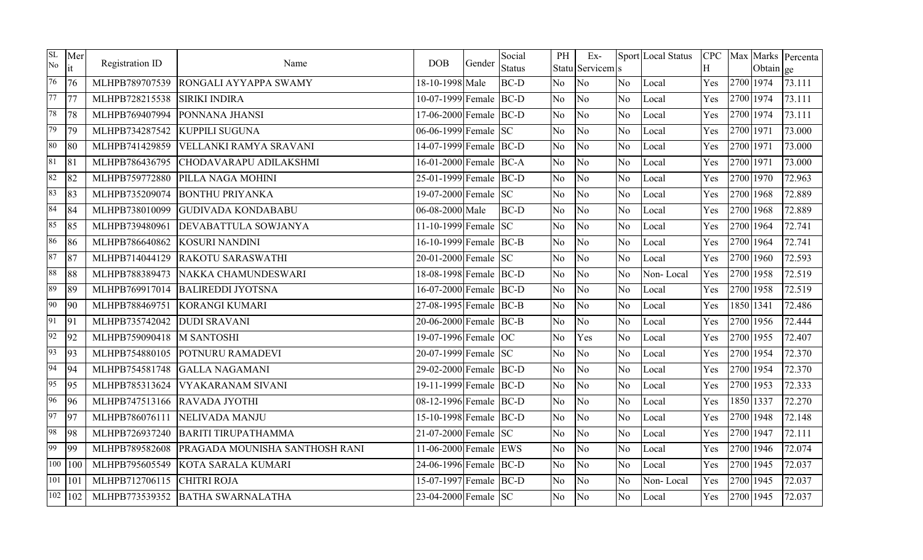| SL<br>No | Mer<br>it              | Registration ID | Name                           | <b>DOB</b>                    | Gender | Social<br><b>Status</b> | PH             | $Ex-$<br>Statu Servicem s |                | Sport Local Status | <b>CPC</b><br>H |           | Obtain ge | Max Marks Percenta |
|----------|------------------------|-----------------|--------------------------------|-------------------------------|--------|-------------------------|----------------|---------------------------|----------------|--------------------|-----------------|-----------|-----------|--------------------|
| 76       | 76                     | MLHPB789707539  | RONGALI AYYAPPA SWAMY          | 18-10-1998 Male               |        | <b>BC-D</b>             | N <sub>o</sub> | No                        | No             | Local              | Yes             | 2700 1974 |           | 73.111             |
| 77       | 177                    | MLHPB728215538  | <b>SIRIKI INDIRA</b>           | 10-07-1999 Female BC-D        |        |                         | No             | No                        | N <sub>o</sub> | Local              | Yes             | 2700 1974 |           | 73.111             |
| 78       | 78                     | MLHPB769407994  | PONNANA JHANSI                 | 17-06-2000 Female BC-D        |        |                         | N <sub>o</sub> | No                        | N <sub>o</sub> | Local              | Yes             | 2700 1974 |           | 73.111             |
| 79       | 79                     | MLHPB734287542  | <b>KUPPILI SUGUNA</b>          | 06-06-1999 Female SC          |        |                         | No.            | No                        | No             | Local              | Yes             | 2700 1971 |           | 73.000             |
| 80       | 80                     | MLHPB741429859  | VELLANKI RAMYA SRAVANI         | 14-07-1999 Female BC-D        |        |                         | N <sub>o</sub> | No                        | N <sub>o</sub> | Local              | Yes             | 2700 1971 |           | 73.000             |
| 81       | 81                     | MLHPB786436795  | CHODAVARAPU ADILAKSHMI         | 16-01-2000 Female BC-A        |        |                         | N <sub>o</sub> | No                        | N <sub>o</sub> | Local              | Yes             | 2700 1971 |           | 73.000             |
| 82       | 82                     | MLHPB759772880  | PILLA NAGA MOHINI              | 25-01-1999 Female BC-D        |        |                         | No             | No                        | N <sub>o</sub> | Local              | Yes             | 2700 1970 |           | 72.963             |
| 83       | 83                     | MLHPB735209074  | <b>BONTHU PRIYANKA</b>         | 19-07-2000 Female SC          |        |                         | N <sub>o</sub> | No                        | N <sub>o</sub> | Local              | Yes             | 2700 1968 |           | 72.889             |
| 84       | 84                     | MLHPB738010099  | <b>GUDIVADA KONDABABU</b>      | $\overline{06}$ -08-2000 Male |        | <b>BC-D</b>             | No.            | No                        | No             | Local              | Yes             | 2700 1968 |           | 72.889             |
| 85       | 85                     | MLHPB739480961  | <b>DEVABATTULA SOWJANYA</b>    | 11-10-1999 Female SC          |        |                         | N <sub>o</sub> | No                        | N <sub>o</sub> | Local              | Yes             | 2700 1964 |           | 72.741             |
| 86       | 86                     | MLHPB786640862  | <b>KOSURI NANDINI</b>          | 16-10-1999 Female BC-B        |        |                         | N <sub>o</sub> | No                        | No             | Local              | Yes             | 2700 1964 |           | 72.741             |
| 87       | 87                     | MLHPB714044129  | <b>RAKOTU SARASWATHI</b>       | 20-01-2000 Female SC          |        |                         | No.            | No                        | N <sub>o</sub> | Local              | Yes             | 2700 1960 |           | 72.593             |
| 88       | 88                     | MLHPB788389473  | NAKKA CHAMUNDESWARI            | 18-08-1998 Female BC-D        |        |                         | No             | No                        | N <sub>o</sub> | Non-Local          | Yes             | 2700 1958 |           | 72.519             |
| 89       | 89                     | MLHPB769917014  | <b>BALIREDDI JYOTSNA</b>       | 16-07-2000 Female BC-D        |        |                         | N <sub>o</sub> | No                        | No.            | Local              | Yes             | 2700 1958 |           | 72.519             |
| 90       | 90                     | MLHPB788469751  | <b>KORANGI KUMARI</b>          | 27-08-1995 Female BC-B        |        |                         | N <sub>o</sub> | No                        | N <sub>o</sub> | Local              | Yes             | 1850 1341 |           | 72.486             |
| 91       | 91                     | MLHPB735742042  | <b>DUDI SRAVANI</b>            | 20-06-2000 Female BC-B        |        |                         | N <sub>o</sub> | No                        | N <sub>o</sub> | Local              | Yes             | 2700 1956 |           | 72.444             |
| 92       | 92                     | MLHPB759090418  | <b>M SANTOSHI</b>              | 19-07-1996 Female OC          |        |                         | N <sub>o</sub> | Yes                       | N <sub>o</sub> | Local              | Yes             | 2700 1955 |           | 72.407             |
| 93       | 93                     | MLHPB754880105  | POTNURU RAMADEVI               | 20-07-1999 Female SC          |        |                         | N <sub>o</sub> | No                        | No             | Local              | Yes             | 2700 1954 |           | 72.370             |
| 94       | 94                     | MLHPB754581748  | <b>GALLA NAGAMANI</b>          | 29-02-2000 Female BC-D        |        |                         | No.            | No                        | N <sub>o</sub> | Local              | Yes             | 2700 1954 |           | 72.370             |
| 95       | 95                     | MLHPB785313624  | <b>VYAKARANAM SIVANI</b>       | 19-11-1999 Female BC-D        |        |                         | N <sub>o</sub> | No                        | N <sub>o</sub> | Local              | Yes             | 2700 1953 |           | 72.333             |
| 96       | 96                     | MLHPB747513166  | <b>RAVADA JYOTHI</b>           | 08-12-1996 Female BC-D        |        |                         | N <sub>o</sub> | No                        | No.            | Local              | Yes             |           | 1850 1337 | 72.270             |
| 97       | 97                     | MLHPB786076111  | <b>NELIVADA MANJU</b>          | 15-10-1998 Female BC-D        |        |                         | No             | No                        | N <sub>o</sub> | Local              | Yes             |           | 2700 1948 | 72.148             |
| 98       | 98                     | MLHPB726937240  | <b>BARITI TIRUPATHAMMA</b>     | 21-07-2000 Female SC          |        |                         | N <sub>o</sub> | No                        | No             | Local              | Yes             | 2700 1947 |           | 72.111             |
| 99       | 99                     | MLHPB789582608  | PRAGADA MOUNISHA SANTHOSH RANI | 11-06-2000 Female EWS         |        |                         | N <sub>o</sub> | No                        | N <sub>o</sub> | Local              | Yes             | 2700 1946 |           | 72.074             |
|          | $\overline{100}$   100 | MLHPB795605549  | KOTA SARALA KUMARI             | 24-06-1996 Female BC-D        |        |                         | No             | N <sub>o</sub>            | No             | Local              | Yes             | 2700 1945 |           | 72.037             |
| 101      | 101                    | MLHPB712706115  | <b>CHITRI ROJA</b>             | 15-07-1997 Female BC-D        |        |                         | No             | No                        | N <sub>o</sub> | Non-Local          | Yes             | 2700 1945 |           | 72.037             |
|          | $\sqrt{102}$   102     | MLHPB773539352  | <b>BATHA SWARNALATHA</b>       | 23-04-2000 Female SC          |        |                         | No             | No                        | No.            | Local              | Yes             | 2700 1945 |           | 72.037             |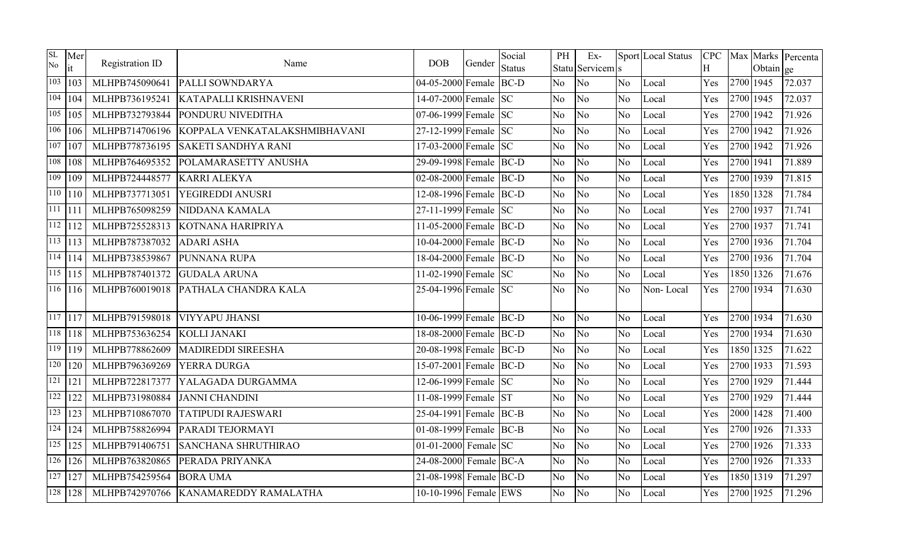| SL<br>No | Mer<br>it              | Registration ID | Name                                 | <b>DOB</b>                        | Gender | Social<br><b>Status</b> | PH             | $Ex-$<br>Statu Servicem s |                | Sport Local Status | H   |           | Obtain ge | CPC Max Marks Percenta |
|----------|------------------------|-----------------|--------------------------------------|-----------------------------------|--------|-------------------------|----------------|---------------------------|----------------|--------------------|-----|-----------|-----------|------------------------|
|          | $103$   103            | MLHPB745090641  | <b>PALLI SOWNDARYA</b>               | 04-05-2000 Female BC-D            |        |                         | N <sub>o</sub> | No                        | No             | Local              | Yes |           | 2700 1945 | 72.037                 |
|          | 104   104              | MLHPB736195241  | <b>KATAPALLI KRISHNAVENI</b>         | 14-07-2000 Female SC              |        |                         | N <sub>o</sub> | N <sub>o</sub>            | No             | Local              | Yes | 2700 1945 |           | 72.037                 |
|          | 105 105                | MLHPB732793844  | PONDURU NIVEDITHA                    | 07-06-1999 Female SC              |        |                         | N <sub>o</sub> | N <sub>o</sub>            | No.            | Local              | Yes | 2700 1942 |           | 71.926                 |
|          | $\overline{106}$   106 | MLHPB714706196  | KOPPALA VENKATALAKSHMIBHAVANI        | 27-12-1999 Female SC              |        |                         | N <sub>o</sub> | N <sub>o</sub>            | No             | Local              | Yes | 2700 1942 |           | 71.926                 |
|          | $107$ 107              | MLHPB778736195  | <b>SAKETI SANDHYA RANI</b>           | 17-03-2000 Female SC              |        |                         | N <sub>o</sub> | N <sub>o</sub>            | No             | Local              | Yes | 2700 1942 |           | 71.926                 |
|          | $\sqrt{108}$   108     | MLHPB764695352  | POLAMARASETTY ANUSHA                 | 29-09-1998 Female BC-D            |        |                         | N <sub>o</sub> | N <sub>o</sub>            | N <sub>o</sub> | Local              | Yes | 2700 1941 |           | 71.889                 |
| 109      | 109                    | MLHPB724448577  | <b>KARRI ALEKYA</b>                  | 02-08-2000 Female BC-D            |        |                         | No             | No                        | No.            | Local              | Yes | 2700 1939 |           | 71.815                 |
|          | 110 110                | MLHPB737713051  | <b>YEGIREDDI ANUSRI</b>              | 12-08-1996 Female BC-D            |        |                         | N <sub>o</sub> | No                        | No             | Local              | Yes |           | 1850 1328 | 71.784                 |
|          | $111$  111             | MLHPB765098259  | NIDDANA KAMALA                       | 27-11-1999 Female SC              |        |                         | N <sub>o</sub> | N <sub>o</sub>            | N <sub>o</sub> | Local              | Yes | 2700 1937 |           | 71.741                 |
|          | $\sqrt{112}$   112     | MLHPB725528313  | KOTNANA HARIPRIYA                    | 11-05-2000 Female BC-D            |        |                         | No             | No                        | No             | Local              | Yes | 2700 1937 |           | 71.741                 |
|          | $\overline{113}$   113 | MLHPB787387032  | <b>ADARI ASHA</b>                    | 10-04-2000 Female BC-D            |        |                         | N <sub>o</sub> | No                        | No.            | Local              | Yes | 2700 1936 |           | 71.704                 |
|          | $114$   114            | MLHPB738539867  | PUNNANA RUPA                         | 18-04-2000 Female BC-D            |        |                         | No             | No                        | No             | Local              | Yes | 2700 1936 |           | 71.704                 |
|          | $115$   115            | MLHPB787401372  | <b>GUDALA ARUNA</b>                  | $\overline{11-02-1990}$ Female SC |        |                         | N <sub>o</sub> | No                        | No             | Local              | Yes |           | 1850 1326 | 71.676                 |
|          | $116$   $116$          | MLHPB760019018  | PATHALA CHANDRA KALA                 | 25-04-1996 Female SC              |        |                         | N <sub>o</sub> | No                        | No             | Non-Local          | Yes | 2700 1934 |           | 71.630                 |
|          | $117$ 117              | MLHPB791598018  | <b>VIYYAPU JHANSI</b>                | 10-06-1999 Female BC-D            |        |                         | No             | No                        | No             | Local              | Yes | 2700 1934 |           | 71.630                 |
|          | $118$ $118$            | MLHPB753636254  | KOLLI JANAKI                         | 18-08-2000 Female BC-D            |        |                         | N <sub>o</sub> | No                        | No             | Local              | Yes | 2700 1934 |           | 71.630                 |
|          | $\overline{119}$   119 | MLHPB778862609  | <b>MADIREDDI SIREESHA</b>            | 20-08-1998 Female BC-D            |        |                         | N <sub>o</sub> | N <sub>o</sub>            | No.            | Local              | Yes |           | 1850 1325 | 71.622                 |
|          | $\sqrt{120}$   120     | MLHPB796369269  | YERRA DURGA                          | 15-07-2001 Female BC-D            |        |                         | N <sub>o</sub> | No                        | N <sub>o</sub> | Local              | Yes | 2700 1933 |           | 71.593                 |
|          | $\sqrt{121}$   121     | MLHPB722817377  | YALAGADA DURGAMMA                    | 12-06-1999 Female SC              |        |                         | N <sub>o</sub> | N <sub>o</sub>            | N <sub>o</sub> | Local              | Yes | 2700 1929 |           | 71.444                 |
| 122      | 122                    | MLHPB731980884  | <b>JANNI CHANDINI</b>                | 11-08-1999 Female ST              |        |                         | N <sub>o</sub> | No                        | No             | Local              | Yes | 2700 1929 |           | 71.444                 |
|          | $\overline{123}$   123 | MLHPB710867070  | <b>TATIPUDI RAJESWARI</b>            | 25-04-1991 Female BC-B            |        |                         | N <sub>o</sub> | No                        | No.            | Local              | Yes |           | 2000 1428 | 71.400                 |
|          | $\sqrt{124}$   124     | MLHPB758826994  | PARADI TEJORMAYI                     | 01-08-1999 Female BC-B            |        |                         | N <sub>o</sub> | No                        | N <sub>o</sub> | Local              | Yes | 2700 1926 |           | 71.333                 |
|          | $\sqrt{125}$   125     | MLHPB791406751  | <b>SANCHANA SHRUTHIRAO</b>           | 01-01-2000 Female SC              |        |                         | N <sub>o</sub> | No                        | No             | Local              | Yes | 2700 1926 |           | 71.333                 |
|          | $\overline{126}$   126 | MLHPB763820865  | PERADA PRIYANKA                      | 24-08-2000 Female BC-A            |        |                         | N <sub>o</sub> | N <sub>o</sub>            | N <sub>o</sub> | Local              | Yes | 2700 1926 |           | 71.333                 |
|          | $\sqrt{127}$   127     | MLHPB754259564  | <b>BORA UMA</b>                      | 21-08-1998 Female BC-D            |        |                         | N <sub>o</sub> | N <sub>o</sub>            | No.            | Local              | Yes |           | 1850 1319 | 71.297                 |
|          | $\overline{128}$   128 |                 | MLHPB742970766 KANAMAREDDY RAMALATHA | 10-10-1996 Female EWS             |        |                         | N <sub>o</sub> | No                        | No.            | Local              | Yes | 2700 1925 |           | 71.296                 |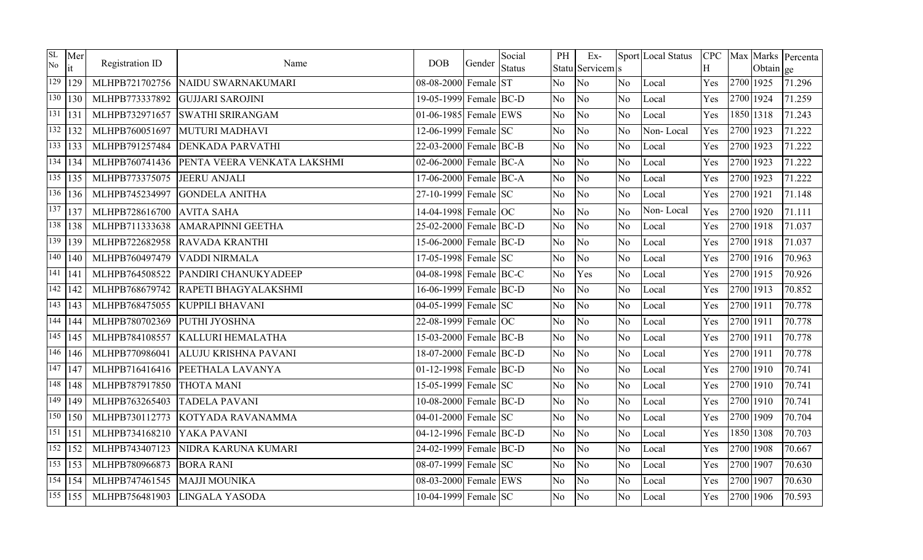| SL<br>No | Mer<br>it                | Registration ID | Name                        | DOB                    | Gender | Social<br><b>Status</b> | PH             | $Ex-$<br>Statu Servicem s |                | Sport Local Status | H   |           | Obtain ge | CPC Max Marks Percenta |
|----------|--------------------------|-----------------|-----------------------------|------------------------|--------|-------------------------|----------------|---------------------------|----------------|--------------------|-----|-----------|-----------|------------------------|
| 129      | 129                      | MLHPB721702756  | NAIDU SWARNAKUMARI          | 08-08-2000 Female ST   |        |                         | N <sub>o</sub> | N <sub>o</sub>            | N <sub>o</sub> | Local              | Yes |           | 2700 1925 | 71.296                 |
| 130      | 130                      | MLHPB773337892  | <b>GUJJARI SAROJINI</b>     | 19-05-1999 Female BC-D |        |                         | N <sub>o</sub> | No.                       | N <sub>o</sub> | Local              | Yes | 2700 1924 |           | 71.259                 |
| 131      | 131                      | MLHPB732971657  | <b>SWATHI SRIRANGAM</b>     | 01-06-1985 Female EWS  |        |                         | N <sub>o</sub> | No.                       | N <sub>o</sub> | Local              | Yes |           | 1850 1318 | 71.243                 |
| 132      | 132                      | MLHPB760051697  | <b>MUTURI MADHAVI</b>       | 12-06-1999 Female SC   |        |                         | N <sub>o</sub> | No                        | No.            | Non-Local          | Yes | 2700 1923 |           | 71.222                 |
|          | $133$ 133                | MLHPB791257484  | <b>DENKADA PARVATHI</b>     | 22-03-2000 Female BC-B |        |                         | N <sub>o</sub> | N <sub>o</sub>            | No             | Local              | Yes | 2700 1923 |           | 71.222                 |
|          | $\sqrt{134}$   134       | MLHPB760741436  | PENTA VEERA VENKATA LAKSHMI | 02-06-2000 Female BC-A |        |                         | N <sub>o</sub> | No                        | N <sub>o</sub> | Local              | Yes | 2700 1923 |           | 71.222                 |
|          | $\overline{135}$   135   | MLHPB773375075  | <b>JEERU ANJALI</b>         | 17-06-2000 Female BC-A |        |                         | N <sub>o</sub> | No.                       | N <sub>o</sub> | Local              | Yes | 2700 1923 |           | 71.222                 |
|          | 136   136                | MLHPB745234997  | <b>GONDELA ANITHA</b>       | 27-10-1999 Female SC   |        |                         | N <sub>o</sub> | No                        | N <sub>o</sub> | Local              | Yes | 2700 1921 |           | 71.148                 |
| 137      | 137                      | MLHPB728616700  | <b>AVITA SAHA</b>           | 14-04-1998 Female OC   |        |                         | N <sub>o</sub> | N <sub>o</sub>            | N <sub>o</sub> | Non-Local          | Yes | 2700 1920 |           | 71.111                 |
|          | $\overline{1}38$   138   | MLHPB711333638  | <b>AMARAPINNI GEETHA</b>    | 25-02-2000 Female BC-D |        |                         | N <sub>o</sub> | N <sub>o</sub>            | No             | Local              | Yes | 2700 1918 |           | 71.037                 |
| 139      | 139                      | MLHPB722682958  | <b>RAVADA KRANTHI</b>       | 15-06-2000 Female BC-D |        |                         | N <sub>o</sub> | No.                       | No.            | Local              | Yes | 2700 1918 |           | 71.037                 |
|          | $\sqrt{140}$   140       | MLHPB760497479  | <b>VADDI NIRMALA</b>        | 17-05-1998 Female SC   |        |                         | No             | No.                       | N <sub>o</sub> | Local              | Yes |           | 2700 1916 | 70.963                 |
|          | $\overline{141}$   $141$ | MLHPB764508522  | PANDIRI CHANUKYADEEP        | 04-08-1998 Female BC-C |        |                         | N <sub>o</sub> | Yes                       | N <sub>o</sub> | Local              | Yes | 2700 1915 |           | 70.926                 |
| 142      | 142                      | MLHPB768679742  | RAPETI BHAGYALAKSHMI        | 16-06-1999 Female BC-D |        |                         | N <sub>o</sub> | No.                       | No.            | Local              | Yes | 2700 1913 |           | 70.852                 |
|          | $\overline{143}$   $143$ | MLHPB768475055  | <b>KUPPILI BHAVANI</b>      | 04-05-1999 Female SC   |        |                         | N <sub>o</sub> | N <sub>o</sub>            | N <sub>o</sub> | Local              | Yes | 2700 1911 |           | 70.778                 |
|          | $\sqrt{144}$   144       | MLHPB780702369  | PUTHI JYOSHNA               | 22-08-1999 Female OC   |        |                         | N <sub>o</sub> | No.                       | N <sub>o</sub> | Local              | Yes | 2700 1911 |           | 70.778                 |
|          | $\overline{1}$ 45   145  | MLHPB784108557  | <b>KALLURI HEMALATHA</b>    | 15-03-2000 Female BC-B |        |                         | N <sub>o</sub> | No.                       | N <sub>o</sub> | Local              | Yes | 2700 1911 |           | 70.778                 |
|          | $146$   146              | MLHPB770986041  | ALUJU KRISHNA PAVANI        | 18-07-2000 Female BC-D |        |                         | N <sub>o</sub> | N <sub>o</sub>            | No             | Local              | Yes | 2700 1911 |           | 70.778                 |
| 147      | 147                      | MLHPB716416416  | PEETHALA LAVANYA            | 01-12-1998 Female BC-D |        |                         | N <sub>o</sub> | N <sub>o</sub>            | No             | Local              | Yes | 2700 1910 |           | 70.741                 |
|          | $\sqrt{148}$   148       | MLHPB787917850  | <b>THOTA MANI</b>           | 15-05-1999 Female SC   |        |                         | N <sub>o</sub> | No.                       | N <sub>o</sub> | Local              | Yes | 2700 1910 |           | 70.741                 |
|          | $\overline{149}$   149   | MLHPB763265403  | <b>TADELA PAVANI</b>        | 10-08-2000 Female BC-D |        |                         | N <sub>o</sub> | No.                       | No.            | Local              | Yes | 2700 1910 |           | 70.741                 |
| 150      | 150                      | MLHPB730112773  | KOTYADA RAVANAMMA           | 04-01-2000 Female SC   |        |                         | N <sub>o</sub> | No                        | N <sub>o</sub> | Local              | Yes | 2700 1909 |           | 70.704                 |
|          | $\sqrt{151}$   151       | MLHPB734168210  | YAKA PAVANI                 | 04-12-1996 Female BC-D |        |                         | No             | N <sub>o</sub>            | N <sub>o</sub> | Local              | Yes |           | 1850 1308 | 70.703                 |
|          | $152$   152              | MLHPB743407123  | NIDRA KARUNA KUMARI         | 24-02-1999 Female BC-D |        |                         | N <sub>o</sub> | No.                       | No.            | Local              | Yes | 2700 1908 |           | 70.667                 |
|          | $\overline{153}$   153   | MLHPB780966873  | <b>BORA RANI</b>            | 08-07-1999 Female SC   |        |                         | N <sub>o</sub> | No                        | N <sub>o</sub> | Local              | Yes | 2700 1907 |           | 70.630                 |
|          | $154$   154              | MLHPB747461545  | <b>MAJJI MOUNIKA</b>        | 08-03-2000 Female EWS  |        |                         | No             | No.                       | No.            | Local              | Yes | 2700 1907 |           | 70.630                 |
|          | $\overline{155}$   155   | MLHPB756481903  | LINGALA YASODA              | 10-04-1999 Female SC   |        |                         | N <sub>o</sub> | No                        | No.            | Local              | Yes | 2700 1906 |           | 70.593                 |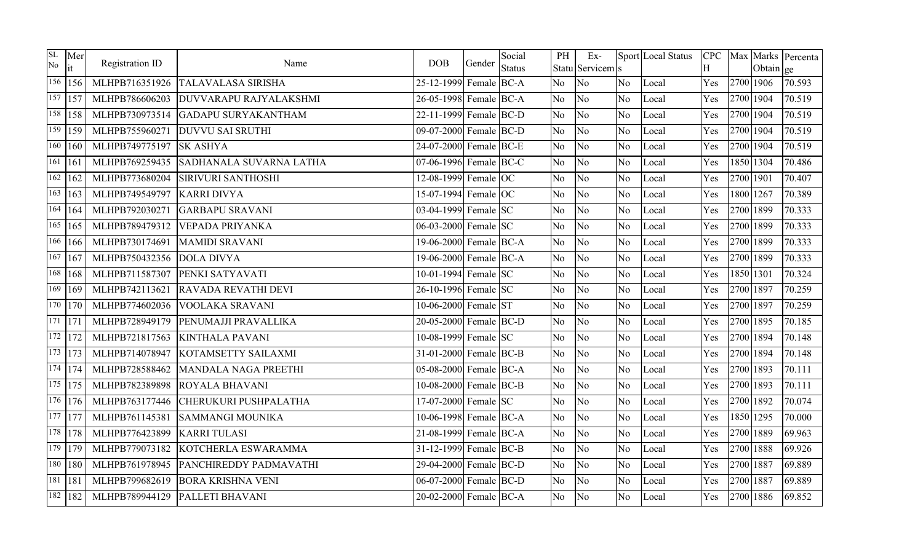| SL<br>No    | Mer<br>it              | Registration ID | Name                          | <b>DOB</b>             | Gender | Social<br><b>Status</b> | PH             | $Ex-$<br>Statu Servicem s |                | Sport Local Status | <b>CPC</b><br>H |           | Obtain ge | Max Marks Percenta |
|-------------|------------------------|-----------------|-------------------------------|------------------------|--------|-------------------------|----------------|---------------------------|----------------|--------------------|-----------------|-----------|-----------|--------------------|
|             | 156   156              | MLHPB716351926  | <b>TALAVALASA SIRISHA</b>     | 25-12-1999 Female BC-A |        |                         | No             | No                        | No.            | Local              | Yes             | 2700 1906 |           | 70.593             |
|             | $\overline{157}$   157 | MLHPB786606203  | <b>DUVVARAPU RAJYALAKSHMI</b> | 26-05-1998 Female BC-A |        |                         | No             | No                        | No             | Local              | Yes             | 2700 1904 |           | 70.519             |
|             | 158 158                | MLHPB730973514  | <b>GADAPU SURYAKANTHAM</b>    | 22-11-1999 Female BC-D |        |                         | No             | No                        | No             | Local              | Yes             |           | 2700 1904 | 70.519             |
|             | $\overline{159}$   159 | MLHPB755960271  | <b>DUVVU SAI SRUTHI</b>       | 09-07-2000 Female BC-D |        |                         | No             | No                        | No             | Local              | Yes             | 2700 1904 |           | 70.519             |
|             | $\overline{160}$   160 | MLHPB749775197  | <b>SK ASHYA</b>               | 24-07-2000 Female BC-E |        |                         | No             | No                        | No.            | Local              | Yes             | 2700 1904 |           | 70.519             |
| $161$   161 |                        | MLHPB769259435  | SADHANALA SUVARNA LATHA       | 07-06-1996 Female BC-C |        |                         | No             | No                        | No             | Local              | Yes             |           | 1850 1304 | 70.486             |
|             | $\overline{162}$   162 | MLHPB773680204  | <b>SIRIVURI SANTHOSHI</b>     | 12-08-1999 Female OC   |        |                         | No             | N <sub>o</sub>            | N <sub>o</sub> | Local              | Yes             | 2700 1901 |           | 70.407             |
|             | $163$   163            | MLHPB749549797  | <b>KARRI DIVYA</b>            | 15-07-1994 Female OC   |        |                         | No             | No                        | No.            | Local              | Yes             |           | 1800 1267 | 70.389             |
|             | $\overline{164}$   164 | MLHPB792030271  | <b>GARBAPU SRAVANI</b>        | 03-04-1999 Female SC   |        |                         | No             | No                        | No             | Local              | Yes             | 2700 1899 |           | 70.333             |
|             | $165$   165            | MLHPB789479312  | <b>VEPADA PRIYANKA</b>        | 06-03-2000 Female SC   |        |                         | No             | N <sub>o</sub>            | N <sub>o</sub> | Local              | Yes             | 2700 1899 |           | 70.333             |
|             | $\overline{166}$   166 | MLHPB730174691  | <b>MAMIDI SRAVANI</b>         | 19-06-2000 Female BC-A |        |                         | No             | No                        | No             | Local              | Yes             | 2700 1899 |           | 70.333             |
|             | $167$   167            | MLHPB750432356  | <b>DOLA DIVYA</b>             | 19-06-2000 Female BC-A |        |                         | No             | No                        | No             | Local              | Yes             | 2700 1899 |           | 70.333             |
|             | 168   168              | MLHPB711587307  | PENKI SATYAVATI               | 10-01-1994 Female SC   |        |                         | No             | No                        | N <sub>o</sub> | Local              | Yes             | 1850 1301 |           | 70.324             |
|             | $\frac{169}{169}$      | MLHPB742113621  | <b>RAVADA REVATHI DEVI</b>    | 26-10-1996 Female SC   |        |                         | No             | No                        | No             | Local              | Yes             | 2700 1897 |           | 70.259             |
|             | 170   170              | MLHPB774602036  | <b>VOOLAKA SRAVANI</b>        | 10-06-2000 Female ST   |        |                         | No             | No                        | No.            | Local              | Yes             | 2700 1897 |           | 70.259             |
| 171   171   |                        | MLHPB728949179  | PENUMAJJI PRAVALLIKA          | 20-05-2000 Female BC-D |        |                         | No             | No                        | No             | Local              | Yes             | 2700 1895 |           | 70.185             |
|             | $\overline{172}$   172 | MLHPB721817563  | <b>KINTHALA PAVANI</b>        | 10-08-1999 Female SC   |        |                         | No             | No                        | No             | Local              | Yes             | 2700 1894 |           | 70.148             |
|             | $\overline{173}$   173 | MLHPB714078947  | KOTAMSETTY SAILAXMI           | 31-01-2000 Female BC-B |        |                         | No             | No                        | No             | Local              | Yes             | 2700 1894 |           | 70.148             |
|             | $\overline{174}$   174 | MLHPB728588462  | MANDALA NAGA PREETHI          | 05-08-2000 Female BC-A |        |                         | No             | No                        | No             | Local              | Yes             | 2700 1893 |           | 70.111             |
|             | $\overline{175}$   175 | MLHPB782389898  | <b>ROYALA BHAVANI</b>         | 10-08-2000 Female BC-B |        |                         | N <sub>o</sub> | N <sub>o</sub>            | N <sub>o</sub> | Local              | Yes             | 2700 1893 |           | 70.111             |
|             | $\overline{176}$   176 | MLHPB763177446  | CHERUKURI PUSHPALATHA         | 17-07-2000 Female SC   |        |                         | N <sub>o</sub> | N <sub>o</sub>            | No             | Local              | Yes             | 2700 1892 |           | 70.074             |
|             | $\frac{1}{77}$   177   | MLHPB761145381  | SAMMANGI MOUNIKA              | 10-06-1998 Female BC-A |        |                         | No             | No                        | N <sub>o</sub> | Local              | Yes             | 1850 1295 |           | 70.000             |
|             | 178 178                | MLHPB776423899  | <b>KARRITULASI</b>            | 21-08-1999 Female BC-A |        |                         | No             | N <sub>o</sub>            | No             | Local              | Yes             | 2700 1889 |           | 69.963             |
|             | $\overline{179}$   179 | MLHPB779073182  | KOTCHERLA ESWARAMMA           | 31-12-1999 Female BC-B |        |                         | No             | No                        | No             | Local              | Yes             | 2700 1888 |           | 69.926             |
|             | 180   180              | MLHPB761978945  | PANCHIREDDY PADMAVATHI        | 29-04-2000 Female BC-D |        |                         | No             | N <sub>o</sub>            | N <sub>o</sub> | Local              | Yes             | 2700 1887 |           | 69.889             |
|             | 181   181              | MLHPB799682619  | <b>BORA KRISHNA VENI</b>      | 06-07-2000 Female BC-D |        |                         | No             | No                        | No             | Local              | Yes             | 2700 1887 |           | 69.889             |
|             | $182$   182            | MLHPB789944129  | PALLETI BHAVANI               | 20-02-2000 Female BC-A |        |                         | No             | No                        | No.            | Local              | Yes             | 2700 1886 |           | 69.852             |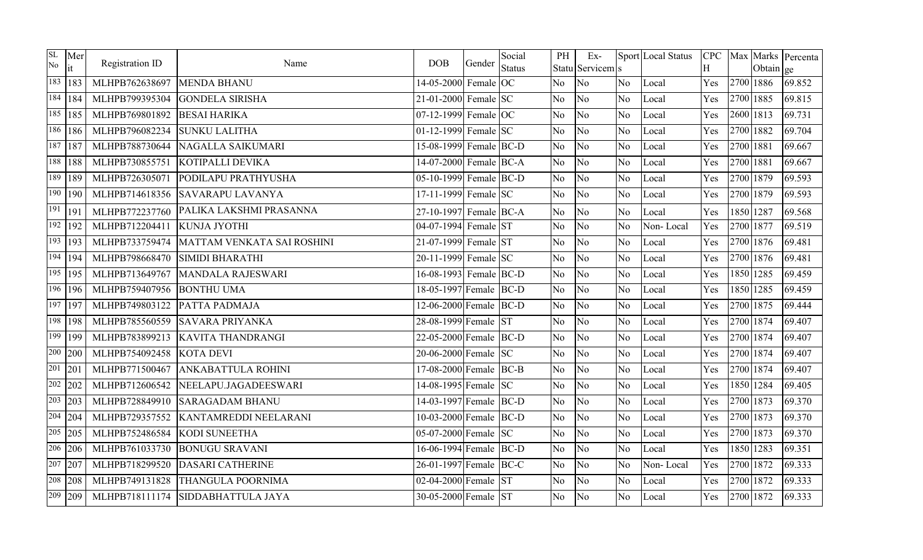| SL<br>No | Mer<br>it              | Registration ID | Name                       | <b>DOB</b>             | Gender | Social<br><b>Status</b> | PH             | $Ex-$<br>Statu Servicem s |                | Sport Local Status | Η   |           | Obtain ge | CPC   Max   Marks   Percenta |
|----------|------------------------|-----------------|----------------------------|------------------------|--------|-------------------------|----------------|---------------------------|----------------|--------------------|-----|-----------|-----------|------------------------------|
|          | 183   183              | MLHPB762638697  | <b>MENDA BHANU</b>         | 14-05-2000 Female OC   |        |                         | N <sub>o</sub> | No                        | N <sub>o</sub> | Local              | Yes | 2700 1886 |           | 69.852                       |
|          | $184$   184            | MLHPB799395304  | <b>GONDELA SIRISHA</b>     | 21-01-2000 Female SC   |        |                         | No             | No                        | N <sub>o</sub> | Local              | Yes | 2700 1885 |           | 69.815                       |
|          | $185$   185            | MLHPB769801892  | <b>BESAI HARIKA</b>        | $07-12-1999$ Female OC |        |                         | N <sub>o</sub> | No                        | N <sub>o</sub> | Local              | Yes | 2600 1813 |           | 69.731                       |
|          | $186$   186            | MLHPB796082234  | <b>SUNKU LALITHA</b>       | 01-12-1999 Female SC   |        |                         | No             | No                        | No             | Local              | Yes | 2700 1882 |           | 69.704                       |
|          | $187$ 187              | MLHPB788730644  | <b>NAGALLA SAIKUMARI</b>   | 15-08-1999 Female BC-D |        |                         | No             | No                        | No.            | Local              | Yes | 2700 1881 |           | 69.667                       |
|          | 188   188              | MLHPB730855751  | KOTIPALLI DEVIKA           | 14-07-2000 Female BC-A |        |                         | No             | No                        | No             | Local              | Yes | 2700 1881 |           | 69.667                       |
| 189      | 189                    | MLHPB726305071  | PODILAPU PRATHYUSHA        | 05-10-1999 Female BC-D |        |                         | No             | No                        | N <sub>o</sub> | Local              | Yes | 2700 1879 |           | 69.593                       |
|          | $190$   190            | MLHPB714618356  | <b>SAVARAPU LAVANYA</b>    | 17-11-1999 Female SC   |        |                         | N <sub>o</sub> | No                        | N <sub>o</sub> | Local              | Yes | 2700 1879 |           | 69.593                       |
| 191      | 191                    | MLHPB772237760  | PALIKA LAKSHMI PRASANNA    | 27-10-1997 Female BC-A |        |                         | N <sub>o</sub> | N <sub>o</sub>            | No             | Local              | Yes | 1850 1287 |           | 69.568                       |
|          | $\sqrt{192}$   192     | MLHPB712204411  | KUNJA JYOTHI               | 04-07-1994 Female ST   |        |                         | N <sub>o</sub> | N <sub>o</sub>            | No             | Non-Local          | Yes | 2700 1877 |           | 69.519                       |
|          | $\overline{193}$   193 | MLHPB733759474  | MATTAM VENKATA SAI ROSHINI | 21-07-1999 Female ST   |        |                         | N <sub>o</sub> | No                        | No             | Local              | Yes | 2700 1876 |           | 69.481                       |
|          | $\overline{194}$   194 | MLHPB798668470  | <b>SIMIDI BHARATHI</b>     | 20-11-1999 Female SC   |        |                         | No             | No                        | N <sub>o</sub> | Local              | Yes | 2700 1876 |           | 69.481                       |
|          | $\overline{195}$   195 | MLHPB713649767  | MANDALA RAJESWARI          | 16-08-1993 Female BC-D |        |                         | No             | No                        | N <sub>o</sub> | Local              | Yes | 1850 1285 |           | 69.459                       |
|          | $\overline{196}$   196 | MLHPB759407956  | <b>BONTHU UMA</b>          | 18-05-1997 Female BC-D |        |                         | No             | No                        | No             | Local              | Yes | 1850 1285 |           | 69.459                       |
|          | $197$ 197              | MLHPB749803122  | PATTA PADMAJA              | 12-06-2000 Female BC-D |        |                         | No             | No                        | No             | Local              | Yes | 2700 1875 |           | 69.444                       |
|          | $198$   198            | MLHPB785560559  | <b>SAVARA PRIYANKA</b>     | 28-08-1999 Female ST   |        |                         | No             | No                        | No             | Local              | Yes | 2700 1874 |           | 69.407                       |
| 199      | 199                    | MLHPB783899213  | <b>KAVITA THANDRANGI</b>   | 22-05-2000 Female BC-D |        |                         | No             | No                        | N <sub>o</sub> | Local              | Yes | 2700 1874 |           | 69.407                       |
|          | $\overline{200}$ 200   | MLHPB754092458  | <b>KOTA DEVI</b>           | 20-06-2000 Female SC   |        |                         | No             | No                        | N <sub>o</sub> | Local              | Yes | 2700 1874 |           | 69.407                       |
| 201      | 201                    | MLHPB771500467  | <b>ANKABATTULA ROHINI</b>  | 17-08-2000 Female BC-B |        |                         | No             | No                        | N <sub>o</sub> | Local              | Yes | 2700 1874 |           | 69.407                       |
|          | $\overline{202}$ 202   | MLHPB712606542  | NEELAPU.JAGADEESWARI       | 14-08-1995 Female SC   |        |                         | N <sub>o</sub> | N <sub>o</sub>            | N <sub>o</sub> | Local              | Yes | 1850 1284 |           | 69.405                       |
|          | $\overline{203}$ 203   | MLHPB728849910  | <b>SARAGADAM BHANU</b>     | 14-03-1997 Female BC-D |        |                         | N <sub>o</sub> | N <sub>o</sub>            | No.            | Local              | Yes | 2700 1873 |           | 69.370                       |
|          | $204 \mid 204$         | MLHPB729357552  | KANTAMREDDI NEELARANI      | 10-03-2000 Female BC-D |        |                         | <b>No</b>      | No                        | N <sub>o</sub> | Local              | Yes | 2700 1873 |           | 69.370                       |
|          | $\sqrt{205}$ 205       | MLHPB752486584  | KODI SUNEETHA              | 05-07-2000 Female SC   |        |                         | No             | N <sub>o</sub>            | N <sub>o</sub> | Local              | Yes | 2700 1873 |           | 69.370                       |
|          | $206$ 206              | MLHPB761033730  | <b>BONUGU SRAVANI</b>      | 16-06-1994 Female BC-D |        |                         | No             | No                        | N <sub>o</sub> | Local              | Yes | 1850 1283 |           | 69.351                       |
|          | $\sqrt{207}$ 207       | MLHPB718299520  | <b>DASARI CATHERINE</b>    | 26-01-1997 Female BC-C |        |                         | No             | No                        | N <sub>o</sub> | Non-Local          | Yes | 2700 1872 |           | 69.333                       |
|          | $\sqrt{208}$ 208       | MLHPB749131828  | <b>THANGULA POORNIMA</b>   | 02-04-2000 Female ST   |        |                         | No             | No                        | No.            | Local              | Yes | 2700 1872 |           | 69.333                       |
|          | 209 209                | MLHPB718111174  | SIDDABHATTULA JAYA         | 30-05-2000 Female ST   |        |                         | No             | No                        | N <sub>o</sub> | Local              | Yes | 2700 1872 |           | 69.333                       |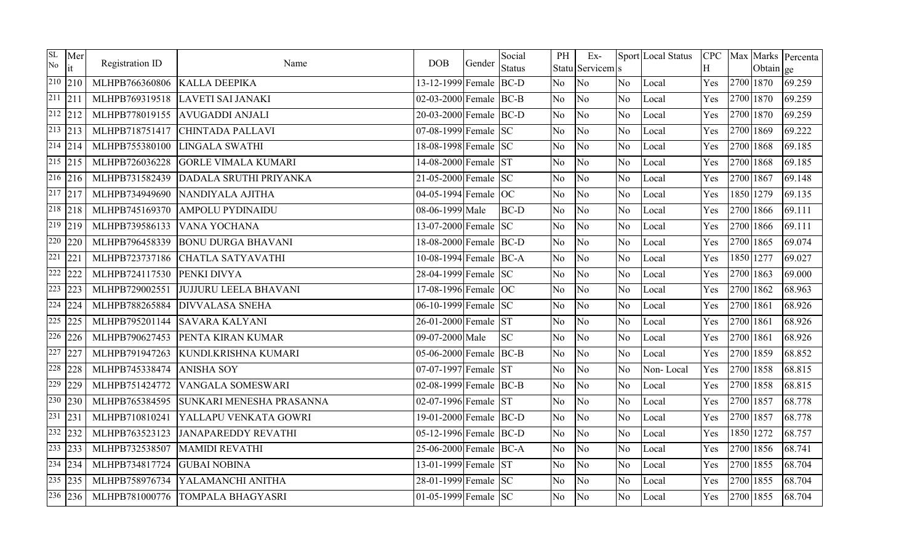| SL<br>No             | Mer<br>lit               | Registration ID | Name                         | <b>DOB</b>             | Gender | Social<br><b>Status</b> | PH             | $Ex-$<br>Statu Servicem s |                | Sport Local Status | H   |           | Obtain ge | CPC Max Marks Percenta |
|----------------------|--------------------------|-----------------|------------------------------|------------------------|--------|-------------------------|----------------|---------------------------|----------------|--------------------|-----|-----------|-----------|------------------------|
|                      | $210$ 210                | MLHPB766360806  | <b>KALLA DEEPIKA</b>         | 13-12-1999 Female      |        | $BC-D$                  | N <sub>o</sub> | No.                       | N <sub>o</sub> | Local              | Yes |           | 2700 1870 | 69.259                 |
| $\overline{211}$ 211 |                          | MLHPB769319518  | LAVETI SAI JANAKI            | 02-03-2000 Female BC-B |        |                         | N <sub>o</sub> | No.                       | No             | Local              | Yes | 2700 1870 |           | 69.259                 |
|                      | $\sqrt{212}$ 212         | MLHPB778019155  | <b>AVUGADDI ANJALI</b>       | 20-03-2000 Female BC-D |        |                         | N <sub>o</sub> | N <sub>o</sub>            | N <sub>o</sub> | Local              | Yes |           | 2700 1870 | 69.259                 |
|                      | $\overline{213}$ 213     | MLHPB718751417  | <b>CHINTADA PALLAVI</b>      | 07-08-1999 Female SC   |        |                         | No.            | No                        | No.            | Local              | Yes | 2700 1869 |           | 69.222                 |
|                      | $214$ 214                | MLHPB755380100  | <b>LINGALA SWATHI</b>        | 18-08-1998 Female SC   |        |                         | N <sub>o</sub> | N <sub>o</sub>            | No             | Local              | Yes | 2700 1868 |           | 69.185                 |
|                      | $\sqrt{215}$ 215         | MLHPB726036228  | <b>GORLE VIMALA KUMARI</b>   | 14-08-2000 Female ST   |        |                         | N <sub>o</sub> | No.                       | No.            | Local              | Yes | 2700 1868 |           | 69.185                 |
|                      | $\sqrt{216}$ 216         | MLHPB731582439  | DADALA SRUTHI PRIYANKA       | 21-05-2000 Female SC   |        |                         | N <sub>o</sub> | No                        | N <sub>o</sub> | Local              | Yes | 2700 1867 |           | 69.148                 |
|                      | $\overline{217}$ 217     | MLHPB734949690  | NANDIYALA AJITHA             | 04-05-1994 Female OC   |        |                         | N <sub>o</sub> | No                        | N <sub>o</sub> | Local              | Yes |           | 1850 1279 | 69.135                 |
|                      | $\sqrt{218}$ 218         | MLHPB745169370  | <b>AMPOLU PYDINAIDU</b>      | 08-06-1999 Male        |        | <b>BC-D</b>             | No             | No.                       | No             | Local              | Yes | 2700 1866 |           | 69.111                 |
|                      | $\boxed{219}$ 219        | MLHPB739586133  | <b>VANA YOCHANA</b>          | 13-07-2000 Female SC   |        |                         | N <sub>o</sub> | No.                       | N <sub>o</sub> | Local              | Yes | 2700 1866 |           | 69.111                 |
|                      | $220$ 220                | MLHPB796458339  | <b>BONU DURGA BHAVANI</b>    | 18-08-2000 Female BC-D |        |                         | N <sub>o</sub> | N <sub>o</sub>            | N <sub>o</sub> | Local              | Yes | 2700 1865 |           | 69.074                 |
| 221                  | $221$                    | MLHPB723737186  | CHATLA SATYAVATHI            | 10-08-1994 Female BC-A |        |                         | N <sub>o</sub> | No.                       | N <sub>o</sub> | Local              | Yes | 1850 1277 |           | 69.027                 |
|                      | $222$ 222                | MLHPB724117530  | PENKI DIVYA                  | 28-04-1999 Female SC   |        |                         | N <sub>o</sub> | No.                       | N <sub>o</sub> | Local              | Yes | 2700 1863 |           | 69.000                 |
|                      | $\sqrt{223}$ 223         | MLHPB729002551  | <b>JUJJURU LEELA BHAVANI</b> | 17-08-1996 Female OC   |        |                         | N <sub>o</sub> | No.                       | No             | Local              | Yes | 2700 1862 |           | 68.963                 |
|                      | $\overline{224}$ 224     | MLHPB788265884  | <b>DIVVALASA SNEHA</b>       | 06-10-1999 Female SC   |        |                         | N <sub>o</sub> | No.                       | N <sub>o</sub> | Local              | Yes | 2700 1861 |           | 68.926                 |
|                      | $\overline{225}$ 225     | MLHPB795201144  | <b>SAVARA KALYANI</b>        | 26-01-2000 Female ST   |        |                         | N <sub>o</sub> | No.                       | No.            | Local              | Yes | 2700 1861 |           | 68.926                 |
|                      | $226$ 226                | MLHPB790627453  | PENTA KIRAN KUMAR            | 09-07-2000 Male        |        | <b>SC</b>               | No             | No                        | N <sub>o</sub> | Local              | Yes | 2700 1861 |           | 68.926                 |
|                      | $\overline{227}$ 227     | MLHPB791947263  | KUNDI.KRISHNA KUMARI         | 05-06-2000 Female BC-B |        |                         | N <sub>o</sub> | N <sub>o</sub>            | N <sub>o</sub> | Local              | Yes | 2700 1859 |           | 68.852                 |
|                      | $\overline{228}$  228    | MLHPB745338474  | <b>ANISHA SOY</b>            | 07-07-1997 Female ST   |        |                         | N <sub>o</sub> | No                        | No             | Non-Local          | Yes | 2700 1858 |           | 68.815                 |
| 229                  | 229                      | MLHPB751424772  | <b>VANGALA SOMESWARI</b>     | 02-08-1999 Female BC-B |        |                         | N <sub>o</sub> | No.                       | No             | Local              | Yes | 2700 1858 |           | 68.815                 |
|                      | 230 230                  | MLHPB765384595  | SUNKARI MENESHA PRASANNA     | 02-07-1996 Female ST   |        |                         | N <sub>o</sub> | N <sub>o</sub>            | N <sub>o</sub> | Local              | Yes | 2700 1857 |           | 68.778                 |
|                      | $\overline{231}$   $231$ | MLHPB710810241  | YALLAPU VENKATA GOWRI        | 19-01-2000 Female BC-D |        |                         | N <sub>o</sub> | No                        | N <sub>o</sub> | Local              | Yes | 2700 1857 |           | 68.778                 |
|                      | $\overline{232}$ 232     | MLHPB763523123  | <b>JANAPAREDDY REVATHI</b>   | 05-12-1996 Female BC-D |        |                         | N <sub>o</sub> | No.                       | No.            | Local              | Yes |           | 1850 1272 | 68.757                 |
|                      | 233 233                  | MLHPB732538507  | <b>MAMIDI REVATHI</b>        | 25-06-2000 Female BC-A |        |                         | N <sub>o</sub> | No.                       | No             | Local              | Yes | 2700 1856 |           | 68.741                 |
|                      | $\sqrt{234}$ 234         | MLHPB734817724  | <b>GUBAI NOBINA</b>          | 13-01-1999 Female ST   |        |                         | N <sub>o</sub> | No                        | N <sub>o</sub> | Local              | Yes | 2700 1855 |           | 68.704                 |
|                      | $\overline{235}$  235    | MLHPB758976734  | YALAMANCHI ANITHA            | 28-01-1999 Female SC   |        |                         | N <sub>o</sub> | No.                       | N <sub>o</sub> | Local              | Yes | 2700 1855 |           | 68.704                 |
|                      | $\overline{236}$   236   | MLHPB781000776  | <b>TOMPALA BHAGYASRI</b>     | 01-05-1999 Female $SC$ |        |                         | No.            | No                        | No.            | Local              | Yes | 2700 1855 |           | 68.704                 |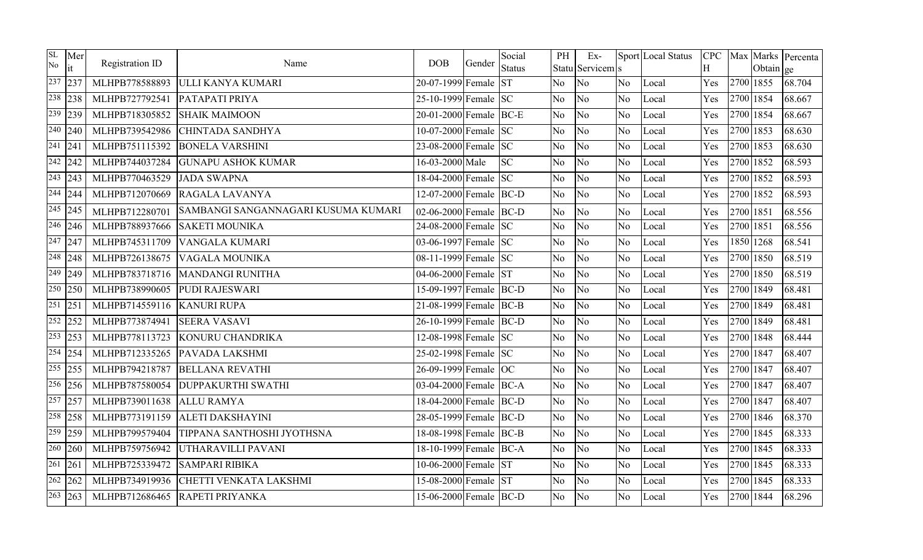| SL<br>No           | Mer<br>it                | Registration ID | Name                                | <b>DOB</b>             | Gender | Social<br><b>Status</b> | PH             | $Ex-$<br>Statu Servicem s |                | Sport Local Status | Η   |           | Obtain ge | CPC   Max   Marks   Percenta |
|--------------------|--------------------------|-----------------|-------------------------------------|------------------------|--------|-------------------------|----------------|---------------------------|----------------|--------------------|-----|-----------|-----------|------------------------------|
|                    | $237$ 237                | MLHPB778588893  | ULLI KANYA KUMARI                   | 20-07-1999 Female ST   |        |                         | N <sub>o</sub> | No                        | N <sub>o</sub> | Local              | Yes | 2700 1855 |           | 68.704                       |
|                    | $\overline{238}$ 238     | MLHPB727792541  | PATAPATI PRIYA                      | 25-10-1999 Female SC   |        |                         | No             | No                        | N <sub>o</sub> | Local              | Yes | 2700 1854 |           | 68.667                       |
| 239                | 239                      | MLHPB718305852  | <b>SHAIK MAIMOON</b>                | 20-01-2000 Female BC-E |        |                         | No             | No                        | N <sub>o</sub> | Local              | Yes | 2700 1854 |           | 68.667                       |
|                    | $\sqrt{240}$ 240         | MLHPB739542986  | <b>CHINTADA SANDHYA</b>             | 10-07-2000 Female SC   |        |                         | No             | No                        | No             | Local              | Yes | 2700 1853 |           | 68.630                       |
| $\sqrt{241}$   241 |                          | MLHPB751115392  | <b>BONELA VARSHINI</b>              | 23-08-2000 Female SC   |        |                         | N <sub>o</sub> | No                        | No.            | Local              | Yes | 2700 1853 |           | 68.630                       |
|                    | $242$ 242                | MLHPB744037284  | <b>GUNAPU ASHOK KUMAR</b>           | 16-03-2000 Male        |        | <b>SC</b>               | No             | No                        | No             | Local              | Yes | 2700 1852 |           | 68.593                       |
|                    | $\sqrt{243}$ 243         | MLHPB770463529  | <b>JADA SWAPNA</b>                  | 18-04-2000 Female SC   |        |                         | No             | N <sub>o</sub>            | N <sub>o</sub> | Local              | Yes | 2700 1852 |           | 68.593                       |
|                    | $\sqrt{244}$ 244         | MLHPB712070669  | RAGALA LAVANYA                      | 12-07-2000 Female BC-D |        |                         | N <sub>o</sub> | No                        | N <sub>o</sub> | Local              | Yes | 2700 1852 |           | 68.593                       |
|                    | $\sqrt{245}$   245       | MLHPB712280701  | SAMBANGI SANGANNAGARI KUSUMA KUMARI | 02-06-2000 Female BC-D |        |                         | N <sub>o</sub> | N <sub>o</sub>            | N <sub>o</sub> | Local              | Yes | 2700 1851 |           | 68.556                       |
|                    | $\sqrt{246}$ 246         | MLHPB788937666  | <b>SAKETI MOUNIKA</b>               | 24-08-2000 Female SC   |        |                         | N <sub>o</sub> | No                        | No             | Local              | Yes | 2700 1851 |           | 68.556                       |
|                    | $\sqrt{247}$ 247         | MLHPB745311709  | <b>VANGALA KUMARI</b>               | 03-06-1997 Female SC   |        |                         | N <sub>o</sub> | No                        | No             | Local              | Yes | 1850 1268 |           | 68.541                       |
|                    | $\sqrt{248}$ 248         | MLHPB726138675  | <b>VAGALA MOUNIKA</b>               | 08-11-1999 Female SC   |        |                         | No             | No                        | N <sub>o</sub> | Local              | Yes | 2700 1850 |           | 68.519                       |
|                    | $\sqrt{249}$ 249         | MLHPB783718716  | <b>MANDANGI RUNITHA</b>             | 04-06-2000 Female ST   |        |                         | No             | No                        | N <sub>o</sub> | Local              | Yes | 2700 1850 |           | 68.519                       |
|                    | $\overline{250}$ 250     | MLHPB738990605  | <b>PUDI RAJESWARI</b>               | 15-09-1997 Female BC-D |        |                         | No.            | No                        | No             | Local              | Yes | 2700 1849 |           | 68.481                       |
|                    | $\overline{251}$   $251$ | MLHPB714559116  | <b>KANURI RUPA</b>                  | 21-08-1999 Female BC-B |        |                         | No             | No                        | No             | Local              | Yes | 2700 1849 |           | 68.481                       |
|                    | $\sqrt{252}$ 252         | MLHPB773874941  | <b>SEERA VASAVI</b>                 | 26-10-1999 Female BC-D |        |                         | No             | No                        | No             | Local              | Yes | 2700 1849 |           | 68.481                       |
|                    | $\overline{253}$  253    | MLHPB778113723  | KONURU CHANDRIKA                    | 12-08-1998 Female SC   |        |                         | No             | No                        | N <sub>o</sub> | Local              | Yes | 2700 1848 |           | 68.444                       |
|                    | 254 254                  | MLHPB712335265  | PAVADA LAKSHMI                      | 25-02-1998 Female SC   |        |                         | No             | No                        | N <sub>o</sub> | Local              | Yes | 2700 1847 |           | 68.407                       |
|                    | $\overline{255}$  255    | MLHPB794218787  | <b>BELLANA REVATHI</b>              | 26-09-1999 Female OC   |        |                         | No             | No                        | No             | Local              | Yes | 2700 1847 |           | 68.407                       |
|                    | $\overline{256}$ 256     | MLHPB787580054  | <b>DUPPAKURTHI SWATHI</b>           | 03-04-2000 Female BC-A |        |                         | N <sub>o</sub> | N <sub>o</sub>            | N <sub>o</sub> | Local              | Yes | 2700 1847 |           | 68.407                       |
|                    | $\overline{257}$ 257     | MLHPB739011638  | <b>ALLU RAMYA</b>                   | 18-04-2000 Female BC-D |        |                         | N <sub>o</sub> | N <sub>o</sub>            | No             | Local              | Yes | 2700 1847 |           | 68.407                       |
|                    | 258 258                  | MLHPB773191159  | <b>ALETI DAKSHAYINI</b>             | 28-05-1999 Female BC-D |        |                         | No             | No                        | N <sub>o</sub> | Local              | Yes | 2700 1846 |           | 68.370                       |
|                    | $\sqrt{259}$ 259         | MLHPB799579404  | TIPPANA SANTHOSHI JYOTHSNA          | 18-08-1998 Female BC-B |        |                         | No             | No                        | N <sub>o</sub> | Local              | Yes | 2700 1845 |           | 68.333                       |
|                    | $260$ 260                | MLHPB759756942  | UTHARAVILLI PAVANI                  | 18-10-1999 Female BC-A |        |                         | N <sub>o</sub> | No                        | N <sub>o</sub> | Local              | Yes | 2700 1845 |           | 68.333                       |
|                    | $\sqrt{261}$ 261         | MLHPB725339472  | <b>SAMPARI RIBIKA</b>               | 10-06-2000 Female ST   |        |                         | No             | No                        | N <sub>o</sub> | Local              | Yes | 2700 1845 |           | 68.333                       |
|                    | $\overline{262}$ 262     | MLHPB734919936  | CHETTI VENKATA LAKSHMI              | 15-08-2000 Female ST   |        |                         | No             | No                        | N <sub>o</sub> | Local              | Yes | 2700 1845 |           | 68.333                       |
|                    | $\sqrt{263}$   263       | MLHPB712686465  | RAPETI PRIYANKA                     | 15-06-2000 Female BC-D |        |                         | No             | No                        | N <sub>o</sub> | Local              | Yes | 2700 1844 |           | 68.296                       |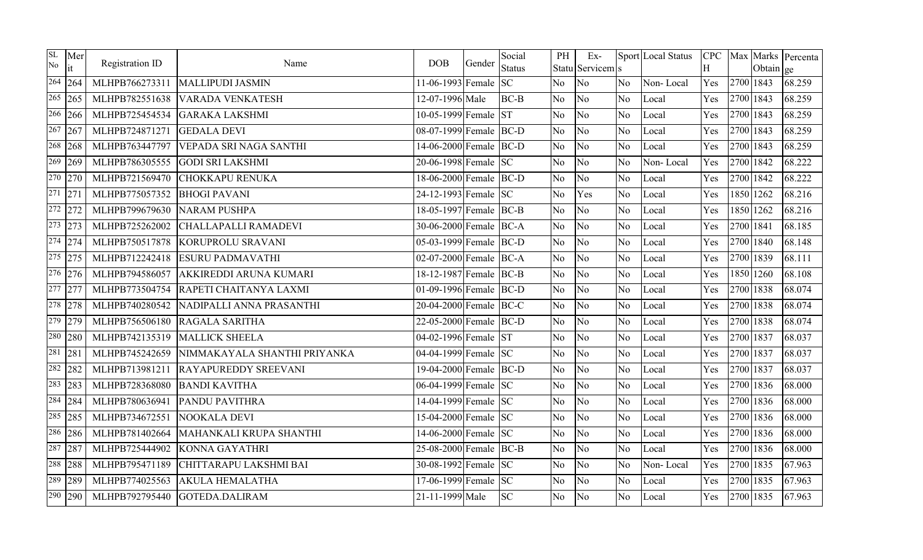| <b>SL</b><br>No      | Mer                    | Registration ID | Name                         | <b>DOB</b>             | Gender | Social        | PH             | Ex-              |                | Sport Local Status | <b>CPC</b> |           |           | Max Marks Percenta |
|----------------------|------------------------|-----------------|------------------------------|------------------------|--------|---------------|----------------|------------------|----------------|--------------------|------------|-----------|-----------|--------------------|
|                      | it                     |                 |                              |                        |        | <b>Status</b> |                | Statu Servicem s |                |                    | H          |           | Obtain ge |                    |
| 264                  | 264                    | MLHPB766273311  | <b>MALLIPUDI JASMIN</b>      | 11-06-1993 Female      |        | <b>SC</b>     | N <sub>o</sub> | No               | N <sub>o</sub> | Non-Local          | Yes        | 2700 1843 |           | 68.259             |
|                      | $\overline{265}$   265 | MLHPB782551638  | <b>VARADA VENKATESH</b>      | 12-07-1996 Male        |        | $BC-B$        | No.            | No               | N <sub>o</sub> | Local              | Yes        | 2700 1843 |           | 68.259             |
|                      | 266 266                | MLHPB725454534  | <b>GARAKA LAKSHMI</b>        | 10-05-1999 Female      |        | <b>ST</b>     | N <sub>o</sub> | No               | N <sub>o</sub> | Local              | Yes        | 2700 1843 |           | 68.259             |
|                      | $\overline{267}$ 267   | MLHPB724871271  | <b>GEDALA DEVI</b>           | 08-07-1999 Female BC-D |        |               | No             | No               | No             | Local              | Yes        | 2700 1843 |           | 68.259             |
|                      | $\sqrt{268}$ 268       | MLHPB763447797  | VEPADA SRI NAGA SANTHI       | 14-06-2000 Female BC-D |        |               | N <sub>o</sub> | N <sub>o</sub>   | N <sub>o</sub> | Local              | Yes        | 2700 1843 |           | 68.259             |
| 269                  | 269                    | MLHPB786305555  | <b>GODI SRI LAKSHMI</b>      | 20-06-1998 Female SC   |        |               | N <sub>o</sub> | No               | No             | Non-Local          | Yes        | 2700 1842 |           | 68.222             |
| 270                  | 270                    | MLHPB721569470  | <b>CHOKKAPU RENUKA</b>       | 18-06-2000 Female BC-D |        |               | N <sub>o</sub> | No               | N <sub>o</sub> | Local              | Yes        | 2700 1842 |           | 68.222             |
| $\overline{271}$ 271 |                        | MLHPB775057352  | <b>BHOGI PAVANI</b>          | 24-12-1993 Female SC   |        |               | N <sub>o</sub> | Yes              | N <sub>o</sub> | Local              | Yes        |           | 1850 1262 | 68.216             |
|                      | $\overline{272}$ 272   | MLHPB799679630  | <b>NARAM PUSHPA</b>          | 18-05-1997 Female BC-B |        |               | No             | No               | No             | Local              | Yes        |           | 1850 1262 | 68.216             |
|                      | $\sqrt{273}$ 273       | MLHPB725262002  | CHALLAPALLI RAMADEVI         | 30-06-2000 Female BC-A |        |               | N <sub>o</sub> | No               | N <sub>o</sub> | Local              | Yes        | 2700 1841 |           | 68.185             |
|                      | $274$ 274              | MLHPB750517878  | <b>KORUPROLU SRAVANI</b>     | 05-03-1999 Female BC-D |        |               | N <sub>o</sub> | No               | No             | Local              | Yes        | 2700 1840 |           | 68.148             |
| 275                  | 275                    | MLHPB712242418  | <b>ESURU PADMAVATHI</b>      | 02-07-2000 Female BC-A |        |               | N <sub>o</sub> | No               | N <sub>o</sub> | Local              | Yes        | 2700 1839 |           | 68.111             |
|                      | $\overline{276}$ 276   | MLHPB794586057  | AKKIREDDI ARUNA KUMARI       | 18-12-1987 Female BC-B |        |               | N <sub>o</sub> | N <sub>o</sub>   | No             | Local              | Yes        |           | 1850 1260 | 68.108             |
| 277                  | 277                    | MLHPB773504754  | RAPETI CHAITANYA LAXMI       | 01-09-1996 Female BC-D |        |               | No             | No               | N <sub>o</sub> | Local              | Yes        | 2700 1838 |           | 68.074             |
|                      | 278 278                | MLHPB740280542  | NADIPALLI ANNA PRASANTHI     | 20-04-2000 Female BC-C |        |               | N <sub>o</sub> | No               | N <sub>o</sub> | Local              | Yes        | 2700 1838 |           | 68.074             |
|                      | 279 279                | MLHPB756506180  | RAGALA SARITHA               | 22-05-2000 Female BC-D |        |               | N <sub>o</sub> | N <sub>o</sub>   | No             | Local              | Yes        | 2700 1838 |           | 68.074             |
| 280                  | 280                    | MLHPB742135319  | <b>MALLICK SHEELA</b>        | 04-02-1996 Female ST   |        |               | N <sub>o</sub> | No               | N <sub>o</sub> | Local              | Yes        | 2700 1837 |           | 68.037             |
| 281                  | 281                    | MLHPB745242659  | NIMMAKAYALA SHANTHI PRIYANKA | 04-04-1999 Female SC   |        |               | N <sub>o</sub> | No               | No             | Local              | Yes        | 2700 1837 |           | 68.037             |
| 282                  | 282                    | MLHPB713981211  | <b>RAYAPUREDDY SREEVANI</b>  | 19-04-2000 Female BC-D |        |               | N <sub>o</sub> | No               | N <sub>o</sub> | Local              | Yes        | 2700 1837 |           | 68.037             |
| 283                  | 283                    | MLHPB728368080  | <b>BANDI KAVITHA</b>         | 06-04-1999 Female SC   |        |               | N <sub>o</sub> | No               | N <sub>o</sub> | Local              | Yes        | 2700 1836 |           | 68.000             |
| 284                  | 284                    | MLHPB780636941  | PANDU PAVITHRA               | 14-04-1999 Female SC   |        |               | N <sub>o</sub> | No               | N <sub>o</sub> | Local              | Yes        | 2700 1836 |           | 68.000             |
| 285                  | 285                    | MLHPB734672551  | NOOKALA DEVI                 | 15-04-2000 Female SC   |        |               | No             | No               | No             | Local              | Yes        | 2700 1836 |           | 68.000             |
|                      | 286 286                | MLHPB781402664  | MAHANKALI KRUPA SHANTHI      | 14-06-2000 Female SC   |        |               | N <sub>o</sub> | N <sub>o</sub>   | N <sub>o</sub> | Local              | Yes        | 2700 1836 |           | 68.000             |
| 287                  | 287                    | MLHPB725444902  | <b>KONNA GAYATHRI</b>        | 25-08-2000 Female BC-B |        |               | N <sub>o</sub> | No               | No             | Local              | Yes        | 2700 1836 |           | 68.000             |
|                      | 288 288                | MLHPB795471189  | CHITTARAPU LAKSHMI BAI       | 30-08-1992 Female SC   |        |               | No             | No               | N <sub>o</sub> | Non-Local          | Yes        | 2700 1835 |           | 67.963             |
| 289                  | 289                    | MLHPB774025563  | <b>AKULA HEMALATHA</b>       | 17-06-1999 Female      |        | <b>SC</b>     | N <sub>o</sub> | N <sub>o</sub>   | N <sub>o</sub> | Local              | Yes        | 2700 1835 |           | 67.963             |
| 290                  | 290                    | MLHPB792795440  | GOTEDA.DALIRAM               | 21-11-1999 Male        |        | <b>SC</b>     | No.            | No               | N <sub>o</sub> | Local              | Yes        | 2700 1835 |           | 67.963             |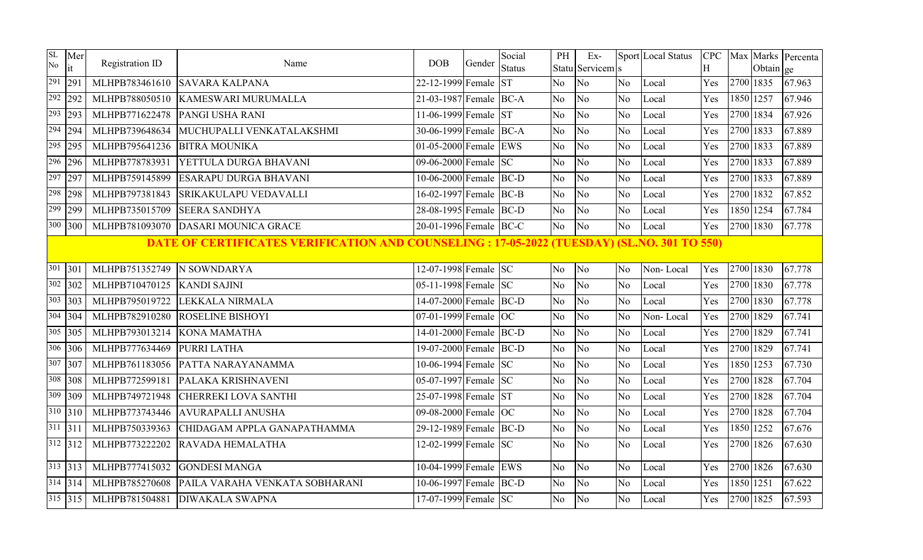| SL<br>No | Mer<br>it            | Registration ID | Name                                                                                               | <b>DOB</b>             | Gender | Social<br><b>Status</b> | PH             | Ex-<br>Statu Servicem s |                | Sport Local Status | <b>CPC</b><br>Η |           | Obtain ge | Max Marks Percenta |
|----------|----------------------|-----------------|----------------------------------------------------------------------------------------------------|------------------------|--------|-------------------------|----------------|-------------------------|----------------|--------------------|-----------------|-----------|-----------|--------------------|
|          | $\overline{291}$ 291 | MLHPB783461610  | <b>SAVARA KALPANA</b>                                                                              | 22-12-1999 Female      |        | <b>ST</b>               | N <sub>o</sub> | No                      | No.            | Local              | Yes             |           | 2700 1835 | 67.963             |
|          | 292 292              | MLHPB788050510  | <b>KAMESWARI MURUMALLA</b>                                                                         | 21-03-1987 Female BC-A |        |                         | No.            | No                      | N <sub>o</sub> | Local              | Yes             | 1850 1257 |           | 67.946             |
|          | $\sqrt{293}$ 293     | MLHPB771622478  | PANGI USHA RANI                                                                                    | 11-06-1999 Female ST   |        |                         | N <sub>o</sub> | N <sub>o</sub>          | N <sub>o</sub> | Local              | Yes             | 2700 1834 |           | 67.926             |
|          | $\sqrt{294}$ 294     | MLHPB739648634  | MUCHUPALLI VENKATALAKSHMI                                                                          | 30-06-1999 Female BC-A |        |                         | No.            | No                      | N <sub>o</sub> | Local              | Yes             | 2700 1833 |           | 67.889             |
|          | $\overline{295}$ 295 | MLHPB795641236  | <b>BITRA MOUNIKA</b>                                                                               | 01-05-2000 Female EWS  |        |                         | N <sub>o</sub> | N <sub>o</sub>          | N <sub>o</sub> | Local              | Yes             | 2700 1833 |           | 67.889             |
|          | $\overline{296}$ 296 | MLHPB778783931  | YETTULA DURGA BHAVANI                                                                              | 09-06-2000 Female SC   |        |                         | N <sub>o</sub> | N <sub>o</sub>          | N <sub>o</sub> | Local              | Yes             | 2700 1833 |           | 67.889             |
|          | $\overline{297}$ 297 | MLHPB759145899  | ESARAPU DURGA BHAVANI                                                                              | 10-06-2000 Female BC-D |        |                         | No             | No                      | N <sub>o</sub> | Local              | Yes             | 2700 1833 |           | 67.889             |
|          | 298 298              | MLHPB797381843  | SRIKAKULAPU VEDAVALLI                                                                              | 16-02-1997 Female BC-B |        |                         | N <sub>o</sub> | N <sub>o</sub>          | N <sub>o</sub> | Local              | Yes             | 2700 1832 |           | 67.852             |
|          | $\sqrt{299}$ 299     | MLHPB735015709  | <b>SEERA SANDHYA</b>                                                                               | 28-08-1995 Female BC-D |        |                         | <b>No</b>      | No                      | N <sub>o</sub> | Local              | Yes             | 1850 1254 |           | 67.784             |
|          | 300 300              | MLHPB781093070  | <b>DASARI MOUNICA GRACE</b>                                                                        | 20-01-1996 Female BC-C |        |                         | No.            | No                      | N <sub>o</sub> | Local              | Yes             |           | 2700 1830 | 67.778             |
|          |                      |                 | <b>DATE OF CERTIFICATES VERIFICATION AND COUNSELING : 17-05-2022 (TUESDAY) (SL.NO. 301 TO 550)</b> |                        |        |                         |                |                         |                |                    |                 |           |           |                    |
|          | $301$ 301            | MLHPB751352749  | N SOWNDARYA                                                                                        | 12-07-1998 Female SC   |        |                         | No             | No                      | No             | Non-Local          | Yes             | 2700 1830 |           | 67.778             |
|          | $302$ 302            | MLHPB710470125  | <b>KANDI SAJINI</b>                                                                                | 05-11-1998 Female $SC$ |        |                         | No             | No                      | N <sub>o</sub> | Local              | Yes             | 2700 1830 |           | 67.778             |
|          | $303 \,   303$       | MLHPB795019722  | LEKKALA NIRMALA                                                                                    | 14-07-2000 Female BC-D |        |                         | N <sub>o</sub> | No                      | N <sub>o</sub> | Local              | Yes             | 2700 1830 |           | 67.778             |
|          | $304$ 304            | MLHPB782910280  | <b>ROSELINE BISHOYI</b>                                                                            | 07-01-1999 Female OC   |        |                         | No             | No                      | N <sub>o</sub> | Non-Local          | Yes             | 2700 1829 |           | 67.741             |
|          | $305$ 305            | MLHPB793013214  | <b>KONA MAMATHA</b>                                                                                | 14-01-2000 Female BC-D |        |                         | No             | N <sub>o</sub>          | No             | Local              | Yes             | 2700 1829 |           | 67.741             |
|          | $306$ 306            | MLHPB777634469  | PURRI LATHA                                                                                        | 19-07-2000 Female BC-D |        |                         | N <sub>o</sub> | N <sub>o</sub>          | N <sub>o</sub> | Local              | Yes             | 2700 1829 |           | 67.741             |
|          | $307$ 307            | MLHPB761183056  | PATTA NARAYANAMMA                                                                                  | 10-06-1994 Female SC   |        |                         | No             | No                      | N <sub>o</sub> | Local              | Yes             |           | 1850 1253 | 67.730             |
|          | 308 308              | MLHPB772599181  | PALAKA KRISHNAVENI                                                                                 | 05-07-1997 Female SC   |        |                         | N <sub>o</sub> | No                      | N <sub>o</sub> | Local              | Yes             | 2700 1828 |           | 67.704             |
|          | 309 309              | MLHPB749721948  | CHERREKI LOVA SANTHI                                                                               | 25-07-1998 Female ST   |        |                         | N <sub>o</sub> | No                      | N <sub>o</sub> | Local              | Yes             | 2700 1828 |           | 67.704             |
|          | $310$ 310            | MLHPB773743446  | <b>AVURAPALLI ANUSHA</b>                                                                           | 09-08-2000 Female OC   |        |                         | No             | N <sub>o</sub>          | N <sub>o</sub> | Local              | Yes             | 2700 1828 |           | 67.704             |
|          | $311$ 311            | MLHPB750339363  | CHIDAGAM APPLA GANAPATHAMMA                                                                        | 29-12-1989 Female BC-D |        |                         | N <sub>o</sub> | No                      | N <sub>o</sub> | Local              | Yes             | 1850 1252 |           | 67.676             |
|          | $312$ 312            | MLHPB773222202  | RAVADA HEMALATHA                                                                                   | 12-02-1999 Female SC   |        |                         | N <sub>o</sub> | N <sub>o</sub>          | No             | Local              | Yes             | 2700 1826 |           | 67.630             |
|          | $313$ 313            | MLHPB777415032  | <b>GONDESI MANGA</b>                                                                               | 10-04-1999 Female EWS  |        |                         | No             | No                      | N <sub>o</sub> | Local              | Yes             | 2700 1826 |           | 67.630             |
|          | $314$ 314            | MLHPB785270608  | PAILA VARAHA VENKATA SOBHARANI                                                                     | 10-06-1997 Female BC-D |        |                         | No             | No                      | N <sub>o</sub> | Local              | Yes             | 1850 1251 |           | 67.622             |
|          | $315$ 315            | MLHPB781504881  | <b>DIWAKALA SWAPNA</b>                                                                             | 17-07-1999 Female SC   |        |                         | No             | No                      | N <sub>o</sub> | Local              | Yes             | 2700 1825 |           | 67.593             |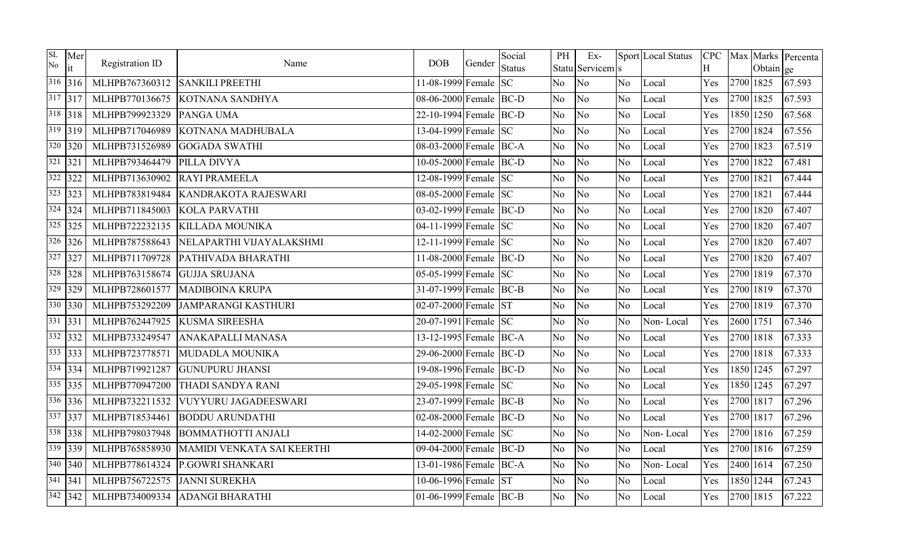| SL<br>No | Mer<br>it             | Registration ID | Name                       | <b>DOB</b>               | Gender | Social<br><b>Status</b> | PH             | $Ex-$<br>Statu Servicem s |                | Sport Local Status | H   |           | Obtain ge | CPC   Max   Marks   Percenta |
|----------|-----------------------|-----------------|----------------------------|--------------------------|--------|-------------------------|----------------|---------------------------|----------------|--------------------|-----|-----------|-----------|------------------------------|
|          | 316 316               | MLHPB767360312  | <b>SANKILI PREETHI</b>     | 11-08-1999 Female $ SC $ |        |                         | No             | No                        | No.            | Local              | Yes | 2700 1825 |           | 67.593                       |
|          | 317 317               | MLHPB770136675  | KOTNANA SANDHYA            | 08-06-2000 Female BC-D   |        |                         | No             | No                        | N <sub>o</sub> | Local              | Yes | 2700 1825 |           | 67.593                       |
|          | 318 318               | MLHPB799923329  | PANGA UMA                  | 22-10-1994 Female BC-D   |        |                         | N <sub>o</sub> | No                        | N <sub>o</sub> | Local              | Yes | 1850 1250 |           | 67.568                       |
|          | $319$ 319             | MLHPB717046989  | KOTNANA MADHUBALA          | 13-04-1999 Female SC     |        |                         | No             | No                        | No             | Local              | Yes | 2700 1824 |           | 67.556                       |
|          | $320$ 320             | MLHPB731526989  | <b>GOGADA SWATHI</b>       | 08-03-2000 Female BC-A   |        |                         | No             | No                        | No.            | Local              | Yes | 2700 1823 |           | 67.519                       |
|          | $321$ 321             | MLHPB793464479  | PILLA DIVYA                | 10-05-2000 Female BC-D   |        |                         | No             | N <sub>o</sub>            | N <sub>o</sub> | Local              | Yes | 2700 1822 |           | 67.481                       |
|          | $322$ 322             | MLHPB713630902  | <b>RAYI PRAMEELA</b>       | 12-08-1999 Female SC     |        |                         | No             | No                        | N <sub>o</sub> | Local              | Yes | 2700 1821 |           | 67.444                       |
|          | $323$ 323             | MLHPB783819484  | KANDRAKOTA RAJESWARI       | 08-05-2000 Female SC     |        |                         | No             | No                        | N <sub>o</sub> | Local              | Yes | 2700 1821 |           | 67.444                       |
|          | $324$ 324             | MLHPB711845003  | <b>KOLA PARVATHI</b>       | 03-02-1999 Female BC-D   |        |                         | No             | No                        | No             | Local              | Yes | 2700 1820 |           | 67.407                       |
|          | $325$ 325             | MLHPB722232135  | <b>KILLADA MOUNIKA</b>     | 04-11-1999 Female SC     |        |                         | No             | N <sub>o</sub>            | N <sub>o</sub> | Local              | Yes | 2700 1820 |           | 67.407                       |
|          | $326$ 326             | MLHPB787588643  | NELAPARTHI VIJAYALAKSHMI   | 12-11-1999 Female SC     |        |                         | N <sub>o</sub> | No                        | No             | Local              | Yes | 2700 1820 |           | 67.407                       |
|          | $327$ 327             | MLHPB711709728  | PATHIVADA BHARATHI         | 11-08-2000 Female BC-D   |        |                         | No             | No                        | No.            | Local              | Yes | 2700 1820 |           | 67.407                       |
|          | 328 328               | MLHPB763158674  | <b>GUJJA SRUJANA</b>       | 05-05-1999 Female SC     |        |                         | No             | No                        | No             | Local              | Yes | 2700 1819 |           | 67.370                       |
|          | $329$ 329             | MLHPB728601577  | <b>MADIBOINA KRUPA</b>     | 31-07-1999 Female BC-B   |        |                         | No             | No                        | No             | Local              | Yes | 2700 1819 |           | 67.370                       |
|          | $330$ 330             | MLHPB753292209  | <b>JAMPARANGI KASTHURI</b> | 02-07-2000 Female ST     |        |                         | No             | No                        | No.            | Local              | Yes | 2700 1819 |           | 67.370                       |
|          | $331$ 331             | MLHPB762447925  | <b>KUSMA SIREESHA</b>      | 20-07-1991 Female SC     |        |                         | No             | No                        | No             | Non-Local          | Yes | 2600 1751 |           | 67.346                       |
|          | $332$ 332             | MLHPB733249547  | ANAKAPALLI MANASA          | 13-12-1995 Female BC-A   |        |                         | No             | No                        | N <sub>o</sub> | Local              | Yes | 2700 1818 |           | 67.333                       |
|          | 333 333               | MLHPB723778571  | MUDADLA MOUNIKA            | 29-06-2000 Female BC-D   |        |                         | No             | No                        | N <sub>o</sub> | Local              | Yes | 2700 1818 |           | 67.333                       |
|          | $334$ 334             | MLHPB719921287  | <b>GUNUPURU JHANSI</b>     | 19-08-1996 Female BC-D   |        |                         | No             | No                        | No             | Local              | Yes | 1850 1245 |           | 67.297                       |
|          | $335$ 335             | MLHPB770947200  | THADI SANDYA RANI          | 29-05-1998 Female SC     |        |                         | N <sub>o</sub> | No                        | N <sub>o</sub> | Local              | Yes | 1850 1245 |           | 67.297                       |
|          | $336$ 336             | MLHPB732211532  | VUYYURU JAGADEESWARI       | 23-07-1999 Female BC-B   |        |                         | No             | N <sub>o</sub>            | No             | Local              | Yes | 2700 1817 |           | 67.296                       |
|          | 337 337               | MLHPB718534461  | <b>BODDU ARUNDATHI</b>     | 02-08-2000 Female BC-D   |        |                         | No             | No                        | N <sub>o</sub> | Local              | Yes | 2700 1817 |           | 67.296                       |
|          | 338 338               | MLHPB798037948  | <b>BOMMATHOTTI ANJALI</b>  | 14-02-2000 Female SC     |        |                         | N <sub>o</sub> | N <sub>o</sub>            | No             | Non-Local          | Yes | 2700 1816 |           | 67.259                       |
|          | 339 339               | MLHPB765858930  | MAMIDI VENKATA SAI KEERTHI | 09-04-2000 Female BC-D   |        |                         | No             | No                        | No             | Local              | Yes | 2700 1816 |           | 67.259                       |
|          | $340$ 340             | MLHPB778614324  | P.GOWRI SHANKARI           | 13-01-1986 Female BC-A   |        |                         | No             | N <sub>o</sub>            | N <sub>o</sub> | Non-Local          | Yes | 2400 1614 |           | 67.250                       |
|          | $\frac{341}{341}$ 341 | MLHPB756722575  | <b>JANNI SUREKHA</b>       | 10-06-1996 Female ST     |        |                         | No             | No                        | No             | Local              | Yes | 1850 1244 |           | 67.243                       |
|          | $342$ 342             | MLHPB734009334  | <b>ADANGI BHARATHI</b>     | 01-06-1999 Female BC-B   |        |                         | No             | No                        | No.            | Local              | Yes | 2700 1815 |           | 67.222                       |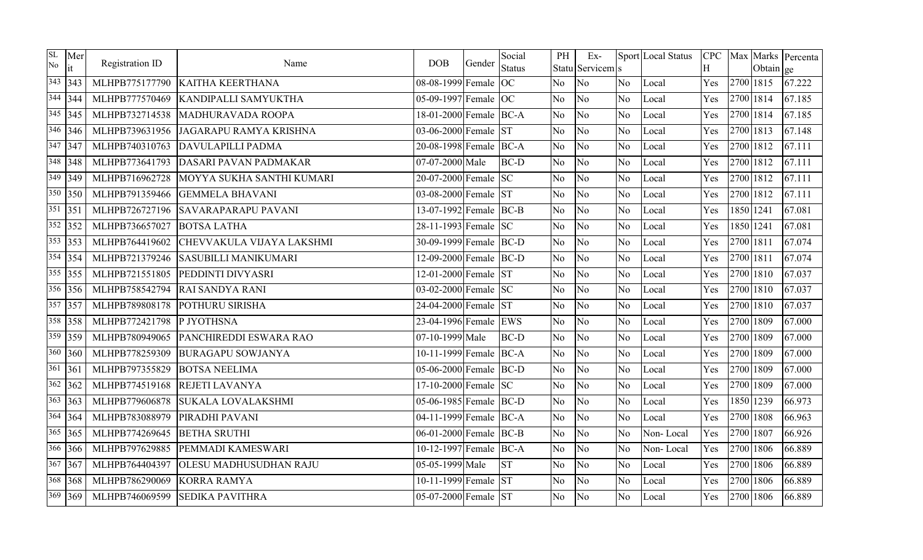| SL<br>No | Mer<br>it | Registration ID | Name                          | <b>DOB</b>             | Gender | Social<br><b>Status</b> | PH             | $Ex-$<br>Statu Servicem s |                | Sport Local Status | Η   |           | Obtain ge | CPC   Max   Marks   Percenta |
|----------|-----------|-----------------|-------------------------------|------------------------|--------|-------------------------|----------------|---------------------------|----------------|--------------------|-----|-----------|-----------|------------------------------|
| 343      | 343       | MLHPB775177790  | <b>KAITHA KEERTHANA</b>       | 08-08-1999 Female OC   |        |                         | N <sub>o</sub> | No                        | N <sub>o</sub> | Local              | Yes | 2700 1815 |           | 67.222                       |
|          | $344$ 344 | MLHPB777570469  | <b>KANDIPALLI SAMYUKTHA</b>   | 05-09-1997 Female OC   |        |                         | No             | No                        | N <sub>o</sub> | Local              | Yes | 2700 1814 |           | 67.185                       |
|          | $345$ 345 | MLHPB732714538  | MADHURAVADA ROOPA             | 18-01-2000 Female BC-A |        |                         | No             | No                        | N <sub>o</sub> | Local              | Yes | 2700 1814 |           | 67.185                       |
|          | $346$ 346 | MLHPB739631956  | JAGARAPU RAMYA KRISHNA        | 03-06-2000 Female ST   |        |                         | No             | No                        | No             | Local              | Yes | 2700 1813 |           | 67.148                       |
|          | $347$ 347 | MLHPB740310763  | DAVULAPILLI PADMA             | 20-08-1998 Female BC-A |        |                         | No             | No                        | No.            | Local              | Yes | 2700 1812 |           | 67.111                       |
|          | $348$ 348 | MLHPB773641793  | <b>DASARI PAVAN PADMAKAR</b>  | 07-07-2000 Male        |        | <b>BC-D</b>             | No             | No                        | No             | Local              | Yes | 2700 1812 |           | 67.111                       |
| 349      | 349       | MLHPB716962728  | MOYYA SUKHA SANTHI KUMARI     | 20-07-2000 Female SC   |        |                         | No             | No                        | N <sub>o</sub> | Local              | Yes | 2700 1812 |           | 67.111                       |
|          | $350$ 350 | MLHPB791359466  | <b>GEMMELA BHAVANI</b>        | 03-08-2000 Female ST   |        |                         | N <sub>o</sub> | No                        | N <sub>o</sub> | Local              | Yes | 2700 1812 |           | 67.111                       |
|          | 351 351   | MLHPB726727196  | <b>SAVARAPARAPU PAVANI</b>    | 13-07-1992 Female BC-B |        |                         | No             | No                        | No             | Local              | Yes | 1850 1241 |           | 67.081                       |
|          | $352$ 352 | MLHPB736657027  | <b>BOTSA LATHA</b>            | 28-11-1993 Female SC   |        |                         | N <sub>o</sub> | N <sub>o</sub>            | N <sub>o</sub> | Local              | Yes | 1850 1241 |           | 67.081                       |
|          | $353$ 353 | MLHPB764419602  | CHEVVAKULA VIJAYA LAKSHMI     | 30-09-1999 Female BC-D |        |                         | No             | No                        | No             | Local              | Yes | 2700 1811 |           | 67.074                       |
|          | $354$ 354 | MLHPB721379246  | <b>SASUBILLI MANIKUMARI</b>   | 12-09-2000 Female BC-D |        |                         | No             | No                        | N <sub>o</sub> | Local              | Yes | 2700 1811 |           | 67.074                       |
|          | $355$ 355 | MLHPB721551805  | PEDDINTI DIVYASRI             | 12-01-2000 Female ST   |        |                         | No             | No                        | N <sub>o</sub> | Local              | Yes | 2700 1810 |           | 67.037                       |
|          | $356$ 356 | MLHPB758542794  | <b>RAI SANDYA RANI</b>        | 03-02-2000 Female SC   |        |                         | No.            | No                        | No.            | Local              | Yes | 2700 1810 |           | 67.037                       |
|          | $357$ 357 | MLHPB789808178  | <b>POTHURU SIRISHA</b>        | 24-04-2000 Female ST   |        |                         | N <sub>o</sub> | No                        | No             | Local              | Yes | 2700 1810 |           | 67.037                       |
|          | 358 358   | MLHPB772421798  | P JYOTHSNA                    | 23-04-1996 Female EWS  |        |                         | No             | No                        | No             | Local              | Yes | 2700 1809 |           | 67.000                       |
| 359      | 359       | MLHPB780949065  | PANCHIREDDI ESWARA RAO        | 07-10-1999 Male        |        | <b>BC-D</b>             | No             | No                        | N <sub>o</sub> | Local              | Yes | 2700 1809 |           | 67.000                       |
|          | $360$ 360 | MLHPB778259309  | <b>BURAGAPU SOWJANYA</b>      | 10-11-1999 Female BC-A |        |                         | No             | No                        | N <sub>o</sub> | Local              | Yes | 2700 1809 |           | 67.000                       |
| 361      | 361       | MLHPB797355829  | <b>BOTSA NEELIMA</b>          | 05-06-2000 Female BC-D |        |                         | No             | No                        | No             | Local              | Yes | 2700 1809 |           | 67.000                       |
|          | $362$ 362 | MLHPB774519168  | <b>REJETI LAVANYA</b>         | 17-10-2000 Female SC   |        |                         | N <sub>o</sub> | N <sub>o</sub>            | N <sub>o</sub> | Local              | Yes | 2700 1809 |           | 67.000                       |
|          | $363$ 363 | MLHPB779606878  | <b>SUKALA LOVALAKSHMI</b>     | 05-06-1985 Female BC-D |        |                         | N <sub>o</sub> | N <sub>o</sub>            | No             | Local              | Yes | 1850 1239 |           | 66.973                       |
|          | $364$ 364 | MLHPB783088979  | PIRADHI PAVANI                | 04-11-1999 Female BC-A |        |                         | No             | No                        | N <sub>o</sub> | Local              | Yes | 2700 1808 |           | 66.963                       |
|          | $365$ 365 | MLHPB774269645  | <b>BETHA SRUTHI</b>           | 06-01-2000 Female BC-B |        |                         | No             | No                        | No             | Non-Local          | Yes | 2700 1807 |           | 66.926                       |
|          | 366 366   | MLHPB797629885  | PEMMADI KAMESWARI             | 10-12-1997 Female BC-A |        |                         | No             | No                        | No             | Non-Local          | Yes | 2700 1806 |           | 66.889                       |
|          | $367$ 367 | MLHPB764404397  | <b>OLESU MADHUSUDHAN RAJU</b> | 05-05-1999 Male        |        | <b>ST</b>               | No             | N <sub>o</sub>            | N <sub>o</sub> | Local              | Yes | 2700 1806 |           | 66.889                       |
|          | 368 368   | MLHPB786290069  | <b>KORRA RAMYA</b>            | 10-11-1999 Female ST   |        |                         | No             | No                        | N <sub>o</sub> | Local              | Yes | 2700 1806 |           | 66.889                       |
|          | 369 369   | MLHPB746069599  | <b>SEDIKA PAVITHRA</b>        | 05-07-2000 Female ST   |        |                         | No             | No                        | N <sub>o</sub> | Local              | Yes | 2700 1806 |           | 66.889                       |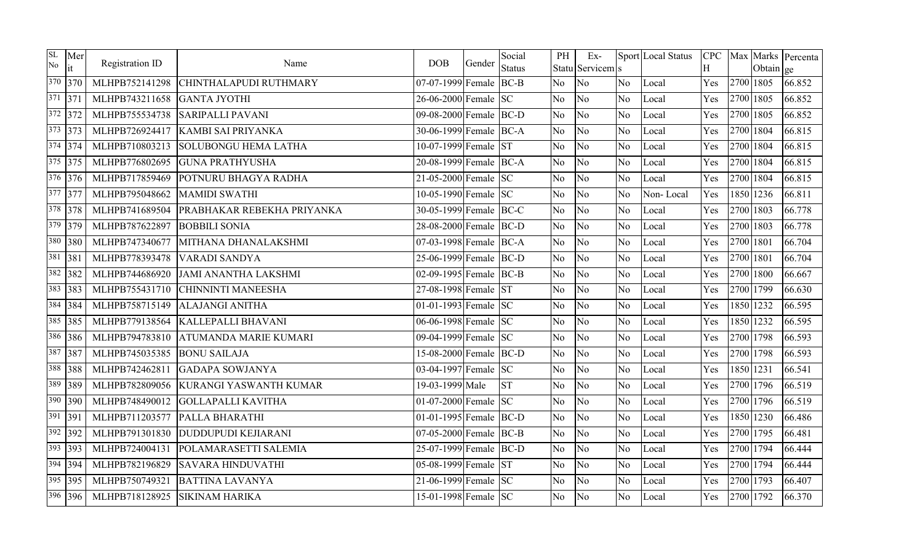| SL<br>No | Mer<br>it | Registration ID | Name                         | <b>DOB</b>             | Gender | Social<br><b>Status</b> | PH             | $Ex-$<br>Statu Servicem s |                | Sport Local Status | Η   |           | Obtain ge | CPC   Max   Marks   Percenta |
|----------|-----------|-----------------|------------------------------|------------------------|--------|-------------------------|----------------|---------------------------|----------------|--------------------|-----|-----------|-----------|------------------------------|
|          | 370 370   | MLHPB752141298  | CHINTHALAPUDI RUTHMARY       | 07-07-1999 Female BC-B |        |                         | No             | No                        | N <sub>o</sub> | Local              | Yes | 2700 1805 |           | 66.852                       |
| 371 371  |           | MLHPB743211658  | <b>GANTA JYOTHI</b>          | 26-06-2000 Female SC   |        |                         | No             | No                        | N <sub>o</sub> | Local              | Yes | 2700 1805 |           | 66.852                       |
|          | $372$ 372 | MLHPB755534738  | <b>SARIPALLI PAVANI</b>      | 09-08-2000 Female BC-D |        |                         | No             | No                        | N <sub>o</sub> | Local              | Yes | 2700 1805 |           | 66.852                       |
|          | $373$ 373 | MLHPB726924417  | KAMBI SAI PRIYANKA           | 30-06-1999 Female BC-A |        |                         | No.            | No                        | No             | Local              | Yes | 2700 1804 |           | 66.815                       |
|          | $374$ 374 | MLHPB710803213  | <b>SOLUBONGU HEMA LATHA</b>  | 10-07-1999 Female ST   |        |                         | N <sub>o</sub> | No                        | No.            | Local              | Yes | 2700 1804 |           | 66.815                       |
|          | $375$ 375 | MLHPB776802695  | <b>GUNA PRATHYUSHA</b>       | 20-08-1999 Female BC-A |        |                         | No             | No                        | No             | Local              | Yes | 2700 1804 |           | 66.815                       |
|          | $376$ 376 | MLHPB717859469  | POTNURU BHAGYA RADHA         | 21-05-2000 Female SC   |        |                         | N <sub>o</sub> | No                        | N <sub>o</sub> | Local              | Yes | 2700 1804 |           | 66.815                       |
|          | $377$ 377 | MLHPB795048662  | <b>MAMIDI SWATHI</b>         | 10-05-1990 Female SC   |        |                         | No             | No                        | No             | Non-Local          | Yes | 1850 1236 |           | 66.811                       |
|          | 378 378   | MLHPB741689504  | PRABHAKAR REBEKHA PRIYANKA   | 30-05-1999 Female BC-C |        |                         | No             | No                        | No             | Local              | Yes | 2700 1803 |           | 66.778                       |
|          | $379$ 379 | MLHPB787622897  | <b>BOBBILI SONIA</b>         | 28-08-2000 Female BC-D |        |                         | N <sub>o</sub> | N <sub>o</sub>            | No             | Local              | Yes | 2700 1803 |           | 66.778                       |
| 380      | 380       | MLHPB747340677  | MITHANA DHANALAKSHMI         | 07-03-1998 Female BC-A |        |                         | No             | No                        | No             | Local              | Yes | 2700 1801 |           | 66.704                       |
| 381      | 381       | MLHPB778393478  | VARADI SANDYA                | 25-06-1999 Female BC-D |        |                         | No             | No                        | No             | Local              | Yes | 2700 1801 |           | 66.704                       |
|          | $382$ 382 | MLHPB744686920  | <b>JAMI ANANTHA LAKSHMI</b>  | 02-09-1995 Female BC-B |        |                         | N <sub>o</sub> | N <sub>o</sub>            | N <sub>o</sub> | Local              | Yes | 2700 1800 |           | 66.667                       |
| 383      | 383       | MLHPB755431710  | <b>CHINNINTI MANEESHA</b>    | 27-08-1998 Female ST   |        |                         | No             | No                        | No             | Local              | Yes | 2700 1799 |           | 66.630                       |
|          | 384 384   | MLHPB758715149  | <b>ALAJANGI ANITHA</b>       | 01-01-1993 Female $SC$ |        |                         | No             | N <sub>o</sub>            | N <sub>o</sub> | Local              | Yes | 1850 1232 |           | 66.595                       |
|          | $385$ 385 | MLHPB779138564  | <b>KALLEPALLI BHAVANI</b>    | 06-06-1998 Female SC   |        |                         | N <sub>o</sub> | N <sub>o</sub>            | No             | Local              | Yes | 1850 1232 |           | 66.595                       |
|          | 386 386   | MLHPB794783810  | <b>ATUMANDA MARIE KUMARI</b> | 09-04-1999 Female SC   |        |                         | No             | No                        | N <sub>o</sub> | Local              | Yes | 2700 1798 |           | 66.593                       |
| 387      | 387       | MLHPB745035385  | <b>BONU SAILAJA</b>          | 15-08-2000 Female BC-D |        |                         | No.            | N <sub>o</sub>            | N <sub>o</sub> | Local              | Yes | 2700 1798 |           | 66.593                       |
| 388      | 388       | MLHPB742462811  | <b>GADAPA SOWJANYA</b>       | 03-04-1997 Female SC   |        |                         | N <sub>o</sub> | No                        | N <sub>o</sub> | Local              | Yes | 1850 1231 |           | 66.541                       |
| 389      | 389       | MLHPB782809056  | KURANGI YASWANTH KUMAR       | 19-03-1999 Male        |        | <b>ST</b>               | No             | No                        | N <sub>o</sub> | Local              | Yes | 2700 1796 |           | 66.519                       |
| 390      | 390       | MLHPB748490012  | <b>GOLLAPALLI KAVITHA</b>    | 01-07-2000 Female $SC$ |        |                         | N <sub>o</sub> | No                        | N <sub>o</sub> | Local              | Yes | 2700 1796 |           | 66.519                       |
| 391 391  |           | MLHPB711203577  | PALLA BHARATHI               | 01-01-1995 Female BC-D |        |                         | N <sub>o</sub> | No                        | N <sub>o</sub> | Local              | Yes | 1850 1230 |           | 66.486                       |
|          | $392$ 392 | MLHPB791301830  | <b>DUDDUPUDI KEJIARANI</b>   | 07-05-2000 Female BC-B |        |                         | No             | No                        | N <sub>o</sub> | Local              | Yes | 2700 1795 |           | 66.481                       |
|          | 393 393   | MLHPB724004131  | POLAMARASETTI SALEMIA        | 25-07-1999 Female BC-D |        |                         | No             | N <sub>o</sub>            | N <sub>o</sub> | Local              | Yes | 2700 1794 |           | 66.444                       |
|          | $394$ 394 | MLHPB782196829  | <b>SAVARA HINDUVATHI</b>     | 05-08-1999 Female ST   |        |                         | <b>No</b>      | No                        | N <sub>o</sub> | Local              | Yes | 2700 1794 |           | 66.444                       |
|          | $395$ 395 | MLHPB750749321  | <b>BATTINA LAVANYA</b>       | 21-06-1999 Female SC   |        |                         | No             | No                        | N <sub>o</sub> | Local              | Yes | 2700 1793 |           | 66.407                       |
|          | $396$ 396 | MLHPB718128925  | <b>SIKINAM HARIKA</b>        | 15-01-1998 Female SC   |        |                         | No.            | No                        | N <sub>o</sub> | Local              | Yes | 2700 1792 |           | 66.370                       |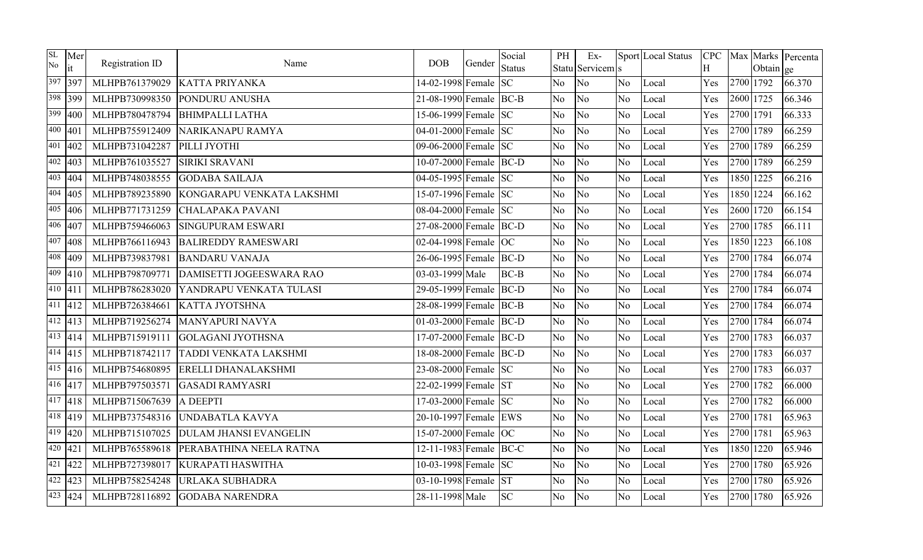| SL<br>No | Mer<br>it         | Registration ID | Name                          | <b>DOB</b>             | Gender | Social<br><b>Status</b> | PH             | $Ex-$<br>Statu Servicem s |                | Sport Local Status | <b>CPC</b><br>H |           | Obtain ge | Max Marks Percenta |
|----------|-------------------|-----------------|-------------------------------|------------------------|--------|-------------------------|----------------|---------------------------|----------------|--------------------|-----------------|-----------|-----------|--------------------|
|          | 397 397           | MLHPB761379029  | <b>KATTA PRIYANKA</b>         | 14-02-1998 Female      |        | <b>SC</b>               | N <sub>o</sub> | No                        | No.            | Local              | Yes             | 2700 1792 |           | 66.370             |
|          | 398 399           | MLHPB730998350  | PONDURU ANUSHA                | 21-08-1990 Female BC-B |        |                         | No             | No                        | N <sub>o</sub> | Local              | Yes             | 2600 1725 |           | 66.346             |
| 399      | 400               | MLHPB780478794  | <b>BHIMPALLI LATHA</b>        | 15-06-1999 Female SC   |        |                         | N <sub>o</sub> | No                        | N <sub>o</sub> | Local              | Yes             | 2700 1791 |           | 66.333             |
| 400      | 401               | MLHPB755912409  | NARIKANAPU RAMYA              | 04-01-2000 Female SC   |        |                         | N <sub>o</sub> | No                        | N <sub>o</sub> | Local              | Yes             | 2700 1789 |           | 66.259             |
|          | $401$ 402         | MLHPB731042287  | PILLI JYOTHI                  | 09-06-2000 Female SC   |        |                         | N <sub>o</sub> | No                        | N <sub>o</sub> | Local              | Yes             | 2700 1789 |           | 66.259             |
| 402      | 403               | MLHPB761035527  | <b>SIRIKI SRAVANI</b>         | 10-07-2000 Female BC-D |        |                         | N <sub>o</sub> | No                        | N <sub>o</sub> | Local              | Yes             | 2700 1789 |           | 66.259             |
|          | $\sqrt{403}$ 404  | MLHPB748038555  | <b>GODABA SAILAJA</b>         | 04-05-1995 Female SC   |        |                         | No.            | No                        | N <sub>o</sub> | Local              | Yes             | 1850 1225 |           | 66.216             |
|          | $404$ 405         | MLHPB789235890  | KONGARAPU VENKATA LAKSHMI     | 15-07-1996 Female SC   |        |                         | N <sub>o</sub> | No                        | N <sub>o</sub> | Local              | Yes             | 1850 1224 |           | 66.162             |
| 405      | 406               | MLHPB771731259  | <b>CHALAPAKA PAVANI</b>       | 08-04-2000 Female SC   |        |                         | N <sub>o</sub> | No                        | No             | Local              | Yes             | 2600 1720 |           | 66.154             |
|          | $406$ 407         | MLHPB759466063  | <b>SINGUPURAM ESWARI</b>      | 27-08-2000 Female BC-D |        |                         | No             | No                        | N <sub>o</sub> | Local              | Yes             | 2700 1785 |           | 66.111             |
| 407      | 408               | MLHPB766116943  | <b>BALIREDDY RAMESWARI</b>    | 02-04-1998 Female OC   |        |                         | N <sub>o</sub> | No                        | N <sub>o</sub> | Local              | Yes             | 1850 1223 |           | 66.108             |
|          | $\frac{408}{409}$ | MLHPB739837981  | <b>BANDARU VANAJA</b>         | 26-06-1995 Female BC-D |        |                         | No             | No                        | No             | Local              | Yes             | 2700 1784 |           | 66.074             |
|          | $409$ 410         | MLHPB798709771  | DAMISETTI JOGEESWARA RAO      | 03-03-1999 Male        |        | $BC-B$                  | No             | No                        | N <sub>o</sub> | Local              | Yes             | 2700 1784 |           | 66.074             |
|          | 410 411           | MLHPB786283020  | YANDRAPU VENKATA TULASI       | 29-05-1999 Female BC-D |        |                         | N <sub>o</sub> | No                        | N <sub>o</sub> | Local              | Yes             | 2700 1784 |           | 66.074             |
|          | $\frac{411}{412}$ | MLHPB726384661  | <b>KATTA JYOTSHNA</b>         | 28-08-1999 Female BC-B |        |                         | N <sub>o</sub> | No                        | N <sub>o</sub> | Local              | Yes             | 2700 1784 |           | 66.074             |
|          | $\sqrt{412}$  413 | MLHPB719256274  | <b>MANYAPURI NAVYA</b>        | 01-03-2000 Female BC-D |        |                         | N <sub>o</sub> | No                        | N <sub>o</sub> | Local              | Yes             | 2700 1784 |           | 66.074             |
|          | $\sqrt{413}$  414 | MLHPB715919111  | <b>GOLAGANI JYOTHSNA</b>      | 17-07-2000 Female BC-D |        |                         | No.            | No                        | N <sub>o</sub> | Local              | Yes             | 2700 1783 |           | 66.037             |
|          | $\sqrt{414}$ 415  | MLHPB718742117  | <b>TADDI VENKATA LAKSHMI</b>  | 18-08-2000 Female BC-D |        |                         | N <sub>o</sub> | No                        | No             | Local              | Yes             | 2700 1783 |           | 66.037             |
|          | $\sqrt{415}$ 416  | MLHPB754680895  | <b>ERELLI DHANALAKSHMI</b>    | 23-08-2000 Female SC   |        |                         | N <sub>o</sub> | No                        | N <sub>o</sub> | Local              | Yes             | 2700 1783 |           | 66.037             |
|          | 416 417           | MLHPB797503571  | <b>GASADI RAMYASRI</b>        | 22-02-1999 Female ST   |        |                         | N <sub>o</sub> | No                        | N <sub>o</sub> | Local              | Yes             | 2700 1782 |           | 66.000             |
|          | $\frac{417}{418}$ | MLHPB715067639  | A DEEPTI                      | 17-03-2000 Female SC   |        |                         | N <sub>o</sub> | No                        | No             | Local              | Yes             | 2700 1782 |           | 66.000             |
|          | $418$ 419         | MLHPB737548316  | UNDABATLA KAVYA               | 20-10-1997 Female EWS  |        |                         | No             | No                        | N <sub>o</sub> | Local              | Yes             | 2700 1781 |           | 65.963             |
|          | $419$ $420$       | MLHPB715107025  | <b>DULAM JHANSI EVANGELIN</b> | 15-07-2000 Female OC   |        |                         | N <sub>o</sub> | No                        | No             | Local              | Yes             | 2700 1781 |           | 65.963             |
|          | $420$ 421         | MLHPB765589618  | PERABATHINA NEELA RATNA       | 12-11-1983 Female BC-C |        |                         | No.            | No                        | N <sub>o</sub> | Local              | Yes             | 1850 1220 |           | 65.946             |
|          | $421$ 422         | MLHPB727398017  | <b>KURAPATI HASWITHA</b>      | 10-03-1998 Female SC   |        |                         | No.            | N <sub>o</sub>            | N <sub>o</sub> | Local              | Yes             | 2700 1780 |           | 65.926             |
|          | $\sqrt{422}$  423 | MLHPB758254248  | URLAKA SUBHADRA               | 03-10-1998 Female      |        | <b>ST</b>               | N <sub>o</sub> | No                        | No             | Local              | Yes             | 2700 1780 |           | 65.926             |
|          | $\sqrt{423}$  424 | MLHPB728116892  | <b>GODABA NARENDRA</b>        | 28-11-1998 Male        |        | <b>SC</b>               | No.            | No                        | No.            | Local              | Yes             | 2700 1780 |           | 65.926             |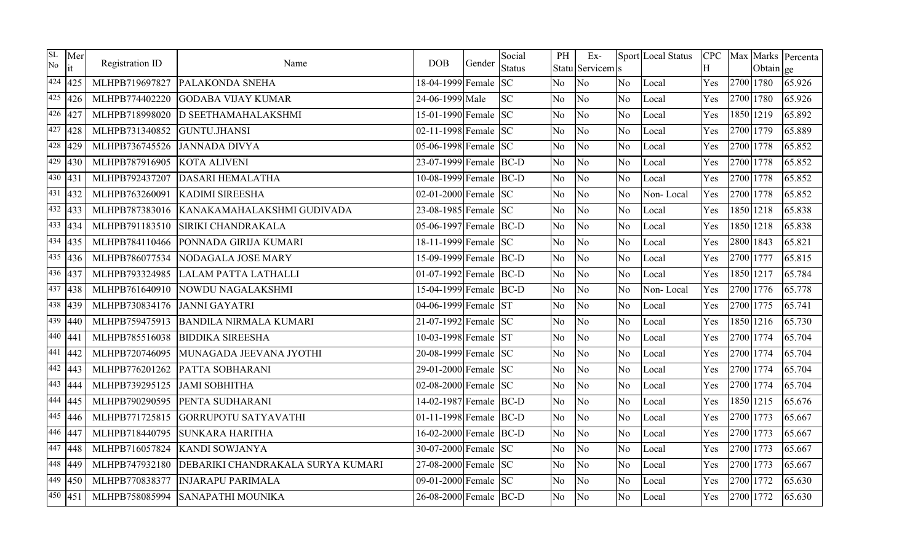| SL<br>No | Mer<br>it                         | Registration ID | Name                              | <b>DOB</b>              | Gender | Social<br><b>Status</b> | PH             | $Ex-$<br>Statu Servicem s |                | Sport Local Status | H   |           | Obtain ge | CPC   Max   Marks   Percenta |
|----------|-----------------------------------|-----------------|-----------------------------------|-------------------------|--------|-------------------------|----------------|---------------------------|----------------|--------------------|-----|-----------|-----------|------------------------------|
|          | $424$ 425                         | MLHPB719697827  | PALAKONDA SNEHA                   | 18-04-1999 Female       |        | <b>SC</b>               | No             | No                        | No.            | Local              | Yes | 2700 1780 |           | $\sqrt{65.926}$              |
|          | $\sqrt{425}$  426                 | MLHPB774402220  | <b>GODABA VIJAY KUMAR</b>         | 24-06-1999 Male         |        | <b>SC</b>               | No             | N <sub>o</sub>            | N <sub>o</sub> | Local              | Yes | 2700 1780 |           | 65.926                       |
|          | 426 427                           | MLHPB718998020  | D SEETHAMAHALAKSHMI               | 15-01-1990 Female SC    |        |                         | No             | No                        | N <sub>o</sub> | Local              | Yes | 1850 1219 |           | 65.892                       |
|          | $427$ 428                         | MLHPB731340852  | <b>GUNTU.JHANSI</b>               | 02-11-1998 Female $SC$  |        |                         | No             | No                        | No             | Local              | Yes | 2700 1779 |           | 65.889                       |
|          | $\overline{428}$ 429              | MLHPB736745526  | <b>JANNADA DIVYA</b>              | 05-06-1998 Female SC    |        |                         | No             | No                        | No.            | Local              | Yes | 2700 1778 |           | 65.852                       |
|          | $\overline{429}$  430             | MLHPB787916905  | <b>KOTA ALIVENI</b>               | 23-07-1999 Female BC-D  |        |                         | No             | No                        | No             | Local              | Yes | 2700 1778 |           | 65.852                       |
|          | $\overline{430}$ $\overline{431}$ | MLHPB792437207  | <b>DASARI HEMALATHA</b>           | 10-08-1999 Female BC-D  |        |                         | N <sub>o</sub> | No                        | N <sub>o</sub> | Local              | Yes | 2700 1778 |           | 65.852                       |
|          | 431 432                           | MLHPB763260091  | <b>KADIMI SIREESHA</b>            | 02-01-2000 Female $ SC$ |        |                         | N <sub>o</sub> | No                        | N <sub>o</sub> | Non-Local          | Yes | 2700 1778 |           | 65.852                       |
|          | $432$ 433                         | MLHPB787383016  | KANAKAMAHALAKSHMI GUDIVADA        | 23-08-1985 Female SC    |        |                         | No             | No                        | No             | Local              | Yes | 1850 1218 |           | 65.838                       |
|          | $433$ 434                         | MLHPB791183510  | SIRIKI CHANDRAKALA                | 05-06-1997 Female BC-D  |        |                         | <b>No</b>      | N <sub>o</sub>            | N <sub>o</sub> | Local              | Yes | 1850 1218 |           | 65.838                       |
|          | $\sqrt{434}$  435                 | MLHPB784110466  | PONNADA GIRIJA KUMARI             | 18-11-1999 Female SC    |        |                         | N <sub>o</sub> | N <sub>o</sub>            | No             | Local              | Yes | 2800 1843 |           | 65.821                       |
|          | $435$ 436                         | MLHPB786077534  | NODAGALA JOSE MARY                | 15-09-1999 Female BC-D  |        |                         | No             | No                        | N <sub>o</sub> | Local              | Yes | 2700 1777 |           | 65.815                       |
|          | 436 437                           | MLHPB793324985  | <b>LALAM PATTA LATHALLI</b>       | 01-07-1992 Female BC-D  |        |                         | No             | No                        | N <sub>o</sub> | Local              | Yes | 1850 1217 |           | 65.784                       |
|          | $437$ 438                         | MLHPB761640910  | NOWDU NAGALAKSHMI                 | 15-04-1999 Female BC-D  |        |                         | No             | No                        | No             | Non-Local          | Yes | 2700 1776 |           | 65.778                       |
|          | 438 439                           | MLHPB730834176  | <b>JANNI GAYATRI</b>              | 04-06-1999 Female ST    |        |                         | <b>No</b>      | No                        | No.            | Local              | Yes | 2700 1775 |           | 65.741                       |
|          | 439 440                           | MLHPB759475913  | <b>BANDILA NIRMALA KUMARI</b>     | 21-07-1992 Female SC    |        |                         | No             | No                        | No             | Local              | Yes | 1850 1216 |           | 65.730                       |
|          | $\sqrt{440}$  441                 | MLHPB785516038  | <b>BIDDIKA SIREESHA</b>           | 10-03-1998 Female ST    |        |                         | No             | No                        | N <sub>o</sub> | Local              | Yes | 2700 1774 |           | 65.704                       |
|          | $\sqrt{441}$  442                 | MLHPB720746095  | MUNAGADA JEEVANA JYOTHI           | 20-08-1999 Female SC    |        |                         | N <sub>o</sub> | No                        | N <sub>o</sub> | Local              | Yes | 2700 1774 |           | 65.704                       |
|          | $442$  443                        | MLHPB776201262  | PATTA SOBHARANI                   | 29-01-2000 Female SC    |        |                         | No             | No                        | No             | Local              | Yes | 2700 1774 |           | 65.704                       |
|          | $\frac{443}{444}$                 | MLHPB739295125  | <b>JAMI SOBHITHA</b>              | 02-08-2000 Female $SC$  |        |                         | N <sub>o</sub> | No                        | N <sub>o</sub> | Local              | Yes | 2700 1774 |           | 65.704                       |
|          | $444$  445                        | MLHPB790290595  | PENTA SUDHARANI                   | 14-02-1987 Female BC-D  |        |                         | N <sub>o</sub> | N <sub>o</sub>            | No             | Local              | Yes | 1850 1215 |           | 65.676                       |
|          | $\sqrt{445}$  446                 | MLHPB771725815  | <b>GORRUPOTU SATYAVATHI</b>       | 01-11-1998 Female BC-D  |        |                         | No             | No                        | N <sub>o</sub> | Local              | Yes | 2700 1773 |           | 65.667                       |
|          | 446 447                           | MLHPB718440795  | <b>SUNKARA HARITHA</b>            | 16-02-2000 Female BC-D  |        |                         | No             | N <sub>o</sub>            | No             | Local              | Yes | 2700 1773 |           | 65.667                       |
|          | $447$ 448                         | MLHPB716057824  | <b>KANDI SOWJANYA</b>             | 30-07-2000 Female SC    |        |                         | No             | No                        | No             | Local              | Yes | 2700 1773 |           | 65.667                       |
|          | 448 449                           | MLHPB747932180  | DEBARIKI CHANDRAKALA SURYA KUMARI | 27-08-2000 Female SC    |        |                         | No             | No                        | N <sub>o</sub> | Local              | Yes | 2700 1773 |           | 65.667                       |
|          | 449 450                           | MLHPB770838377  | <b>INJARAPU PARIMALA</b>          | 09-01-2000 Female       |        | <b>SC</b>               | No             | No                        | No             | Local              | Yes | 2700 1772 |           | 65.630                       |
|          | $\overline{450}$  451             | MLHPB758085994  | <b>SANAPATHI MOUNIKA</b>          | 26-08-2000 Female BC-D  |        |                         | No             | No                        | N <sub>o</sub> | Local              | Yes | 2700 1772 |           | 65.630                       |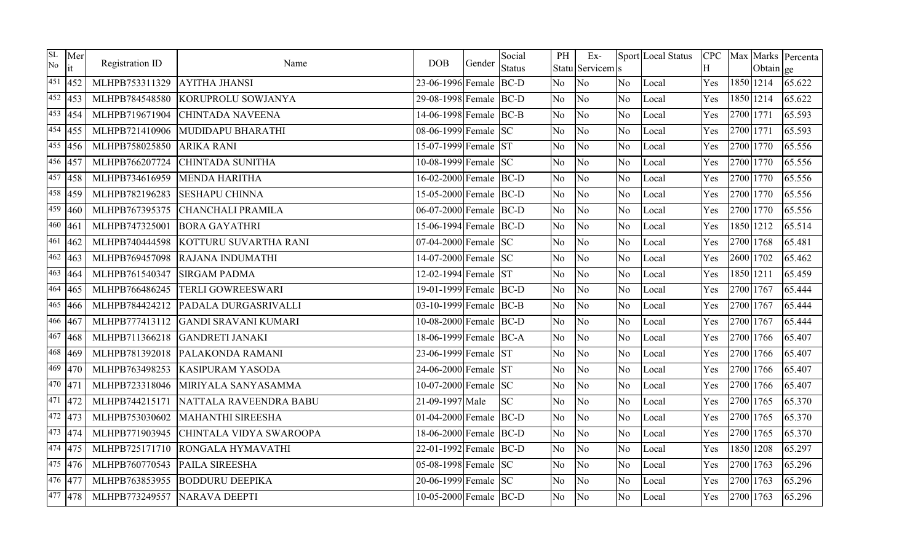| SL<br>No | Mer<br>it             | Registration ID | Name                        | <b>DOB</b>             | Gender | Social<br><b>Status</b> | PH             | Ex-<br>Statu Servicem s |                | Sport Local Status | <b>CPC</b><br>H |           | Obtain ge | Max Marks Percenta |
|----------|-----------------------|-----------------|-----------------------------|------------------------|--------|-------------------------|----------------|-------------------------|----------------|--------------------|-----------------|-----------|-----------|--------------------|
| 451      | 452                   | MLHPB753311329  | <b>AYITHA JHANSI</b>        | 23-06-1996 Female BC-D |        |                         | N <sub>o</sub> | No                      | No.            | Local              | Yes             |           | 1850 1214 | 65.622             |
|          | $\sqrt{452}$ 453      | MLHPB784548580  | <b>KORUPROLU SOWJANYA</b>   | 29-08-1998 Female BC-D |        |                         | No             | No                      | N <sub>o</sub> | Local              | Yes             | 1850 1214 |           | 65.622             |
|          | $\sqrt{453}$ 454      | MLHPB719671904  | <b>CHINTADA NAVEENA</b>     | 14-06-1998 Female BC-B |        |                         | N <sub>o</sub> | No                      | No             | Local              | Yes             | 2700 1771 |           | 65.593             |
|          | 454 455               | MLHPB721410906  | MUDIDAPU BHARATHI           | 08-06-1999 Female SC   |        |                         | N <sub>o</sub> | No                      | No             | Local              | Yes             | 2700 1771 |           | 65.593             |
|          | $455$ 456             | MLHPB758025850  | <b>ARIKA RANI</b>           | 15-07-1999 Female ST   |        |                         | N <sub>o</sub> | No                      | N <sub>o</sub> | Local              | Yes             | 2700 1770 |           | 65.556             |
|          | 456 457               | MLHPB766207724  | <b>CHINTADA SUNITHA</b>     | 10-08-1999 Female SC   |        |                         | N <sub>o</sub> | No                      | N <sub>o</sub> | Local              | Yes             | 2700 1770 |           | 65.556             |
|          | $\sqrt{457}$  458     | MLHPB734616959  | <b>MENDA HARITHA</b>        | 16-02-2000 Female BC-D |        |                         | N <sub>o</sub> | No                      | N <sub>o</sub> | Local              | Yes             | 2700 1770 |           | 65.556             |
|          | 458 459               | MLHPB782196283  | <b>SESHAPU CHINNA</b>       | 15-05-2000 Female BC-D |        |                         | N <sub>o</sub> | No                      | N <sub>o</sub> | Local              | Yes             | 2700 1770 |           | 65.556             |
|          | $\overline{459}$  460 | MLHPB767395375  | <b>CHANCHALI PRAMILA</b>    | 06-07-2000 Female BC-D |        |                         | No.            | No                      | No             | Local              | Yes             | 2700 1770 |           | 65.556             |
|          | $460 \overline{461}$  | MLHPB747325001  | <b>BORA GAYATHRI</b>        | 15-06-1994 Female BC-D |        |                         | No             | No                      | No             | Local              | Yes             | 1850 1212 |           | 65.514             |
|          | $461$ 462             | MLHPB740444598  | KOTTURU SUVARTHA RANI       | $07-04-2000$ Female SC |        |                         | N <sub>o</sub> | No                      | No             | Local              | Yes             | 2700 1768 |           | 65.481             |
|          | $\sqrt{462}$  463     | MLHPB769457098  | <b>RAJANA INDUMATHI</b>     | 14-07-2000 Female SC   |        |                         | No.            | No                      | No             | Local              | Yes             | 2600 1702 |           | 65.462             |
|          | $463$ 464             | MLHPB761540347  | <b>SIRGAM PADMA</b>         | 12-02-1994 Female ST   |        |                         | No             | No                      | N <sub>o</sub> | Local              | Yes             | 1850 1211 |           | 65.459             |
|          | $\frac{464}{465}$     | MLHPB766486245  | <b>TERLI GOWREESWARI</b>    | 19-01-1999 Female BC-D |        |                         | No.            | No                      | No.            | Local              | Yes             | 2700 1767 |           | 65.444             |
|          | $465$ 466             | MLHPB784424212  | PADALA DURGASRIVALLI        | 03-10-1999 Female BC-B |        |                         | N <sub>o</sub> | No                      | N <sub>o</sub> | Local              | Yes             | 2700 1767 |           | 65.444             |
|          | 466 467               | MLHPB777413112  | <b>GANDI SRAVANI KUMARI</b> | 10-08-2000 Female BC-D |        |                         | N <sub>o</sub> | No                      | N <sub>o</sub> | Local              | Yes             | 2700 1767 |           | 65.444             |
|          | $467$ 468             | MLHPB711366218  | <b>GANDRETI JANAKI</b>      | 18-06-1999 Female BC-A |        |                         | No.            | No                      | N <sub>o</sub> | Local              | Yes             | 2700 1766 |           | 65.407             |
|          | $468$ 469             | MLHPB781392018  | PALAKONDA RAMANI            | 23-06-1999 Female ST   |        |                         | N <sub>o</sub> | No                      | No             | Local              | Yes             | 2700 1766 |           | 65.407             |
| 469      | 470                   | MLHPB763498253  | <b>KASIPURAM YASODA</b>     | 24-06-2000 Female ST   |        |                         | N <sub>o</sub> | No                      | N <sub>o</sub> | Local              | Yes             | 2700 1766 |           | 65.407             |
| 470 471  |                       | MLHPB723318046  | MIRIYALA SANYASAMMA         | 10-07-2000 Female SC   |        |                         | N <sub>o</sub> | No                      | N <sub>o</sub> | Local              | Yes             | 2700 1766 |           | 65.407             |
|          | 471 472               | MLHPB744215171  | NATTALA RAVEENDRA BABU      | 21-09-1997 Male        |        | <b>SC</b>               | N <sub>o</sub> | No                      | No.            | Local              | Yes             | 2700 1765 |           | 65.370             |
|          | $472$ 473             | MLHPB753030602  | <b>MAHANTHI SIREESHA</b>    | 01-04-2000 Female BC-D |        |                         | No.            | No                      | N <sub>o</sub> | Local              | Yes             | 2700 1765 |           | 65.370             |
|          | $473$ 474             | MLHPB771903945  | CHINTALA VIDYA SWAROOPA     | 18-06-2000 Female BC-D |        |                         | N <sub>o</sub> | No                      | No             | Local              | Yes             | 2700 1765 |           | 65.370             |
|          | 474 475               | MLHPB725171710  | RONGALA HYMAVATHI           | 22-01-1992 Female BC-D |        |                         | No.            | No                      | N <sub>o</sub> | Local              | Yes             | 1850 1208 |           | 65.297             |
|          | $\overline{475}$  476 | MLHPB760770543  | PAILA SIREESHA              | 05-08-1998 Female SC   |        |                         | No             | N <sub>o</sub>          | No             | Local              | Yes             | 2700 1763 |           | 65.296             |
|          | 476 477               | MLHPB763853955  | <b>BODDURU DEEPIKA</b>      | 20-06-1999 Female SC   |        |                         | N <sub>o</sub> | No                      | No             | Local              | Yes             | 2700 1763 |           | 65.296             |
|          | 477 478               | MLHPB773249557  | <b>NARAVA DEEPTI</b>        | 10-05-2000 Female BC-D |        |                         | No.            | No                      | No.            | Local              | Yes             | 2700 1763 |           | 65.296             |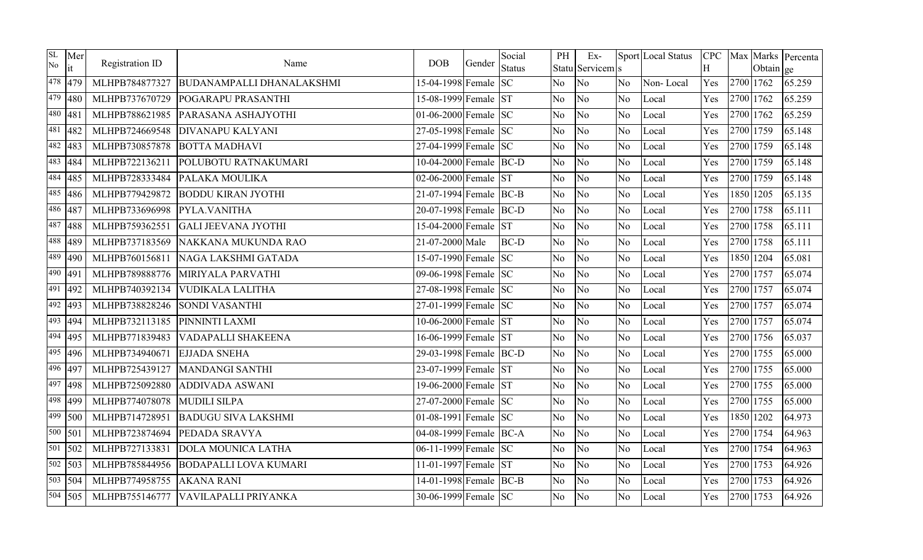| SL<br>No | Mer<br>it              | Registration ID | Name                             | <b>DOB</b>             | Gender | Social<br><b>Status</b> | PH             | Ex-<br>Statu Servicem s |                | Sport Local Status | <b>CPC</b><br>H |           | Obtain ge | Max Marks Percenta |
|----------|------------------------|-----------------|----------------------------------|------------------------|--------|-------------------------|----------------|-------------------------|----------------|--------------------|-----------------|-----------|-----------|--------------------|
|          | 478 479                | MLHPB784877327  | <b>BUDANAMPALLI DHANALAKSHMI</b> | 15-04-1998 Female SC   |        |                         | N <sub>o</sub> | No                      | N <sub>o</sub> | Non-Local          | Yes             | 2700 1762 |           | 65.259             |
|          | $479$ 480              | MLHPB737670729  | POGARAPU PRASANTHI               | 15-08-1999 Female ST   |        |                         | No.            | No                      | No             | Local              | Yes             | 2700 1762 |           | 65.259             |
| 480      | 481                    | MLHPB788621985  | PARASANA ASHAJYOTHI              | 01-06-2000 Female $SC$ |        |                         | N <sub>o</sub> | No                      | No.            | Local              | Yes             | 2700 1762 |           | 65.259             |
| 481      | 482                    | MLHPB724669548  | <b>DIVANAPU KALYANI</b>          | 27-05-1998 Female SC   |        |                         | No             | No                      | No             | Local              | Yes             | 2700 1759 |           | 65.148             |
|          | 482 483                | MLHPB730857878  | <b>BOTTA MADHAVI</b>             | 27-04-1999 Female SC   |        |                         | N <sub>o</sub> | No                      | N <sub>o</sub> | Local              | Yes             | 2700 1759 |           | 65.148             |
| 483      | 484                    | MLHPB722136211  | POLUBOTU RATNAKUMARI             | 10-04-2000 Female BC-D |        |                         | N <sub>o</sub> | No                      | N <sub>o</sub> | Local              | Yes             | 2700 1759 |           | 65.148             |
|          | $\sqrt{484}$  485      | MLHPB728333484  | PALAKA MOULIKA                   | 02-06-2000 Female ST   |        |                         | N <sub>o</sub> | No                      | No.            | Local              | Yes             | 2700 1759 |           | 65.148             |
|          | 485 486                | MLHPB779429872  | <b>BODDU KIRAN JYOTHI</b>        | 21-07-1994 Female BC-B |        |                         | N <sub>o</sub> | No                      | N <sub>o</sub> | Local              | Yes             | 1850 1205 |           | 65.135             |
| 486      | 487                    | MLHPB733696998  | PYLA.VANITHA                     | 20-07-1998 Female BC-D |        |                         | No.            | No                      | No             | Local              | Yes             | 2700 1758 |           | 65.111             |
| 487      | 488                    | MLHPB759362551  | <b>GALI JEEVANA JYOTHI</b>       | 15-04-2000 Female ST   |        |                         | N <sub>o</sub> | No                      | N <sub>o</sub> | Local              | Yes             | 2700 1758 |           | 65.111             |
|          | 488 489                | MLHPB737183569  | NAKKANA MUKUNDA RAO              | 21-07-2000 Male        |        | BC-D                    | N <sub>o</sub> | No                      | N <sub>o</sub> | Local              | Yes             | 2700 1758 |           | 65.111             |
| 489      | 490                    | MLHPB760156811  | NAGA LAKSHMI GATADA              | 15-07-1990 Female SC   |        |                         | No.            | No                      | No             | Local              | Yes             | 1850 1204 |           | 65.081             |
|          | 490 491                | MLHPB789888776  | MIRIYALA PARVATHI                | 09-06-1998 Female SC   |        |                         | N <sub>o</sub> | No                      | No             | Local              | Yes             | 2700 1757 |           | 65.074             |
| 491      | 492                    | MLHPB740392134  | <b>VUDIKALA LALITHA</b>          | 27-08-1998 Female SC   |        |                         | N <sub>o</sub> | No                      | N <sub>o</sub> | Local              | Yes             | 2700 1757 |           | 65.074             |
|          | $492$ 493              | MLHPB738828246  | <b>SONDI VASANTHI</b>            | 27-01-1999 Female SC   |        |                         | N <sub>o</sub> | No                      | N <sub>o</sub> | Local              | Yes             | 2700 1757 |           | 65.074             |
| 493      | 494                    | MLHPB732113185  | PINNINTI LAXMI                   | 10-06-2000 Female ST   |        |                         | N <sub>o</sub> | No                      | No             | Local              | Yes             | 2700 1757 |           | 65.074             |
|          | $\sqrt{494}$  495      | MLHPB771839483  | VADAPALLI SHAKEENA               | 16-06-1999 Female ST   |        |                         | No.            | No                      | N <sub>o</sub> | Local              | Yes             | 2700 1756 |           | 65.037             |
|          | $495$ 496              | MLHPB734940671  | <b>EJJADA SNEHA</b>              | 29-03-1998 Female BC-D |        |                         | No.            | No                      | N <sub>o</sub> | Local              | Yes             | 2700 1755 |           | 65.000             |
|          | 496 497                | MLHPB725439127  | <b>MANDANGI SANTHI</b>           | 23-07-1999 Female ST   |        |                         | N <sub>o</sub> | No                      | N <sub>o</sub> | Local              | Yes             | 2700 1755 |           | 65.000             |
| 497      | 498                    | MLHPB725092880  | <b>ADDIVADA ASWANI</b>           | 19-06-2000 Female ST   |        |                         | N <sub>o</sub> | No                      | N <sub>o</sub> | Local              | Yes             | 2700 1755 |           | 65.000             |
|          | 498 499                | MLHPB774078078  | <b>MUDILI SILPA</b>              | 27-07-2000 Female SC   |        |                         | N <sub>o</sub> | No                      | No             | Local              | Yes             | 2700 1755 |           | 65.000             |
|          | $\sqrt{499}$   500     | MLHPB714728951  | <b>BADUGU SIVA LAKSHMI</b>       | 01-08-1991 Female SC   |        |                         | N <sub>o</sub> | No                      | N <sub>o</sub> | Local              | Yes             | 1850 1202 |           | 64.973             |
|          | 500 501                | MLHPB723874694  | PEDADA SRAVYA                    | 04-08-1999 Female BC-A |        |                         | N <sub>o</sub> | No                      | N <sub>o</sub> | Local              | Yes             | 2700 1754 |           | 64.963             |
|          | $501$ 502              | MLHPB727133831  | <b>DOLA MOUNICA LATHA</b>        | 06-11-1999 Female SC   |        |                         | N <sub>o</sub> | No                      | N <sub>o</sub> | Local              | Yes             | 2700 1754 |           | 64.963             |
|          | $\overline{502}$   503 | MLHPB785844956  | <b>BODAPALLI LOVA KUMARI</b>     | 11-01-1997 Female ST   |        |                         | No.            | No                      | N <sub>o</sub> | Local              | Yes             | 2700 1753 |           | 64.926             |
|          | 503 504                | MLHPB774958755  | <b>AKANA RANI</b>                | 14-01-1998 Female BC-B |        |                         | No             | No                      | N <sub>o</sub> | Local              | Yes             | 2700 1753 |           | 64.926             |
|          | $\sqrt{504}$ 505       | MLHPB755146777  | VAVILAPALLI PRIYANKA             | 30-06-1999 Female SC   |        |                         | N <sub>o</sub> | No                      | No.            | Local              | Yes             | 2700 1753 |           | 64.926             |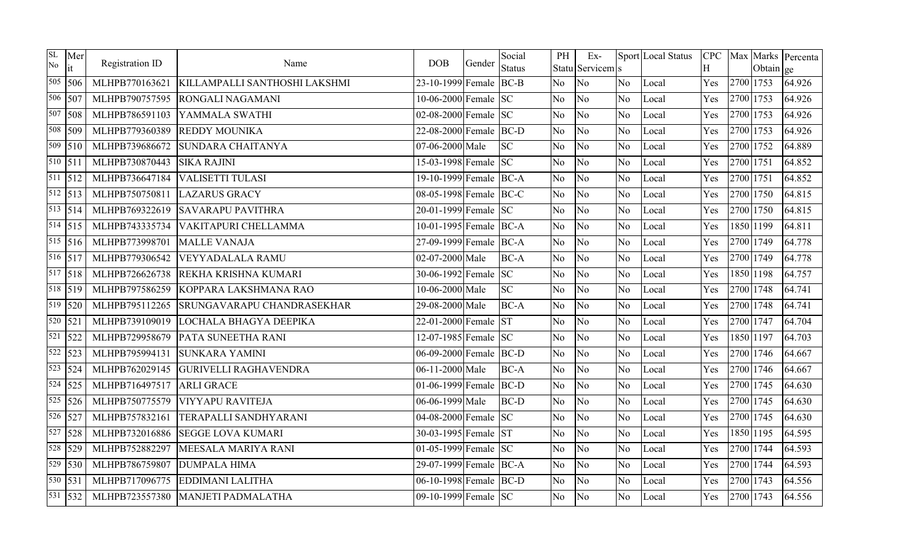| SL<br>No             | Mer<br>it                | Registration ID | Name                              | <b>DOB</b>             | Gender | Social<br><b>Status</b> | PH             | $Ex-$<br>Statu Servicem s |                | Sport Local Status | <b>CPC</b><br>H |           | Obtain ge | Max Marks Percenta |
|----------------------|--------------------------|-----------------|-----------------------------------|------------------------|--------|-------------------------|----------------|---------------------------|----------------|--------------------|-----------------|-----------|-----------|--------------------|
|                      | 505 506                  | MLHPB770163621  | KILLAMPALLI SANTHOSHI LAKSHMI     | 23-10-1999 Female BC-B |        |                         | N <sub>o</sub> | No                        | No.            | Local              | Yes             | 2700 1753 |           | 64.926             |
|                      | 506 507                  | MLHPB790757595  | <b>RONGALI NAGAMANI</b>           | 10-06-2000 Female SC   |        |                         | No.            | No                        | N <sub>o</sub> | Local              | Yes             | 2700 1753 |           | 64.926             |
|                      | 507 508                  | MLHPB786591103  | YAMMALA SWATHI                    | 02-08-2000 Female SC   |        |                         | N <sub>o</sub> | No                        | No             | Local              | Yes             | 2700 1753 |           | 64.926             |
|                      | 508 509                  | MLHPB779360389  | <b>REDDY MOUNIKA</b>              | 22-08-2000 Female BC-D |        |                         | N <sub>o</sub> | No                        | N <sub>o</sub> | Local              | Yes             | 2700 1753 |           | 64.926             |
|                      | $\overline{509}$ 510     | MLHPB739686672  | <b>SUNDARA CHAITANYA</b>          | 07-06-2000 Male        |        | <b>SC</b>               | N <sub>o</sub> | No                        | N <sub>o</sub> | Local              | Yes             | 2700 1752 |           | 64.889             |
| $\overline{510}$ 511 |                          | MLHPB730870443  | <b>SIKA RAJINI</b>                | 15-03-1998 Female SC   |        |                         | N <sub>o</sub> | No                        | N <sub>o</sub> | Local              | Yes             | 2700 1751 |           | 64.852             |
|                      | $\overline{5}11$ 512     | MLHPB736647184  | <b>VALISETTI TULASI</b>           | 19-10-1999 Female BC-A |        |                         | N <sub>o</sub> | No                        | N <sub>o</sub> | Local              | Yes             | 2700 1751 |           | 64.852             |
|                      | $\overline{512}$   $513$ | MLHPB750750811  | <b>LAZARUS GRACY</b>              | 08-05-1998 Female BC-C |        |                         | N <sub>o</sub> | No                        | N <sub>o</sub> | Local              | Yes             | 2700 1750 |           | 64.815             |
|                      | 513   514                | MLHPB769322619  | <b>SAVARAPU PAVITHRA</b>          | 20-01-1999 Female SC   |        |                         | N <sub>o</sub> | N <sub>o</sub>            | No             | Local              | Yes             | 2700 1750 |           | 64.815             |
|                      | $\sqrt{514}$   515       | MLHPB743335734  | VAKITAPURI CHELLAMMA              | 10-01-1995 Female BC-A |        |                         | N <sub>o</sub> | No                        | No             | Local              | Yes             | 1850 1199 |           | 64.811             |
|                      | $\overline{515}$   516   | MLHPB773998701  | <b>MALLE VANAJA</b>               | 27-09-1999 Female BC-A |        |                         | N <sub>o</sub> | No                        | N <sub>o</sub> | Local              | Yes             | 2700 1749 |           | 64.778             |
|                      | 516 517                  | MLHPB779306542  | <b>VEYYADALALA RAMU</b>           | 02-07-2000 Male        |        | <b>BC-A</b>             | No             | No                        | No             | Local              | Yes             | 2700 1749 |           | 64.778             |
|                      | $\overline{517}$ 518     | MLHPB726626738  | REKHA KRISHNA KUMARI              | 30-06-1992 Female SC   |        |                         | N <sub>o</sub> | No                        | N <sub>o</sub> | Local              | Yes             | 1850 1198 |           | 64.757             |
|                      | $\sqrt{518}$ 519         | MLHPB797586259  | KOPPARA LAKSHMANA RAO             | 10-06-2000 Male        |        | <b>SC</b>               | No.            | No                        | N <sub>o</sub> | Local              | Yes             | 2700 1748 |           | 64.741             |
|                      | $\overline{519}$ 520     | MLHPB795112265  | <b>SRUNGAVARAPU CHANDRASEKHAR</b> | 29-08-2000 Male        |        | <b>BC-A</b>             | N <sub>o</sub> | No                        | N <sub>o</sub> | Local              | Yes             | 2700 1748 |           | 64.741             |
| $\sqrt{520}$   521   |                          | MLHPB739109019  | LOCHALA BHAGYA DEEPIKA            | 22-01-2000 Female      |        | <b>ST</b>               | N <sub>o</sub> | No                        | N <sub>o</sub> | Local              | Yes             | 2700 1747 |           | 64.704             |
| 521                  | 522                      | MLHPB729958679  | PATA SUNEETHA RANI                | 12-07-1985 Female SC   |        |                         | N <sub>o</sub> | No                        | N <sub>o</sub> | Local              | Yes             | 1850 1197 |           | 64.703             |
|                      | 522 523                  | MLHPB795994131  | <b>SUNKARA YAMINI</b>             | 06-09-2000 Female BC-D |        |                         | N <sub>o</sub> | No                        | No             | Local              | Yes             | 2700 1746 |           | 64.667             |
|                      | $\sqrt{523}$   524       | MLHPB762029145  | <b>GURIVELLI RAGHAVENDRA</b>      | 06-11-2000 Male        |        | <b>BC-A</b>             | No.            | N <sub>o</sub>            | N <sub>o</sub> | Local              | Yes             | 2700 1746 |           | 64.667             |
|                      | $524$ 525                | MLHPB716497517  | <b>ARLI GRACE</b>                 | 01-06-1999 Female BC-D |        |                         | N <sub>o</sub> | No                        | N <sub>o</sub> | Local              | Yes             | 2700 1745 |           | 64.630             |
|                      | $\sqrt{525}$   526       | MLHPB750775579  | <b>VIYYAPU RAVITEJA</b>           | 06-06-1999 Male        |        | <b>BC-D</b>             | N <sub>o</sub> | No                        | No             | Local              | Yes             | 2700 1745 |           | 64.630             |
| 526 527              |                          | MLHPB757832161  | TERAPALLI SANDHYARANI             | 04-08-2000 Female SC   |        |                         | No.            | No                        | N <sub>o</sub> | Local              | Yes             | 2700 1745 |           | 64.630             |
|                      | $\overline{527}$ 528     | MLHPB732016886  | <b>SEGGE LOVA KUMARI</b>          | 30-03-1995 Female ST   |        |                         | No.            | No                        | No             | Local              | Yes             | 1850 1195 |           | 64.595             |
|                      | $\sqrt{528}$   529       | MLHPB752882297  | MEESALA MARIYA RANI               | 01-05-1999 Female $SC$ |        |                         | N <sub>o</sub> | No                        | N <sub>o</sub> | Local              | Yes             | 2700 1744 |           | 64.593             |
|                      | $\sqrt{529}$ 530         | MLHPB786759807  | <b>DUMPALA HIMA</b>               | 29-07-1999 Female BC-A |        |                         | No             | N <sub>o</sub>            | N <sub>o</sub> | Local              | Yes             | 2700 1744 |           | 64.593             |
| 530                  | 531                      | MLHPB717096775  | <b>EDDIMANI LALITHA</b>           | 06-10-1998 Female BC-D |        |                         | No             | No                        | No             | Local              | Yes             | 2700 1743 |           | 64.556             |
|                      | $\overline{531}$ 532     | MLHPB723557380  | <b>MANJETI PADMALATHA</b>         | 09-10-1999 Female SC   |        |                         | No             | No                        | No.            | Local              | Yes             | 2700 1743 |           | 64.556             |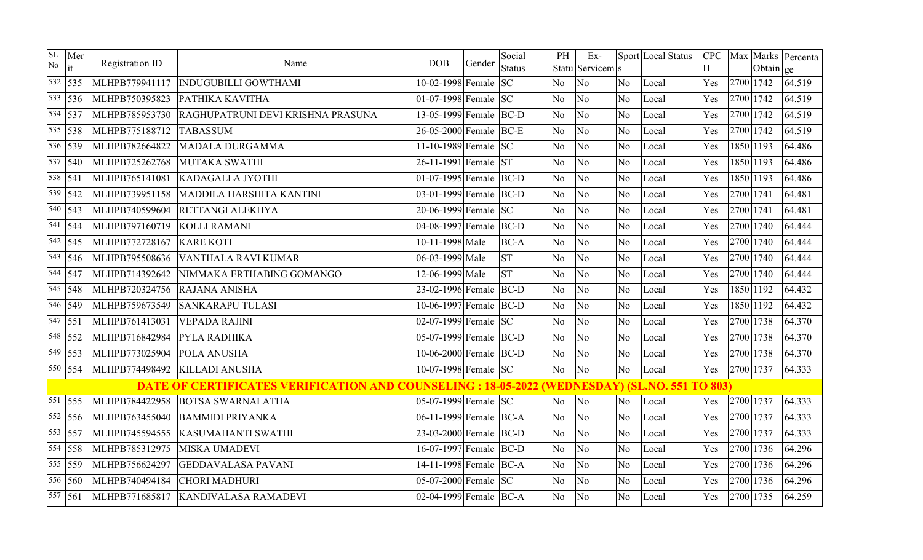| SL<br>No             | Mer<br>it              | Registration ID | Name                                                                                                 | <b>DOB</b>               | Gender | Social        | PH             | Ex-                    |                | Sport Local Status |          |           |           | CPC   Max   Marks   Percenta |
|----------------------|------------------------|-----------------|------------------------------------------------------------------------------------------------------|--------------------------|--------|---------------|----------------|------------------------|----------------|--------------------|----------|-----------|-----------|------------------------------|
|                      | $\sqrt{532}$ 535       | MLHPB779941117  | <b>INDUGUBILLI GOWTHAMI</b>                                                                          | 10-02-1998 Female SC     |        | <b>Status</b> | N <sub>o</sub> | Statu Servicem s<br>No | No.            | Local              | H<br>Yes | 2700 1742 | Obtain ge | 64.519                       |
|                      |                        |                 |                                                                                                      |                          |        |               |                |                        |                |                    |          |           |           |                              |
|                      | $\overline{533}$ 536   | MLHPB750395823  | PATHIKA KAVITHA                                                                                      | 01-07-1998 Female $ SC $ |        |               | No             | No                     | N <sub>o</sub> | Local              | Yes      | 2700 1742 |           | 64.519                       |
|                      | 534 537                | MLHPB785953730  | RAGHUPATRUNI DEVI KRISHNA PRASUNA                                                                    | 13-05-1999 Female BC-D   |        |               | N <sub>o</sub> | N <sub>o</sub>         | No             | Local              | Yes      | 2700 1742 |           | 64.519                       |
|                      | $\overline{535}$ 538   | MLHPB775188712  | <b>TABASSUM</b>                                                                                      | 26-05-2000 Female BC-E   |        |               | No             | No                     | N <sub>o</sub> | Local              | Yes      | 2700 1742 |           | 64.519                       |
|                      | 536 539                | MLHPB782664822  | <b>MADALA DURGAMMA</b>                                                                               | 11-10-1989 Female $SC$   |        |               | N <sub>o</sub> | N <sub>o</sub>         | N <sub>o</sub> | Local              | Yes      | 1850 1193 |           | 64.486                       |
|                      | 537 540                | MLHPB725262768  | <b>MUTAKA SWATHI</b>                                                                                 | 26-11-1991 Female ST     |        |               | N <sub>o</sub> | No                     | N <sub>o</sub> | Local              | Yes      | 1850 1193 |           | 64.486                       |
| 538 541              |                        | MLHPB765141081  | <b>KADAGALLA JYOTHI</b>                                                                              | 01-07-1995 Female BC-D   |        |               | No             | No                     | N <sub>o</sub> | Local              | Yes      | 1850 1193 |           | 64.486                       |
|                      | $\overline{539}$ 542   | MLHPB739951158  | MADDILA HARSHITA KANTINI                                                                             | 03-01-1999 Female BC-D   |        |               | N <sub>o</sub> | N <sub>o</sub>         | N <sub>o</sub> | Local              | Yes      | 2700 1741 |           | 64.481                       |
|                      | $\sqrt{540}$   543     | MLHPB740599604  | RETTANGI ALEKHYA                                                                                     | 20-06-1999 Female SC     |        |               | No             | No                     | No             | Local              | Yes      | 2700 1741 |           | 64.481                       |
| 541                  | 544                    | MLHPB797160719  | <b>KOLLI RAMANI</b>                                                                                  | 04-08-1997 Female BC-D   |        |               | No             | N <sub>o</sub>         | No.            | Local              | Yes      | 2700 1740 |           | 64.444                       |
|                      | $\sqrt{542}$   545     | MLHPB772728167  | <b>KARE KOTI</b>                                                                                     | 10-11-1998 Male          |        | <b>BC-A</b>   | No             | No                     | N <sub>o</sub> | Local              | Yes      | 2700 1740 |           | 64.444                       |
| 543                  | 546                    | MLHPB795508636  | <b>VANTHALA RAVI KUMAR</b>                                                                           | 06-03-1999 Male          |        | <b>ST</b>     | No             | No                     | N <sub>o</sub> | Local              | Yes      | 2700 1740 |           | 64.444                       |
|                      | $\sqrt{544}$ 547       | MLHPB714392642  | NIMMAKA ERTHABING GOMANGO                                                                            | 12-06-1999 Male          |        | <b>ST</b>     | No             | N <sub>o</sub>         | N <sub>o</sub> | Local              | Yes      | 2700 1740 |           | 64.444                       |
| 545                  | 548                    | MLHPB720324756  | RAJANA ANISHA                                                                                        | 23-02-1996 Female BC-D   |        |               | N <sub>o</sub> | No                     | No             | Local              | Yes      | 1850 1192 |           | 64.432                       |
|                      | $\overline{546}$ 549   | MLHPB759673549  | <b>SANKARAPU TULASI</b>                                                                              | 10-06-1997 Female BC-D   |        |               | No             | No                     | N <sub>o</sub> | Local              | Yes      | 1850 1192 |           | 64.432                       |
|                      | $\sqrt{547}$   551     | MLHPB761413031  | <b>VEPADA RAJINI</b>                                                                                 | 02-07-1999 Female SC     |        |               | No             | N <sub>o</sub>         | No             | Local              | Yes      | 2700 1738 |           | 64.370                       |
|                      | $\overline{548}$   552 | MLHPB716842984  | PYLA RADHIKA                                                                                         | 05-07-1999 Female BC-D   |        |               | N <sub>o</sub> | No                     | N <sub>o</sub> | Local              | Yes      | 2700 1738 |           | 64.370                       |
|                      | 549 553                | MLHPB773025904  | POLA ANUSHA                                                                                          | 10-06-2000 Female BC-D   |        |               | No             | N <sub>o</sub>         | No             | Local              | Yes      | 2700 1738 |           | 64.370                       |
|                      | 550 554                | MLHPB774498492  | <b>KILLADI ANUSHA</b>                                                                                | 10-07-1998 Female SC     |        |               | No             | No                     | N <sub>o</sub> | Local              | Yes      | 2700 1737 |           | 64.333                       |
|                      |                        |                 | <b>DATE OF CERTIFICATES VERIFICATION AND COUNSELING : 18-05-2022 (WEDNESDAY) (SL.NO. 551 TO 803)</b> |                          |        |               |                |                        |                |                    |          |           |           |                              |
| 551                  | 555                    | MLHPB784422958  | <b>BOTSA SWARNALATHA</b>                                                                             | 05-07-1999 Female SC     |        |               | No             | No                     | No             | Local              | Yes      | 2700 1737 |           | 64.333                       |
|                      | $\sqrt{552}$   556     | MLHPB763455040  | <b>BAMMIDI PRIYANKA</b>                                                                              | 06-11-1999 Female BC-A   |        |               | No             | No                     | N <sub>o</sub> | Local              | Yes      | 2700 1737 |           | 64.333                       |
|                      | 553 557                | MLHPB745594555  | <b>KASUMAHANTI SWATHI</b>                                                                            | 23-03-2000 Female BC-D   |        |               | No             | No                     | N <sub>o</sub> | Local              | Yes      | 2700 1737 |           | 64.333                       |
|                      | $\sqrt{554}$ 558       | MLHPB785312975  | <b>MISKA UMADEVI</b>                                                                                 | 16-07-1997 Female BC-D   |        |               | N <sub>o</sub> | N <sub>o</sub>         | N <sub>o</sub> | Local              | Yes      | 2700 1736 |           | 64.296                       |
|                      | 555 559                | MLHPB756624297  | <b>GEDDAVALASA PAVANI</b>                                                                            | 14-11-1998 Female BC-A   |        |               | No.            | No                     | N <sub>o</sub> | Local              | Yes      | 2700 1736 |           | 64.296                       |
|                      | 556 560                | MLHPB740494184  | <b>CHORI MADHURI</b>                                                                                 | 05-07-2000 Female SC     |        |               | No             | No                     | N <sub>o</sub> | Local              | Yes      | 2700 1736 |           | 64.296                       |
| $\overline{557}$ 561 |                        | MLHPB771685817  | <b>KANDIVALASA RAMADEVI</b>                                                                          | 02-04-1999 Female BC-A   |        |               | No.            | No                     | N <sub>o</sub> | Local              | Yes      | 2700 1735 |           | 64.259                       |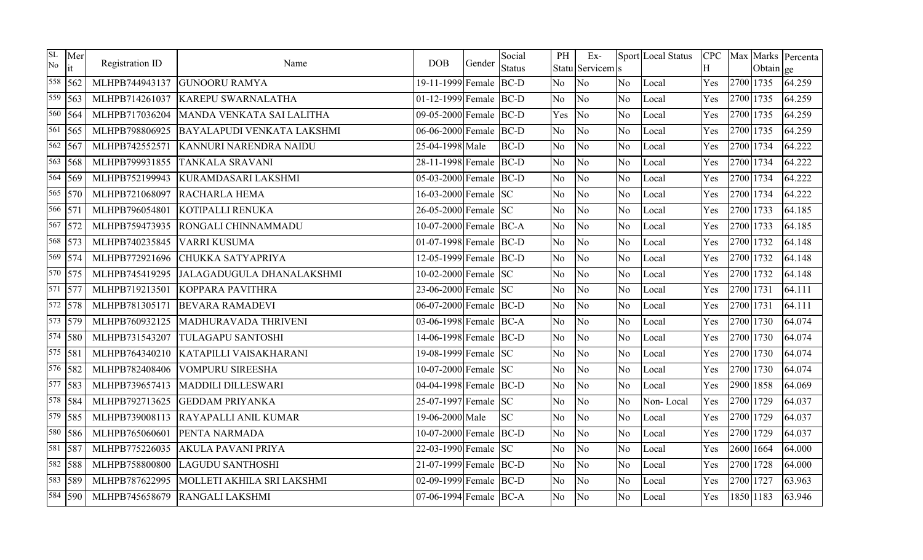| SL<br>No | Mer<br>it                | Registration ID | Name                              | <b>DOB</b>             | Gender | Social<br><b>Status</b> | PH             | $Ex-$<br>Statu Servicem s |                | Sport Local Status | Η   |           | Obtain ge | CPC   Max   Marks   Percenta |
|----------|--------------------------|-----------------|-----------------------------------|------------------------|--------|-------------------------|----------------|---------------------------|----------------|--------------------|-----|-----------|-----------|------------------------------|
|          | 558 562                  | MLHPB744943137  | <b>GUNOORU RAMYA</b>              | 19-11-1999 Female BC-D |        |                         | No             | No                        | N <sub>o</sub> | Local              | Yes | 2700 1735 |           | 64.259                       |
|          | $\overline{559}$   563   | MLHPB714261037  | <b>KAREPU SWARNALATHA</b>         | 01-12-1999 Female BC-D |        |                         | <b>No</b>      | N <sub>o</sub>            | N <sub>o</sub> | Local              | Yes | 2700 1735 |           | 64.259                       |
|          | 560 564                  | MLHPB717036204  | MANDA VENKATA SAI LALITHA         | 09-05-2000 Female BC-D |        |                         | Yes            | $\overline{\text{No}}$    | N <sub>o</sub> | Local              | Yes | 2700 1735 |           | 64.259                       |
|          | $\sqrt{561}$ 565         | MLHPB798806925  | <b>BAYALAPUDI VENKATA LAKSHMI</b> | 06-06-2000 Female BC-D |        |                         | <b>No</b>      | No                        | No             | Local              | Yes | 2700 1735 |           | 64.259                       |
|          | 562 567                  | MLHPB742552571  | KANNURI NARENDRA NAIDU            | 25-04-1998 Male        |        | <b>BC-D</b>             | <b>No</b>      | No                        | No.            | Local              | Yes | 2700 1734 |           | 64.222                       |
|          | $\overline{563}$   568   | MLHPB799931855  | <b>TANKALA SRAVANI</b>            | 28-11-1998 Female BC-D |        |                         | N <sub>o</sub> | No                        | No             | Local              | Yes | 2700 1734 |           | 64.222                       |
|          | 564 569                  | MLHPB752199943  | KURAMDASARI LAKSHMI               | 05-03-2000 Female BC-D |        |                         | No             | No                        | N <sub>o</sub> | Local              | Yes | 2700 1734 |           | 64.222                       |
|          | $\overline{565}$ 570     | MLHPB721068097  | RACHARLA HEMA                     | 16-03-2000 Female SC   |        |                         | N <sub>o</sub> | No                        | N <sub>o</sub> | Local              | Yes | 2700 1734 |           | 64.222                       |
|          | 566 571                  | MLHPB796054801  | KOTIPALLI RENUKA                  | 26-05-2000 Female SC   |        |                         | No             | No                        | No             | Local              | Yes | 2700 1733 |           | 64.185                       |
|          | $\overline{567}$ 572     | MLHPB759473935  | RONGALI CHINNAMMADU               | 10-07-2000 Female BC-A |        |                         | No             | N <sub>o</sub>            | N <sub>o</sub> | Local              | Yes | 2700 1733 |           | 64.185                       |
|          | 568 573                  | MLHPB740235845  | VARRI KUSUMA                      | 01-07-1998 Female BC-D |        |                         | No             | No                        | No             | Local              | Yes | 2700 1732 |           | 64.148                       |
|          | $\sqrt{569}$   574       | MLHPB772921696  | CHUKKA SATYAPRIYA                 | 12-05-1999 Female BC-D |        |                         | No             | No                        | N <sub>o</sub> | Local              | Yes | 2700 1732 |           | 64.148                       |
|          | 570 575                  | MLHPB745419295  | JALAGADUGULA DHANALAKSHMI         | 10-02-2000 Female SC   |        |                         | No             | No                        | N <sub>o</sub> | Local              | Yes | 2700 1732 |           | 64.148                       |
|          | $\overline{571}$ 577     | MLHPB719213501  | <b>KOPPARA PAVITHRA</b>           | 23-06-2000 Female SC   |        |                         | No.            | No                        | No.            | Local              | Yes | 2700 1731 |           | 64.111                       |
|          | 572 578                  | MLHPB781305171  | <b>BEVARA RAMADEVI</b>            | 06-07-2000 Female BC-D |        |                         | No             | No                        | No             | Local              | Yes | 2700 1731 |           | 64.111                       |
|          | 573 579                  | MLHPB760932125  | MADHURAVADA THRIVENI              | 03-06-1998 Female BC-A |        |                         | No             | No                        | No             | Local              | Yes | 2700 1730 |           | 64.074                       |
|          | $\sqrt{574}$ 580         | MLHPB731543207  | <b>TULAGAPU SANTOSHI</b>          | 14-06-1998 Female BC-D |        |                         | N <sub>o</sub> | No                        | N <sub>o</sub> | Local              | Yes | 2700 1730 |           | 64.074                       |
|          | $\overline{575}$   $581$ | MLHPB764340210  | KATAPILLI VAISAKHARANI            | 19-08-1999 Female SC   |        |                         | No             | No                        | N <sub>o</sub> | Local              | Yes | 2700 1730 |           | 64.074                       |
|          | $\frac{1}{576}$ 582      | MLHPB782408406  | <b>VOMPURU SIREESHA</b>           | 10-07-2000 Female SC   |        |                         | No             | No                        | No             | Local              | Yes | 2700 1730 |           | 64.074                       |
|          | 577 583                  | MLHPB739657413  | <b>MADDILI DILLESWARI</b>         | 04-04-1998 Female BC-D |        |                         | N <sub>o</sub> | N <sub>o</sub>            | N <sub>o</sub> | Local              | Yes | 2900 1858 |           | 64.069                       |
|          | 578 584                  | MLHPB792713625  | <b>GEDDAM PRIYANKA</b>            | 25-07-1997 Female SC   |        |                         | N <sub>o</sub> | N <sub>o</sub>            | N <sub>o</sub> | Non-Local          | Yes | 2700 1729 |           | 64.037                       |
|          | 579 585                  | MLHPB739008113  | RAYAPALLI ANIL KUMAR              | 19-06-2000 Male        |        | <b>SC</b>               | No             | No                        | N <sub>o</sub> | Local              | Yes | 2700 1729 |           | 64.037                       |
|          | 580 586                  | MLHPB765060601  | PENTA NARMADA                     | 10-07-2000 Female BC-D |        |                         | No             | N <sub>o</sub>            | N <sub>o</sub> | Local              | Yes | 2700 1729 |           | 64.037                       |
| 581      | 587                      | MLHPB775226035  | <b>AKULA PAVANI PRIYA</b>         | 22-03-1990 Female SC   |        |                         | No             | No                        | N <sub>o</sub> | Local              | Yes | 2600 1664 |           | 64.000                       |
|          | $\sqrt{582}$ 588         | MLHPB758800800  | <b>LAGUDU SANTHOSHI</b>           | 21-07-1999 Female BC-D |        |                         | No             | No                        | N <sub>o</sub> | Local              | Yes | 2700 1728 |           | 64.000                       |
| 583      | 589                      | MLHPB787622995  | MOLLETI AKHILA SRI LAKSHMI        | 02-09-1999 Female BC-D |        |                         | No             | No                        | N <sub>o</sub> | Local              | Yes | 2700 1727 |           | 63.963                       |
|          | 584 590                  | MLHPB745658679  | RANGALI LAKSHMI                   | 07-06-1994 Female BC-A |        |                         | No             | No                        | N <sub>o</sub> | Local              | Yes | 1850 1183 |           | 63.946                       |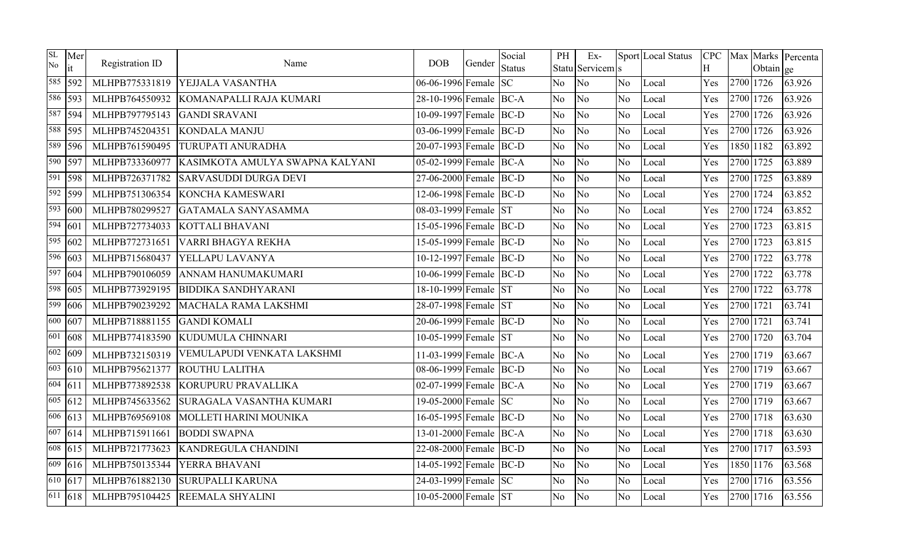| <b>SL</b><br>No      | Mer                  | Registration ID | Name                            | <b>DOB</b>             | Gender | Social        | PH             | Ex-              |                | Sport Local Status | <b>CPC</b> |           |           | Max Marks Percenta |
|----------------------|----------------------|-----------------|---------------------------------|------------------------|--------|---------------|----------------|------------------|----------------|--------------------|------------|-----------|-----------|--------------------|
|                      | it                   |                 |                                 |                        |        | <b>Status</b> |                | Statu Servicem s |                |                    | H          |           | Obtain ge |                    |
| 585                  | 592                  | MLHPB775331819  | YEJJALA VASANTHA                | 06-06-1996 Female      |        | <b>SC</b>     | N <sub>o</sub> | No               | N <sub>o</sub> | Local              | Yes        | 2700 1726 |           | 63.926             |
|                      | 586 593              | MLHPB764550932  | KOMANAPALLI RAJA KUMARI         | 28-10-1996 Female BC-A |        |               | No             | No               | N <sub>o</sub> | Local              | Yes        | 2700 1726 |           | 63.926             |
|                      | 587 594              | MLHPB797795143  | <b>GANDI SRAVANI</b>            | 10-09-1997 Female BC-D |        |               | N <sub>o</sub> | No               | N <sub>o</sub> | Local              | Yes        | 2700 1726 |           | 63.926             |
|                      | 588 595              | MLHPB745204351  | <b>KONDALA MANJU</b>            | 03-06-1999 Female BC-D |        |               | No             | No               | N <sub>o</sub> | Local              | Yes        | 2700 1726 |           | 63.926             |
|                      | $\overline{589}$ 596 | MLHPB761590495  | <b>TURUPATI ANURADHA</b>        | 20-07-1993 Female BC-D |        |               | N <sub>o</sub> | N <sub>o</sub>   | N <sub>o</sub> | Local              | Yes        |           | 1850 1182 | 63.892             |
| 590                  | 597                  | MLHPB733360977  | KASIMKOTA AMULYA SWAPNA KALYANI | 05-02-1999 Female BC-A |        |               | N <sub>o</sub> | No               | No             | Local              | Yes        | 2700 1725 |           | 63.889             |
| 591                  | 598                  | MLHPB726371782  | <b>SARVASUDDI DURGA DEVI</b>    | 27-06-2000 Female BC-D |        |               | No             | N <sub>o</sub>   | N <sub>o</sub> | Local              | Yes        | 2700 1725 |           | 63.889             |
|                      | 592 599              | MLHPB751306354  | KONCHA KAMESWARI                | 12-06-1998 Female BC-D |        |               | N <sub>o</sub> | N <sub>o</sub>   | N <sub>o</sub> | Local              | Yes        | 2700 1724 |           | 63.852             |
| 593                  | 600                  | MLHPB780299527  | GATAMALA SANYASAMMA             | 08-03-1999 Female ST   |        |               | No             | No               | N <sub>o</sub> | Local              | Yes        | 2700 1724 |           | 63.852             |
| $\overline{594}$ 601 |                      | MLHPB727734033  | <b>KOTTALI BHAVANI</b>          | 15-05-1996 Female BC-D |        |               | N <sub>o</sub> | No               | N <sub>o</sub> | Local              | Yes        | 2700 1723 |           | 63.815             |
|                      | $\overline{595}$ 602 | MLHPB772731651  | VARRI BHAGYA REKHA              | 15-05-1999 Female BC-D |        |               | N <sub>o</sub> | N <sub>o</sub>   | No             | Local              | Yes        | 2700 1723 |           | 63.815             |
|                      | 596 603              | MLHPB715680437  | YELLAPU LAVANYA                 | 10-12-1997 Female BC-D |        |               | No             | No               | N <sub>o</sub> | Local              | Yes        | 2700 1722 |           | 63.778             |
| 597                  | 604                  | MLHPB790106059  | ANNAM HANUMAKUMARI              | 10-06-1999 Female BC-D |        |               | No             | No               | N <sub>o</sub> | Local              | Yes        | 2700 1722 |           | 63.778             |
|                      | 598 605              | MLHPB773929195  | <b>BIDDIKA SANDHYARANI</b>      | 18-10-1999 Female ST   |        |               | N <sub>o</sub> | N <sub>o</sub>   | N <sub>o</sub> | Local              | Yes        | 2700 1722 |           | 63.778             |
| 599                  | 606                  | MLHPB790239292  | MACHALA RAMA LAKSHMI            | 28-07-1998 Female ST   |        |               | N <sub>o</sub> | No               | N <sub>o</sub> | Local              | Yes        | 2700 1721 |           | 63.741             |
| 600                  | 607                  | MLHPB718881155  | <b>GANDI KOMALI</b>             | 20-06-1999 Female BC-D |        |               | N <sub>o</sub> | No               | N <sub>o</sub> | Local              | Yes        | 2700 1721 |           | 63.741             |
| 601                  | 608                  | MLHPB774183590  | KUDUMULA CHINNARI               | 10-05-1999 Female ST   |        |               | N <sub>o</sub> | No               | N <sub>o</sub> | Local              | Yes        | 2700 1720 |           | 63.704             |
|                      | $\overline{602}$ 609 | MLHPB732150319  | VEMULAPUDI VENKATA LAKSHMI      | 11-03-1999 Female BC-A |        |               | N <sub>o</sub> | No               | N <sub>o</sub> | Local              | Yes        | 2700 1719 |           | 63.667             |
| 603                  | 610                  | MLHPB795621377  | <b>ROUTHU LALITHA</b>           | 08-06-1999 Female BC-D |        |               | N <sub>o</sub> | No               | No             | Local              | Yes        | 2700 1719 |           | 63.667             |
| 604 611              |                      | MLHPB773892538  | KORUPURU PRAVALLIKA             | 02-07-1999 Female BC-A |        |               | No             | No               | N <sub>o</sub> | Local              | Yes        | 2700 1719 |           | 63.667             |
|                      | $\overline{605}$ 612 | MLHPB745633562  | SURAGALA VASANTHA KUMARI        | 19-05-2000 Female SC   |        |               | N <sub>o</sub> | N <sub>o</sub>   | N <sub>o</sub> | Local              | Yes        | 2700 1719 |           | 63.667             |
|                      | $\overline{606}$ 613 | MLHPB769569108  | MOLLETI HARINI MOUNIKA          | 16-05-1995 Female BC-D |        |               | No             | No               | No             | Local              | Yes        | 2700 1718 |           | 63.630             |
|                      | 607 614              | MLHPB715911661  | <b>BODDI SWAPNA</b>             | 13-01-2000 Female BC-A |        |               | N <sub>o</sub> | N <sub>o</sub>   | N <sub>o</sub> | Local              | Yes        | 2700 1718 |           | 63.630             |
|                      | 608 615              | MLHPB721773623  | <b>KANDREGULA CHANDINI</b>      | 22-08-2000 Female BC-D |        |               | N <sub>o</sub> | N <sub>o</sub>   | N <sub>o</sub> | Local              | Yes        | 2700 1717 |           | 63.593             |
| 609                  | 616                  | MLHPB750135344  | YERRA BHAVANI                   | 14-05-1992 Female BC-D |        |               | No             | No               | N <sub>o</sub> | Local              | Yes        |           | 1850 1176 | 63.568             |
|                      | $\sqrt{610}$ 617     | MLHPB761882130  | <b>SURUPALLI KARUNA</b>         | 24-03-1999 Female SC   |        |               | N <sub>o</sub> | No               | N <sub>o</sub> | Local              | Yes        | 2700 1716 |           | 63.556             |
| 611                  | 618                  | MLHPB795104425  | <b>REEMALA SHYALINI</b>         | 10-05-2000 Female ST   |        |               | N <sub>o</sub> | No               | N <sub>o</sub> | Local              | Yes        | 2700 1716 |           | 63.556             |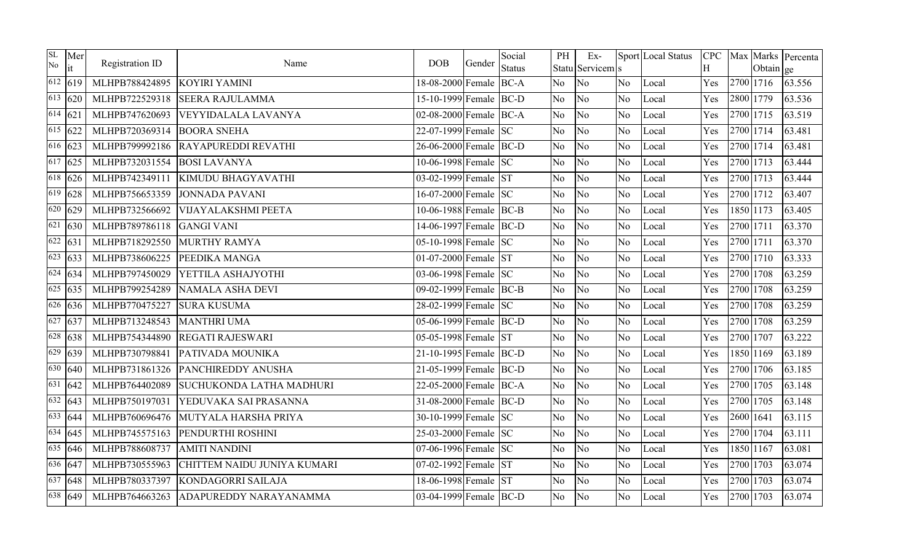| SL<br>No             | Mer<br>it            | Registration ID | Name                        | <b>DOB</b>             | Gender | Social<br><b>Status</b> | PH             | Ex-<br>Statu Servicem s |                | Sport Local Status | <b>CPC</b><br>H |           | Obtain ge | Max Marks Percenta |
|----------------------|----------------------|-----------------|-----------------------------|------------------------|--------|-------------------------|----------------|-------------------------|----------------|--------------------|-----------------|-----------|-----------|--------------------|
|                      | $\sqrt{612}$ 619     | MLHPB788424895  | KOYIRI YAMINI               | 18-08-2000 Female BC-A |        |                         | N <sub>o</sub> | No                      | No.            | Local              | Yes             | 2700 1716 |           | 63.556             |
|                      | $\overline{6}13$ 620 | MLHPB722529318  | <b>SEERA RAJULAMMA</b>      | 15-10-1999 Female BC-D |        |                         | No             | No                      | N <sub>o</sub> | Local              | Yes             | 2800 1779 |           | 63.536             |
| $\sqrt{614}$ 621     |                      | MLHPB747620693  | VEYYIDALALA LAVANYA         | 02-08-2000 Female BC-A |        |                         | N <sub>o</sub> | No                      | N <sub>o</sub> | Local              | Yes             | 2700 1715 |           | 63.519             |
| $\overline{615}$ 622 |                      | MLHPB720369314  | <b>BOORA SNEHA</b>          | 22-07-1999 Female SC   |        |                         | N <sub>o</sub> | No                      | No             | Local              | Yes             | 2700 1714 |           | 63.481             |
|                      | $\sqrt{616}$ 623     | MLHPB799992186  | <b>RAYAPUREDDI REVATHI</b>  | 26-06-2000 Female BC-D |        |                         | N <sub>o</sub> | No                      | N <sub>o</sub> | Local              | Yes             | 2700 1714 |           | 63.481             |
|                      | $\sqrt{617}$ 625     | MLHPB732031554  | <b>BOSI LAVANYA</b>         | 10-06-1998 Female SC   |        |                         | N <sub>o</sub> | No                      | N <sub>o</sub> | Local              | Yes             | 2700 1713 |           | 63.444             |
|                      | $\sqrt{618}$ 626     | MLHPB742349111  | KIMUDU BHAGYAVATHI          | 03-02-1999 Female ST   |        |                         | No.            | No                      | N <sub>o</sub> | Local              | Yes             | 2700 1713 |           | 63.444             |
|                      | $\sqrt{619}$ 628     | MLHPB756653359  | <b>JONNADA PAVANI</b>       | 16-07-2000 Female SC   |        |                         | N <sub>o</sub> | No                      | N <sub>o</sub> | Local              | Yes             | 2700 1712 |           | 63.407             |
|                      | $\sqrt{620}$ 629     | MLHPB732566692  | <b>VIJAYALAKSHMI PEETA</b>  | 10-06-1988 Female BC-B |        |                         | No.            | No                      | No             | Local              | Yes             | 1850 1173 |           | 63.405             |
|                      | $\sqrt{621}$ 630     | MLHPB789786118  | <b>GANGI VANI</b>           | 14-06-1997 Female BC-D |        |                         | No             | No                      | N <sub>o</sub> | Local              | Yes             | 2700 1711 |           | 63.370             |
|                      | $\sqrt{622}$ 631     | MLHPB718292550  | MURTHY RAMYA                | 05-10-1998 Female SC   |        |                         | N <sub>o</sub> | No                      | No             | Local              | Yes             | 2700 1711 |           | 63.370             |
|                      | $\sqrt{623}$ 633     | MLHPB738606225  | PEEDIKA MANGA               | 01-07-2000 Female ST   |        |                         | No.            | No                      | No             | Local              | Yes             | 2700 1710 |           | 63.333             |
|                      | $\sqrt{624}$ 634     | MLHPB797450029  | YETTILA ASHAJYOTHI          | 03-06-1998 Female SC   |        |                         | N <sub>o</sub> | No                      | N <sub>o</sub> | Local              | Yes             | 2700 1708 |           | 63.259             |
|                      | $\sqrt{625}$ 635     | MLHPB799254289  | <b>NAMALA ASHA DEVI</b>     | 09-02-1999 Female BC-B |        |                         | N <sub>o</sub> | No                      | No             | Local              | Yes             | 2700 1708 |           | 63.259             |
|                      | $\sqrt{626}$ 636     | MLHPB770475227  | <b>SURA KUSUMA</b>          | 28-02-1999 Female SC   |        |                         | N <sub>o</sub> | No                      | N <sub>o</sub> | Local              | Yes             | 2700 1708 |           | 63.259             |
| 627                  | 637                  | MLHPB713248543  | <b>MANTHRI UMA</b>          | 05-06-1999 Female BC-D |        |                         | N <sub>o</sub> | No                      | N <sub>o</sub> | Local              | Yes             | 2700 1708 |           | 63.259             |
|                      | $\sqrt{628}$ 638     | MLHPB754344890  | <b>REGATI RAJESWARI</b>     | 05-05-1998 Female ST   |        |                         | N <sub>o</sub> | No                      | N <sub>o</sub> | Local              | Yes             | 2700 1707 |           | 63.222             |
|                      | $629$ 639            | MLHPB730798841  | PATIVADA MOUNIKA            | 21-10-1995 Female BC-D |        |                         | N <sub>o</sub> | No                      | No             | Local              | Yes             | 1850 1169 |           | 63.189             |
| 630                  | 640                  | MLHPB731861326  | PANCHIREDDY ANUSHA          | 21-05-1999 Female BC-D |        |                         | No.            | No                      | N <sub>o</sub> | Local              | Yes             | 2700 1706 |           | 63.185             |
|                      | $\overline{631}$ 642 | MLHPB764402089  | SUCHUKONDA LATHA MADHURI    | 22-05-2000 Female BC-A |        |                         | N <sub>o</sub> | No                      | N <sub>o</sub> | Local              | Yes             | 2700 1705 |           | 63.148             |
|                      | $\sqrt{632}$ 643     | MLHPB750197031  | YEDUVAKA SAI PRASANNA       | 31-08-2000 Female BC-D |        |                         | N <sub>o</sub> | No                      | No             | Local              | Yes             | 2700 1705 |           | 63.148             |
|                      | $\sqrt{633}$ 644     | MLHPB760696476  | MUTYALA HARSHA PRIYA        | 30-10-1999 Female SC   |        |                         | No.            | No                      | N <sub>o</sub> | Local              | Yes             | 2600 1641 |           | 63.115             |
|                      | $\overline{634}$ 645 | MLHPB745575163  | PENDURTHI ROSHINI           | 25-03-2000 Female SC   |        |                         | N <sub>o</sub> | No                      | No             | Local              | Yes             | 2700 1704 |           | 63.111             |
|                      | $\sqrt{635}$ 646     | MLHPB788608737  | <b>AMITI NANDINI</b>        | 07-06-1996 Female SC   |        |                         | N <sub>o</sub> | No                      | N <sub>o</sub> | Local              | Yes             | 1850 1167 |           | 63.081             |
|                      | 636 647              | MLHPB730555963  | CHITTEM NAIDU JUNIYA KUMARI | 07-02-1992 Female ST   |        |                         | No.            | N <sub>o</sub>          | N <sub>o</sub> | Local              | Yes             | 2700 1703 |           | 63.074             |
|                      | $\sqrt{637}$ 648     | MLHPB780337397  | KONDAGORRI SAILAJA          | 18-06-1998 Female      |        | <b>ST</b>               | N <sub>o</sub> | No                      | No             | Local              | Yes             | 2700 1703 |           | 63.074             |
|                      | 638 649              | MLHPB764663263  | ADAPUREDDY NARAYANAMMA      | 03-04-1999 Female BC-D |        |                         | No.            | No                      | No.            | Local              | Yes             | 2700 1703 |           | 63.074             |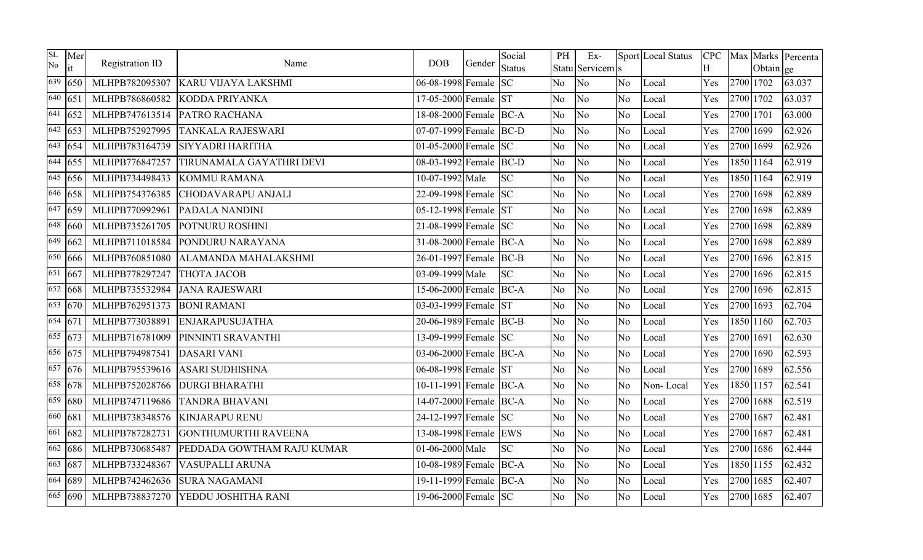| SL<br>No             | Mer<br>it            | Registration ID | Name                       | <b>DOB</b>              | Gender | Social<br><b>Status</b> | PH             | $Ex-$<br>Statu Servicem s |                | Sport Local Status | Η   |           | Obtain ge | CPC   Max   Marks   Percenta |
|----------------------|----------------------|-----------------|----------------------------|-------------------------|--------|-------------------------|----------------|---------------------------|----------------|--------------------|-----|-----------|-----------|------------------------------|
| 639                  | 650                  | MLHPB782095307  | <b>KARU VIJAYA LAKSHMI</b> | 06-08-1998 Female SC    |        |                         | N <sub>o</sub> | No                        | N <sub>o</sub> | Local              | Yes | 2700 1702 |           | 63.037                       |
| $\overline{640}$ 651 |                      | MLHPB786860582  | KODDA PRIYANKA             | 17-05-2000 Female ST    |        |                         | No             | N <sub>o</sub>            | N <sub>o</sub> | Local              | Yes | 2700 1702 |           | 63.037                       |
| 641                  | 652                  | MLHPB747613514  | PATRO RACHANA              | 18-08-2000 Female BC-A  |        |                         | No             | No                        | N <sub>o</sub> | Local              | Yes | 2700 1701 |           | 63.000                       |
|                      | $\sqrt{642}$ 653     | MLHPB752927995  | <b>TANKALA RAJESWARI</b>   | 07-07-1999 Female BC-D  |        |                         | No.            | No                        | No             | Local              | Yes | 2700 1699 |           | 62.926                       |
|                      | 643 654              | MLHPB783164739  | <b>SIYYADRI HARITHA</b>    | 01-05-2000 Female $ SC$ |        |                         | No             | No                        | N <sub>o</sub> | Local              | Yes | 2700 1699 |           | 62.926                       |
|                      | 644 655              | MLHPB776847257  | TIRUNAMALA GAYATHRI DEVI   | 08-03-1992 Female BC-D  |        |                         | No             | No                        | No             | Local              | Yes | 1850 1164 |           | 62.919                       |
| 645                  | 656                  | MLHPB734498433  | <b>KOMMU RAMANA</b>        | 10-07-1992 Male         |        | <b>SC</b>               | No             | No                        | N <sub>o</sub> | Local              | Yes | 1850 1164 |           | 62.919                       |
|                      | $\sqrt{646}$ 658     | MLHPB754376385  | <b>CHODAVARAPU ANJALI</b>  | 22-09-1998 Female SC    |        |                         | N <sub>o</sub> | No                        | N <sub>o</sub> | Local              | Yes | 2700 1698 |           | 62.889                       |
|                      | $\sqrt{647}$ 659     | MLHPB770992961  | PADALA NANDINI             | 05-12-1998 Female ST    |        |                         | No             | No                        | No             | Local              | Yes | 2700 1698 |           | 62.889                       |
|                      | $\sqrt{648}$ 660     | MLHPB735261705  | POTNURU ROSHINI            | 21-08-1999 Female SC    |        |                         | N <sub>o</sub> | N <sub>o</sub>            | N <sub>o</sub> | Local              | Yes | 2700 1698 |           | 62.889                       |
| 649                  | 662                  | MLHPB711018584  | PONDURU NARAYANA           | 31-08-2000 Female BC-A  |        |                         | No             | No                        | No             | Local              | Yes | 2700 1698 |           | 62.889                       |
| 650                  | 666                  | MLHPB760851080  | ALAMANDA MAHALAKSHMI       | 26-01-1997 Female BC-B  |        |                         | <b>No</b>      | N <sub>o</sub>            | N <sub>o</sub> | Local              | Yes | 2700 1696 |           | 62.815                       |
| 651                  | 667                  | MLHPB778297247  | ТНОТА ЈАСОВ                | 03-09-1999 Male         |        | <b>SC</b>               | No             | No                        | N <sub>o</sub> | Local              | Yes | 2700 1696 |           | 62.815                       |
|                      | $\sqrt{652}$ 668     | MLHPB735532984  | <b>JANA RAJESWARI</b>      | 15-06-2000 Female BC-A  |        |                         | No.            | No                        | No.            | Local              | Yes | 2700 1696 |           | 62.815                       |
|                      | $\sqrt{653}$ 670     | MLHPB762951373  | <b>BONI RAMANI</b>         | 03-03-1999 Female ST    |        |                         | N <sub>o</sub> | No                        | No             | Local              | Yes | 2700 1693 |           | 62.704                       |
| $\sqrt{654}$ 671     |                      | MLHPB773038891  | <b>ENJARAPUSUJATHA</b>     | 20-06-1989 Female BC-B  |        |                         | No             | No                        | No             | Local              | Yes | 1850 1160 |           | 62.703                       |
|                      | $\overline{655}$ 673 | MLHPB716781009  | PINNINTI SRAVANTHI         | 13-09-1999 Female SC    |        |                         | No             | No                        | N <sub>o</sub> | Local              | Yes | 2700 1691 |           | 62.630                       |
|                      | 656 675              | MLHPB794987541  | <b>DASARI VANI</b>         | 03-06-2000 Female BC-A  |        |                         | No             | No                        | N <sub>o</sub> | Local              | Yes | 2700 1690 |           | 62.593                       |
| 657                  | 676                  | MLHPB795539616  | <b>ASARI SUDHISHNA</b>     | 06-08-1998 Female ST    |        |                         | No             | No                        | No             | Local              | Yes | 2700 1689 |           | 62.556                       |
|                      | 658 678              | MLHPB752028766  | <b>DURGI BHARATHI</b>      | 10-11-1991 Female BC-A  |        |                         | N <sub>o</sub> | N <sub>o</sub>            | N <sub>o</sub> | Non-Local          | Yes | 1850 1157 |           | 62.541                       |
| 659                  | 680                  | MLHPB747119686  | <b>TANDRA BHAVANI</b>      | 14-07-2000 Female BC-A  |        |                         | N <sub>o</sub> | N <sub>o</sub>            | N <sub>o</sub> | Local              | Yes | 2700 1688 |           | 62.519                       |
| 660                  | 681                  | MLHPB738348576  | <b>KINJARAPU RENU</b>      | 24-12-1997 Female SC    |        |                         | No             | No                        | N <sub>o</sub> | Local              | Yes | 2700 1687 |           | 62.481                       |
| 661                  | 682                  | MLHPB787282731  | GONTHUMURTHI RAVEENA       | 13-08-1998 Female EWS   |        |                         | No             | N <sub>o</sub>            | N <sub>o</sub> | Local              | Yes | 2700 1687 |           | 62.481                       |
| 662                  | 686                  | MLHPB730685487  | PEDDADA GOWTHAM RAJU KUMAR | 01-06-2000 Male         |        | <b>SC</b>               | No             | No                        | N <sub>o</sub> | Local              | Yes | 2700 1686 |           | 62.444                       |
|                      | 663 687              | MLHPB733248367  | <b>VASUPALLI ARUNA</b>     | 10-08-1989 Female BC-A  |        |                         | No             | N <sub>o</sub>            | N <sub>o</sub> | Local              | Yes | 1850 1155 |           | 62.432                       |
|                      | 664 689              | MLHPB742462636  | <b>SURA NAGAMANI</b>       | 19-11-1999 Female BC-A  |        |                         | No             | No                        | No.            | Local              | Yes | 2700 1685 |           | 62.407                       |
|                      | 665 690              | MLHPB738837270  | YEDDU JOSHITHA RANI        | 19-06-2000 Female SC    |        |                         | No             | No                        | N <sub>o</sub> | Local              | Yes | 2700 1685 |           | 62.407                       |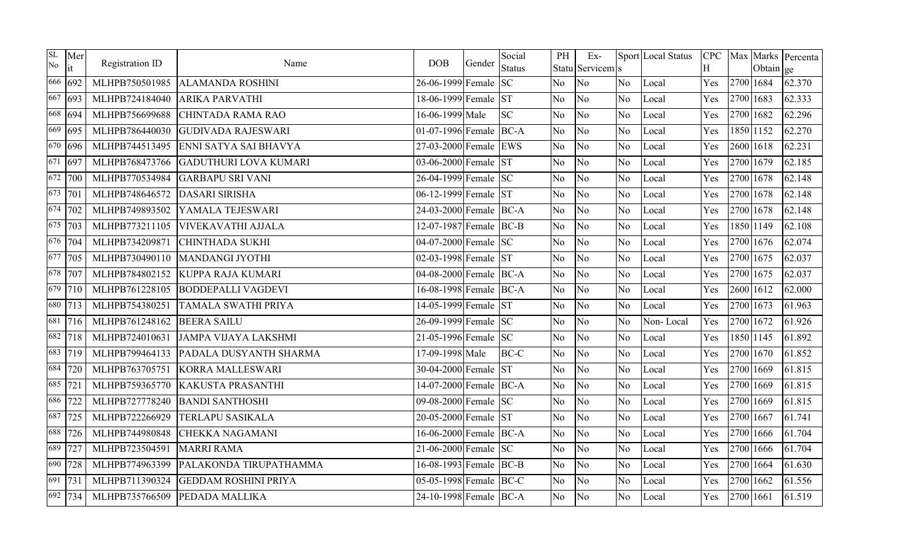| <b>SL</b><br>No | Mer<br>it              | Registration ID | Name                         | <b>DOB</b>             | Gender | Social<br><b>Status</b> | PH             | $Ex-$<br>Statu Servicem s |                | Sport Local Status | <b>CPC</b><br>H |           | Obtain ge | Max Marks Percenta |
|-----------------|------------------------|-----------------|------------------------------|------------------------|--------|-------------------------|----------------|---------------------------|----------------|--------------------|-----------------|-----------|-----------|--------------------|
| 666             | 692                    | MLHPB750501985  | <b>ALAMANDA ROSHINI</b>      | 26-06-1999 Female      |        | <b>SC</b>               | N <sub>o</sub> | No                        | No.            | Local              | Yes             |           | 2700 1684 | 62.370             |
| 667             | 693                    | MLHPB724184040  | <b>ARIKA PARVATHI</b>        | 18-06-1999 Female ST   |        |                         | N <sub>o</sub> | No                        | No.            | Local              | Yes             |           | 2700 1683 | 62.333             |
|                 | 668 694                | MLHPB756699688  | CHINTADA RAMA RAO            | 16-06-1999 Male        |        | <b>SC</b>               | N <sub>o</sub> | No                        | N <sub>o</sub> | Local              | Yes             |           | 2700 1682 | 62.296             |
| 669             | 695                    | MLHPB786440030  | <b>GUDIVADA RAJESWARI</b>    | 01-07-1996 Female BC-A |        |                         | N <sub>o</sub> | No                        | No             | Local              | Yes             |           | 1850 1152 | 62.270             |
|                 | $\sqrt{670}$ 696       | MLHPB744513495  | ENNI SATYA SAI BHAVYA        | 27-03-2000 Female EWS  |        |                         | N <sub>o</sub> | No                        | N <sub>o</sub> | Local              | Yes             |           | 2600 1618 | 62.231             |
| 671             | 697                    | MLHPB768473766  | <b>GADUTHURI LOVA KUMARI</b> | 03-06-2000 Female      |        | <b>ST</b>               | N <sub>o</sub> | No                        | No             | Local              | Yes             |           | 2700 1679 | 62.185             |
|                 | $\sqrt{672}$   700     | MLHPB770534984  | <b>GARBAPU SRI VANI</b>      | 26-04-1999 Female SC   |        |                         | N <sub>o</sub> | No                        | N <sub>o</sub> | Local              | Yes             |           | 2700 1678 | 62.148             |
|                 | $\overline{673}$   701 | MLHPB748646572  | <b>DASARI SIRISHA</b>        | 06-12-1999 Female ST   |        |                         | N <sub>o</sub> | No                        | N <sub>o</sub> | Local              | Yes             |           | 2700 1678 | 62.148             |
|                 | $\sqrt{674}$   702     | MLHPB749893502  | YAMALA TEJESWARI             | 24-03-2000 Female BC-A |        |                         | N <sub>o</sub> | No                        | No             | Local              | Yes             |           | 2700 1678 | 62.148             |
|                 | $\sqrt{675}$   703     | MLHPB773211105  | <b>VIVEKAVATHI AJJALA</b>    | 12-07-1987 Female BC-B |        |                         | N <sub>o</sub> | No                        | No             | Local              | Yes             |           | 1850 1149 | 62.108             |
|                 | 676 704                | MLHPB734209871  | <b>CHINTHADA SUKHI</b>       | 04-07-2000 Female SC   |        |                         | N <sub>o</sub> | No                        | N <sub>o</sub> | Local              | Yes             |           | 2700 1676 | 62.074             |
|                 | $\overline{677}$   705 | MLHPB730490110  | <b>MANDANGI JYOTHI</b>       | 02-03-1998 Female ST   |        |                         | N <sub>o</sub> | No                        | N <sub>o</sub> | Local              | Yes             |           | 2700 1675 | 62.037             |
|                 | 678 707                | MLHPB784802152  | KUPPA RAJA KUMARI            | 04-08-2000 Female BC-A |        |                         | No.            | No                        | No             | Local              | Yes             |           | 2700 1675 | 62.037             |
|                 | 679 710                | MLHPB761228105  | <b>BODDEPALLI VAGDEVI</b>    | 16-08-1998 Female BC-A |        |                         | N <sub>o</sub> | No                        | N <sub>o</sub> | Local              | Yes             |           | 2600 1612 | 62.000             |
|                 | 680 713                | MLHPB754380251  | <b>TAMALA SWATHI PRIYA</b>   | 14-05-1999 Female ST   |        |                         | N <sub>o</sub> | No                        | N <sub>o</sub> | Local              | Yes             |           | 2700 1673 | 61.963             |
| 681             | 716                    | MLHPB761248162  | <b>BEERA SAILU</b>           | 26-09-1999 Female SC   |        |                         | N <sub>o</sub> | No                        | No             | Non-Local          | Yes             |           | 2700 1672 | 61.926             |
|                 | 682 718                | MLHPB724010631  | <b>JAMPA VIJAYA LAKSHMI</b>  | 21-05-1996 Female SC   |        |                         | N <sub>o</sub> | No                        | N <sub>o</sub> | Local              | Yes             |           | 1850 1145 | 61.892             |
|                 | 683 719                | MLHPB799464133  | PADALA DUSYANTH SHARMA       | 17-09-1998 Male        |        | BC-C                    | No.            | No                        | No             | Local              | Yes             |           | 2700 1670 | 61.852             |
| 684             | 720                    | MLHPB763705751  | <b>KORRA MALLESWARI</b>      | 30-04-2000 Female      |        | <b>ST</b>               | N <sub>o</sub> | N <sub>o</sub>            | No             | Local              | Yes             |           | 2700 1669 | 61.815             |
| 685             | 721                    | MLHPB759365770  | <b>KAKUSTA PRASANTHI</b>     | 14-07-2000 Female BC-A |        |                         | N <sub>o</sub> | No                        | N <sub>o</sub> | Local              | Yes             |           | 2700 1669 | 61.815             |
| 686             | 722                    | MLHPB727778240  | <b>BANDI SANTHOSHI</b>       | 09-08-2000 Female SC   |        |                         | N <sub>o</sub> | No                        | N <sub>o</sub> | Local              | Yes             |           | 2700 1669 | 61.815             |
| 687             | 725                    | MLHPB722266929  | <b>TERLAPU SASIKALA</b>      | 20-05-2000 Female ST   |        |                         | N <sub>o</sub> | No                        | N <sub>o</sub> | Local              | Yes             |           | 2700 1667 | 61.741             |
| 688             | 726                    | MLHPB744980848  | <b>CHEKKA NAGAMANI</b>       | 16-06-2000 Female BC-A |        |                         | No.            | No                        | N <sub>o</sub> | Local              | Yes             |           | 2700 1666 | 61.704             |
| 689             | 727                    | MLHPB723504591  | <b>MARRI RAMA</b>            | 21-06-2000 Female SC   |        |                         | No             | No                        | N <sub>o</sub> | Local              | Yes             |           | 2700 1666 | 61.704             |
| 690             | 728                    | MLHPB774963399  | PALAKONDA TIRUPATHAMMA       | 16-08-1993 Female BC-B |        |                         | N <sub>o</sub> | No                        | N <sub>o</sub> | Local              | Yes             |           | 2700 1664 | 61.630             |
| 691             | 731                    | MLHPB711390324  | <b>GEDDAM ROSHINI PRIYA</b>  | 05-05-1998 Female      |        | BC-C                    | N <sub>o</sub> | No                        | N <sub>o</sub> | Local              | Yes             |           | 2700 1662 | 61.556             |
|                 | 692 734                | MLHPB735766509  | PEDADA MALLIKA               | 24-10-1998 Female BC-A |        |                         | No.            | No                        | No.            | Local              | Yes             | 2700 1661 |           | 61.519             |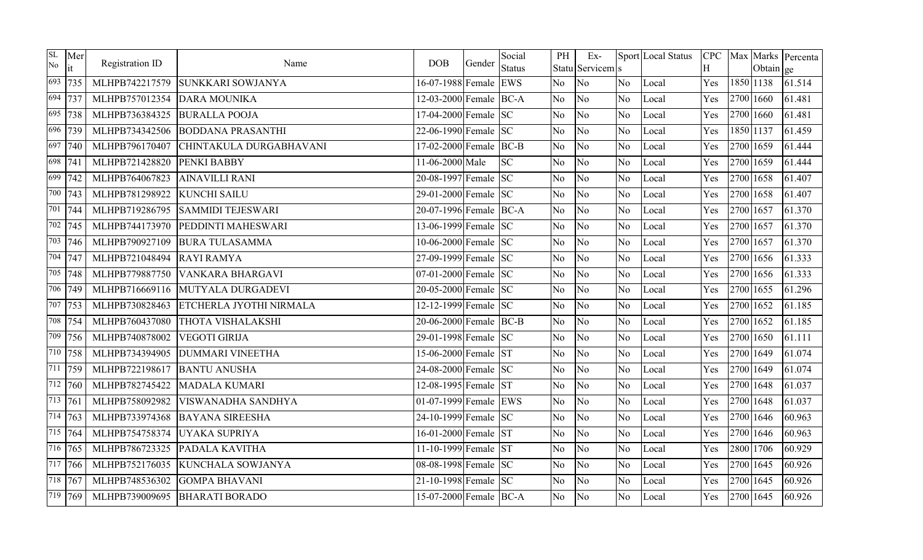| SL<br>No | Mer<br>it              | Registration ID | Name                     | <b>DOB</b>             | Gender | Social<br><b>Status</b> | PH             | Ex-<br>Statu Servicem s |                | Sport Local Status | <b>CPC</b><br>H |           | Obtain ge | Max Marks Percenta |
|----------|------------------------|-----------------|--------------------------|------------------------|--------|-------------------------|----------------|-------------------------|----------------|--------------------|-----------------|-----------|-----------|--------------------|
| 693      | 735                    | MLHPB742217579  | <b>SUNKKARI SOWJANYA</b> | 16-07-1988 Female EWS  |        |                         | N <sub>o</sub> | No                      | No.            | Local              | Yes             |           | 1850 1138 | 61.514             |
|          | 694 737                | MLHPB757012354  | <b>DARA MOUNIKA</b>      | 12-03-2000 Female BC-A |        |                         | No             | No                      | N <sub>o</sub> | Local              | Yes             |           | 2700 1660 | 61.481             |
| 695      | 738                    | MLHPB736384325  | <b>BURALLA POOJA</b>     | 17-04-2000 Female SC   |        |                         | N <sub>o</sub> | No                      | N <sub>o</sub> | Local              | Yes             |           | 2700 1660 | 61.481             |
|          | 696 739                | MLHPB734342506  | <b>BODDANA PRASANTHI</b> | 22-06-1990 Female SC   |        |                         | N <sub>o</sub> | No                      | No             | Local              | Yes             |           | 1850 1137 | 61.459             |
|          | 697 740                | MLHPB796170407  | CHINTAKULA DURGABHAVANI  | 17-02-2000 Female BC-B |        |                         | N <sub>o</sub> | No                      | N <sub>o</sub> | Local              | Yes             |           | 2700 1659 | 61.444             |
|          | $\overline{698}$   741 | MLHPB721428820  | PENKI BABBY              | 11-06-2000 Male        |        | <b>SC</b>               | N <sub>o</sub> | No                      | N <sub>o</sub> | Local              | Yes             |           | 2700 1659 | 61.444             |
|          | $\sqrt{699}$ 742       | MLHPB764067823  | <b>AINAVILLI RANI</b>    | 20-08-1997 Female SC   |        |                         | No.            | No                      | N <sub>o</sub> | Local              | Yes             |           | 2700 1658 | 61.407             |
|          | $\overline{700}$   743 | MLHPB781298922  | <b>KUNCHI SAILU</b>      | 29-01-2000 Female SC   |        |                         | N <sub>o</sub> | No                      | N <sub>o</sub> | Local              | Yes             |           | 2700 1658 | 61.407             |
|          | 701 744                | MLHPB719286795  | <b>SAMMIDI TEJESWARI</b> | 20-07-1996 Female BC-A |        |                         | No.            | No                      | No             | Local              | Yes             |           | 2700 1657 | 61.370             |
|          | $\sqrt{702}$   745     | MLHPB744173970  | PEDDINTI MAHESWARI       | 13-06-1999 Female SC   |        |                         | N <sub>o</sub> | No                      | N <sub>o</sub> | Local              | Yes             |           | 2700 1657 | 61.370             |
|          | $\overline{703}$ 746   | MLHPB790927109  | <b>BURA TULASAMMA</b>    | 10-06-2000 Female SC   |        |                         | N <sub>o</sub> | No                      | No             | Local              | Yes             |           | 2700 1657 | 61.370             |
|          | 704 747                | MLHPB721048494  | <b>RAYI RAMYA</b>        | 27-09-1999 Female SC   |        |                         | No.            | No                      | No             | Local              | Yes             |           | 2700 1656 | 61.333             |
|          | 705 748                | MLHPB779887750  | <b>VANKARA BHARGAVI</b>  | $07-01-2000$ Female SC |        |                         | N <sub>o</sub> | No                      | N <sub>o</sub> | Local              | Yes             |           | 2700 1656 | 61.333             |
|          | 706 749                | MLHPB716669116  | MUTYALA DURGADEVI        | 20-05-2000 Female SC   |        |                         | No.            | No                      | No.            | Local              | Yes             |           | 2700 1655 | 61.296             |
|          | 707 753                | MLHPB730828463  | ETCHERLA JYOTHI NIRMALA  | 12-12-1999 Female SC   |        |                         | N <sub>o</sub> | No                      | N <sub>o</sub> | Local              | Yes             |           | 2700 1652 | 61.185             |
|          | 708 754                | MLHPB760437080  | THOTA VISHALAKSHI        | 20-06-2000 Female BC-B |        |                         | N <sub>o</sub> | No                      | N <sub>o</sub> | Local              | Yes             |           | 2700 1652 | 61.185             |
| 709      | 756                    | MLHPB740878002  | <b>VEGOTI GIRIJA</b>     | 29-01-1998 Female SC   |        |                         | N <sub>o</sub> | No                      | N <sub>o</sub> | Local              | Yes             |           | 2700 1650 | 61.111             |
|          | 710 758                | MLHPB734394905  | <b>DUMMARI VINEETHA</b>  | 15-06-2000 Female ST   |        |                         | N <sub>o</sub> | No                      | No             | Local              | Yes             |           | 2700 1649 | 61.074             |
| 711      | 759                    | MLHPB722198617  | <b>BANTU ANUSHA</b>      | 24-08-2000 Female SC   |        |                         | N <sub>o</sub> | No                      | N <sub>o</sub> | Local              | Yes             |           | 2700 1649 | 61.074             |
|          | 712 760                | MLHPB782745422  | <b>MADALA KUMARI</b>     | 12-08-1995 Female ST   |        |                         | N <sub>o</sub> | No                      | N <sub>o</sub> | Local              | Yes             | 2700 1648 |           | 61.037             |
|          | $\sqrt{713}$   $761$   | MLHPB758092982  | VISWANADHA SANDHYA       | 01-07-1999 Female EWS  |        |                         | No.            | No                      | No.            | Local              | Yes             |           | 2700 1648 | 61.037             |
|          | $\sqrt{714}$   763     | MLHPB733974368  | <b>BAYANA SIREESHA</b>   | 24-10-1999 Female SC   |        |                         | No.            | No                      | N <sub>o</sub> | Local              | Yes             |           | 2700 1646 | 60.963             |
|          | 715 764                | MLHPB754758374  | UYAKA SUPRIYA            | 16-01-2000 Female ST   |        |                         | N <sub>o</sub> | No                      | No             | Local              | Yes             |           | 2700 1646 | 60.963             |
|          | $\sqrt{716}$   765     | MLHPB786723325  | PADALA KAVITHA           | 11-10-1999 Female ST   |        |                         | N <sub>o</sub> | No                      | N <sub>o</sub> | Local              | Yes             |           | 2800 1706 | 60.929             |
|          | $\overline{717}$ 766   | MLHPB752176035  | <b>KUNCHALA SOWJANYA</b> | 08-08-1998 Female SC   |        |                         | No             | N <sub>o</sub>          | No             | Local              | Yes             | 2700 1645 |           | 60.926             |
|          | $\frac{718}{716}$ 767  | MLHPB748536302  | <b>GOMPA BHAVANI</b>     | 21-10-1998 Female SC   |        |                         | N <sub>o</sub> | No                      | No             | Local              | Yes             |           | 2700 1645 | 60.926             |
|          | 719 769                | MLHPB739009695  | <b>BHARATI BORADO</b>    | 15-07-2000 Female BC-A |        |                         | No.            | No                      | No.            | Local              | Yes             | 2700 1645 |           | 60.926             |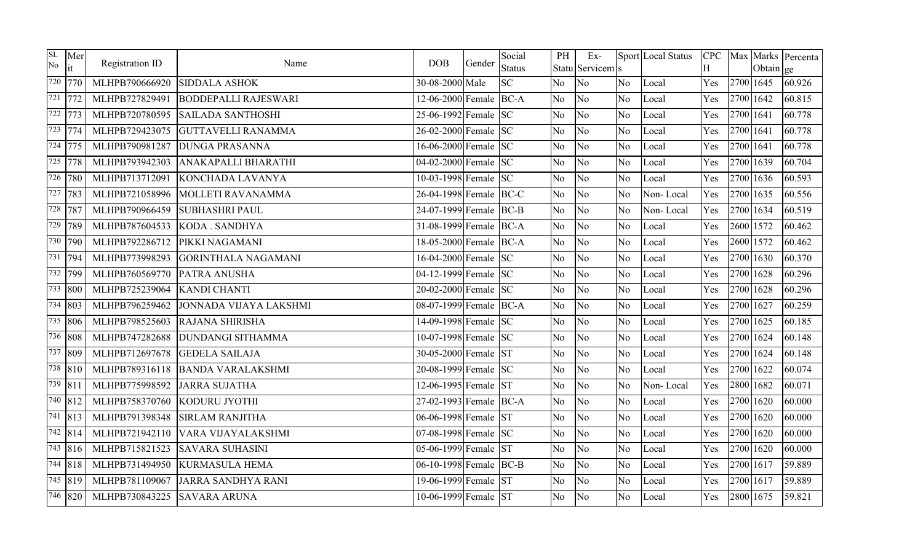| SL<br>No | Mer<br>it                         | Registration ID | Name                        | <b>DOB</b>             | Gender | Social<br><b>Status</b> | PH             | $Ex-$<br>Statu Servicem s |                | Sport Local Status | <b>CPC</b><br>H |           | Obtain ge | Max Marks Percenta |
|----------|-----------------------------------|-----------------|-----------------------------|------------------------|--------|-------------------------|----------------|---------------------------|----------------|--------------------|-----------------|-----------|-----------|--------------------|
|          | 720 770                           | MLHPB790666920  | <b>SIDDALA ASHOK</b>        | 30-08-2000 Male        |        | <b>SC</b>               | N <sub>o</sub> | No                        | No.            | Local              | Yes             | 2700 1645 |           | 60.926             |
|          | $\overline{721}$ $\overline{772}$ | MLHPB727829491  | <b>BODDEPALLI RAJESWARI</b> | 12-06-2000 Female BC-A |        |                         | No             | No                        | N <sub>o</sub> | Local              | Yes             | 2700 1642 |           | 60.815             |
|          | $\overline{722}$  773             | MLHPB720780595  | <b>SAILADA SANTHOSHI</b>    | 25-06-1992 Female SC   |        |                         | N <sub>o</sub> | No                        | N <sub>o</sub> | Local              | Yes             | 2700 1641 |           | 60.778             |
|          | $\overline{723}$  774             | MLHPB729423075  | <b>GUTTAVELLI RANAMMA</b>   | 26-02-2000 Female SC   |        |                         | N <sub>o</sub> | No                        | No             | Local              | Yes             | 2700 1641 |           | 60.778             |
|          | 724 775                           | MLHPB790981287  | <b>DUNGA PRASANNA</b>       | 16-06-2000 Female SC   |        |                         | N <sub>o</sub> | No                        | N <sub>o</sub> | Local              | Yes             | 2700 1641 |           | 60.778             |
|          | 725 778                           | MLHPB793942303  | ANAKAPALLI BHARATHI         | 04-02-2000 Female SC   |        |                         | N <sub>o</sub> | No                        | N <sub>o</sub> | Local              | Yes             | 2700 1639 |           | 60.704             |
|          | $\sqrt{726}$ 780                  | MLHPB713712091  | KONCHADA LAVANYA            | 10-03-1998 Female SC   |        |                         | No.            | No                        | N <sub>o</sub> | Local              | Yes             | 2700 1636 |           | 60.593             |
|          | 727 783                           | MLHPB721058996  | MOLLETI RAVANAMMA           | 26-04-1998 Female BC-C |        |                         | N <sub>o</sub> | No                        | N <sub>o</sub> | Non-Local          | Yes             | 2700 1635 |           | 60.556             |
|          | 728 787                           | MLHPB790966459  | <b>SUBHASHRI PAUL</b>       | 24-07-1999 Female BC-B |        |                         | No.            | No                        | No             | Non-Local          | Yes             | 2700 1634 |           | 60.519             |
|          | $\overline{729}$ 789              | MLHPB787604533  | <b>KODA</b> . SANDHYA       | 31-08-1999 Female BC-A |        |                         | No             | No                        | No             | Local              | Yes             | 2600 1572 |           | 60.462             |
|          | 730 790                           | MLHPB792286712  | PIKKI NAGAMANI              | 18-05-2000 Female BC-A |        |                         | N <sub>o</sub> | No                        | No             | Local              | Yes             | 2600 1572 |           | 60.462             |
|          | 731 794                           | MLHPB773998293  | <b>GORINTHALA NAGAMANI</b>  | 16-04-2000 Female SC   |        |                         | No.            | No                        | No             | Local              | Yes             | 2700 1630 |           | 60.370             |
|          | 732 799                           | MLHPB760569770  | PATRA ANUSHA                | 04-12-1999 Female SC   |        |                         | N <sub>o</sub> | No                        | N <sub>o</sub> | Local              | Yes             | 2700 1628 |           | 60.296             |
|          | $\overline{733}$ 800              | MLHPB725239064  | <b>KANDI CHANTI</b>         | 20-02-2000 Female SC   |        |                         | No.            | No                        | No.            | Local              | Yes             | 2700 1628 |           | 60.296             |
|          | $\sqrt{734}$ 803                  | MLHPB796259462  | JONNADA VIJAYA LAKSHMI      | 08-07-1999 Female BC-A |        |                         | N <sub>o</sub> | No                        | N <sub>o</sub> | Local              | Yes             | 2700 1627 |           | 60.259             |
|          | $\sqrt{735}$ 806                  | MLHPB798525603  | RAJANA SHIRISHA             | 14-09-1998 Female SC   |        |                         | N <sub>o</sub> | No                        | N <sub>o</sub> | Local              | Yes             | 2700 1625 |           | 60.185             |
|          | 736 808                           | MLHPB747282688  | <b>DUNDANGI SITHAMMA</b>    | 10-07-1998 Female SC   |        |                         | N <sub>o</sub> | No                        | N <sub>o</sub> | Local              | Yes             | 2700 1624 |           | 60.148             |
|          | 737 809                           | MLHPB712697678  | <b>GEDELA SAILAJA</b>       | 30-05-2000 Female ST   |        |                         | N <sub>o</sub> | No                        | N <sub>o</sub> | Local              | Yes             | 2700 1624 |           | 60.148             |
|          | 738 810                           | MLHPB789316118  | <b>BANDA VARALAKSHMI</b>    | 20-08-1999 Female SC   |        |                         | N <sub>o</sub> | No                        | N <sub>o</sub> | Local              | Yes             | 2700 1622 |           | 60.074             |
|          | 739 811                           | MLHPB775998592  | <b>JARRA SUJATHA</b>        | 12-06-1995 Female ST   |        |                         | N <sub>o</sub> | No                        | N <sub>o</sub> | Non-Local          | Yes             | 2800 1682 |           | 60.071             |
|          | $\frac{740}{812}$                 | MLHPB758370760  | KODURU JYOTHI               | 27-02-1993 Female BC-A |        |                         | No.            | No                        | No.            | Local              | Yes             | 2700 1620 |           | 60.000             |
|          | $\sqrt{741}$ 813                  | MLHPB791398348  | <b>SIRLAM RANJITHA</b>      | 06-06-1998 Female ST   |        |                         | No.            | No                        | N <sub>o</sub> | Local              | Yes             | 2700 1620 |           | 60.000             |
|          | $742$ 814                         | MLHPB721942110  | VARA VIJAYALAKSHMI          | 07-08-1998 Female SC   |        |                         | N <sub>o</sub> | No                        | No             | Local              | Yes             | 2700 1620 |           | 60.000             |
|          | $\overline{743}$ 816              | MLHPB715821523  | <b>SAVARA SUHASINI</b>      | 05-06-1999 Female ST   |        |                         | N <sub>o</sub> | No                        | N <sub>o</sub> | Local              | Yes             | 2700 1620 |           | 60.000             |
|          | $\sqrt{744}$ 818                  | MLHPB731494950  | <b>KURMASULA HEMA</b>       | 06-10-1998 Female BC-B |        |                         | No             | N <sub>o</sub>            | N <sub>o</sub> | Local              | Yes             | 2700 1617 |           | 59.889             |
|          | $\sqrt{745}$ 819                  | MLHPB781109067  | <b>JARRA SANDHYA RANI</b>   | 19-06-1999 Female ST   |        |                         | N <sub>o</sub> | No                        | No             | Local              | Yes             | 2700 1617 |           | 59.889             |
|          | 746 820                           | MLHPB730843225  | <b>SAVARA ARUNA</b>         | 10-06-1999 Female ST   |        |                         | No.            | No                        | No.            | Local              | Yes             | 2800 1675 |           | 59.821             |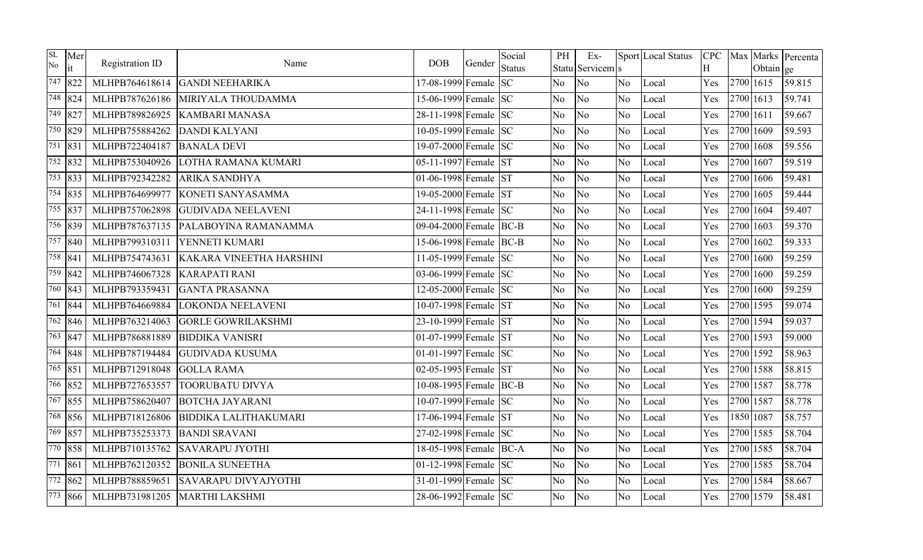| <b>SL</b><br>No | Mer<br>it            | Registration ID | Name                         | <b>DOB</b>             | Gender | Social<br><b>Status</b> | PH             | $Ex-$<br>Statu Servicem s |                | Sport Local Status | <b>CPC</b><br>H |           | Obtain ge | Max Marks Percenta |
|-----------------|----------------------|-----------------|------------------------------|------------------------|--------|-------------------------|----------------|---------------------------|----------------|--------------------|-----------------|-----------|-----------|--------------------|
| 747             | 822                  | MLHPB764618614  | <b>GANDI NEEHARIKA</b>       | 17-08-1999 Female      |        | <b>SC</b>               | N <sub>o</sub> | No                        | No.            | Local              | Yes             |           | 2700 1615 | 59.815             |
|                 | $\overline{748}$ 824 | MLHPB787626186  | MIRIYALA THOUDAMMA           | 15-06-1999 Female SC   |        |                         | N <sub>o</sub> | No                        | N <sub>o</sub> | Local              | Yes             | 2700 1613 |           | 59.741             |
|                 | 749 827              | MLHPB789826925  | <b>KAMBARI MANASA</b>        | 28-11-1998 Female SC   |        |                         | N <sub>o</sub> | No                        | N <sub>o</sub> | Local              | Yes             | 2700 1611 |           | 59.667             |
|                 | 750 829              | MLHPB755884262  | <b>DANDI KALYANI</b>         | 10-05-1999 Female SC   |        |                         | N <sub>o</sub> | No                        | N <sub>o</sub> | Local              | Yes             | 2700 1609 |           | 59.593             |
|                 | 751 831              | MLHPB722404187  | <b>BANALA DEVI</b>           | 19-07-2000 Female SC   |        |                         | N <sub>o</sub> | No                        | N <sub>o</sub> | Local              | Yes             | 2700 1608 |           | 59.556             |
|                 | $\overline{752}$ 832 | MLHPB753040926  | LOTHA RAMANA KUMARI          | 05-11-1997 Female ST   |        |                         | N <sub>o</sub> | No                        | No             | Local              | Yes             | 2700 1607 |           | 59.519             |
|                 | 753 833              | MLHPB792342282  | ARIKA SANDHYA                | 01-06-1998 Female ST   |        |                         | N <sub>o</sub> | No                        | N <sub>o</sub> | Local              | Yes             | 2700 1606 |           | 59.481             |
|                 | 754 835              | MLHPB764699977  | KONETI SANYASAMMA            | 19-05-2000 Female ST   |        |                         | N <sub>o</sub> | No                        | No             | Local              | Yes             | 2700 1605 |           | 59.444             |
|                 | 755 837              | MLHPB757062898  | <b>GUDIVADA NEELAVENI</b>    | 24-11-1998 Female SC   |        |                         | N <sub>o</sub> | No                        | N <sub>o</sub> | Local              | Yes             |           | 2700 1604 | 59.407             |
|                 | 756 839              | MLHPB787637135  | PALABOYINA RAMANAMMA         | 09-04-2000 Female BC-B |        |                         | N <sub>o</sub> | No                        | N <sub>o</sub> | Local              | Yes             | 2700 1603 |           | 59.370             |
|                 | $\overline{757}$ 840 | MLHPB799310311  | YENNETI KUMARI               | 15-06-1998 Female BC-B |        |                         | N <sub>o</sub> | No                        | N <sub>o</sub> | Local              | Yes             | 2700 1602 |           | 59.333             |
|                 | 758 841              | MLHPB754743631  | KAKARA VINEETHA HARSHINI     | 11-05-1999 Female SC   |        |                         | No.            | No                        | N <sub>o</sub> | Local              | Yes             |           | 2700 1600 | 59.259             |
|                 | 759 842              | MLHPB746067328  | <b>KARAPATI RANI</b>         | 03-06-1999 Female SC   |        |                         | N <sub>o</sub> | No                        | N <sub>o</sub> | Local              | Yes             | 2700 1600 |           | 59.259             |
|                 | 760 843              | MLHPB793359431  | <b>GANTA PRASANNA</b>        | 12-05-2000 Female SC   |        |                         | N <sub>o</sub> | No                        | N <sub>o</sub> | Local              | Yes             | 2700 1600 |           | 59.259             |
|                 | 761 844              | MLHPB764669884  | <b>LOKONDA NEELAVENI</b>     | 10-07-1998 Female ST   |        |                         | N <sub>o</sub> | No                        | N <sub>o</sub> | Local              | Yes             | 2700 1595 |           | 59.074             |
|                 | $\overline{762}$ 846 | MLHPB763214063  | <b>GORLE GOWRILAKSHMI</b>    | 23-10-1999 Female ST   |        |                         | N <sub>o</sub> | No                        | N <sub>o</sub> | Local              | Yes             | 2700 1594 |           | 59.037             |
|                 | 763 847              | MLHPB786881889  | <b>BIDDIKA VANISRI</b>       | 01-07-1999 Female ST   |        |                         | N <sub>o</sub> | No                        | N <sub>o</sub> | Local              | Yes             | 2700 1593 |           | 59.000             |
|                 | 764 848              | MLHPB787194484  | <b>GUDIVADA KUSUMA</b>       | 01-01-1997 Female $SC$ |        |                         | N <sub>o</sub> | No                        | N <sub>o</sub> | Local              | Yes             | 2700 1592 |           | 58.963             |
|                 | 765 851              | MLHPB712918048  | <b>GOLLA RAMA</b>            | 02-05-1995 Female ST   |        |                         | N <sub>o</sub> | No                        | N <sub>o</sub> | Local              | Yes             |           | 2700 1588 | 58.815             |
|                 | $\sqrt{766}$ 852     | MLHPB727653557  | <b>TOORUBATU DIVYA</b>       | 10-08-1995 Female BC-B |        |                         | N <sub>o</sub> | No                        | N <sub>o</sub> | Local              | Yes             | 2700 1587 |           | 58.778             |
|                 | 767 855              | MLHPB758620407  | <b>BOTCHA JAYARANI</b>       | 10-07-1999 Female SC   |        |                         | N <sub>o</sub> | No                        | No.            | Local              | Yes             |           | 2700 1587 | 58.778             |
|                 | $\frac{768}{856}$    | MLHPB718126806  | <b>BIDDIKA LALITHAKUMARI</b> | 17-06-1994 Female ST   |        |                         | N <sub>o</sub> | No                        | N <sub>o</sub> | Local              | Yes             | 1850 1087 |           | 58.757             |
|                 | 769 857              | MLHPB735253373  | <b>BANDI SRAVANI</b>         | 27-02-1998 Female SC   |        |                         | No             | No                        | N <sub>o</sub> | Local              | Yes             | 2700 1585 |           | 58.704             |
|                 | 770 858              | MLHPB710135762  | <b>SAVARAPU JYOTHI</b>       | 18-05-1998 Female BC-A |        |                         | N <sub>o</sub> | No                        | N <sub>o</sub> | Local              | Yes             | 2700 1585 |           | 58.704             |
| 771 861         |                      | MLHPB762120352  | <b>BONILA SUNEETHA</b>       | 01-12-1998 Female $SC$ |        |                         | No.            | No                        | N <sub>o</sub> | Local              | Yes             | 2700 1585 |           | 58.704             |
|                 | $\frac{772}{862}$    | MLHPB788859651  | <b>SAVARAPU DIVYAJYOTHI</b>  | 31-01-1999 Female SC   |        |                         | N <sub>o</sub> | No                        | N <sub>o</sub> | Local              | Yes             | 2700 1584 |           | 58.667             |
|                 | 773 866              | MLHPB731981205  | <b>MARTHI LAKSHMI</b>        | 28-06-1992 Female SC   |        |                         | N <sub>o</sub> | No                        | No.            | Local              | Yes             | 2700 1579 |           | 58.481             |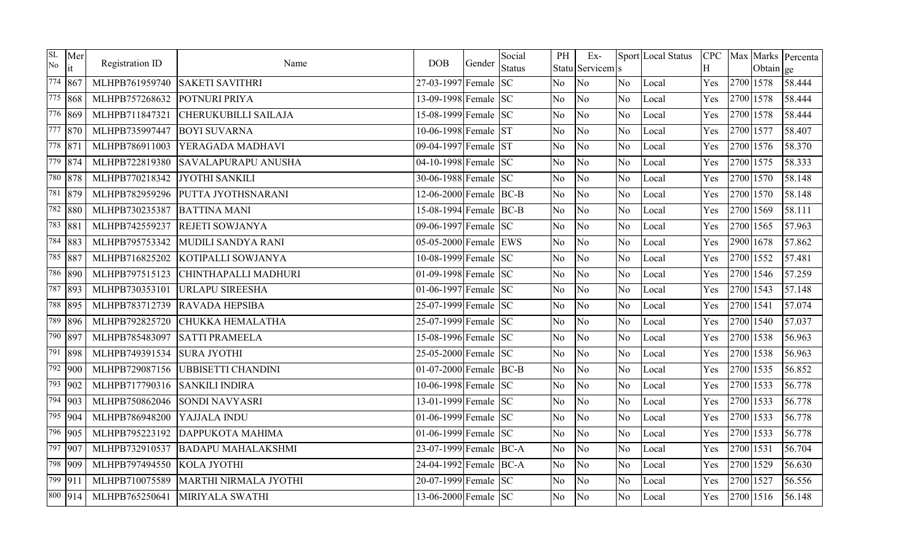| SL<br>No. | Mer<br>it         | Registration ID | Name                         | <b>DOB</b>                        | Gender | Social<br><b>Status</b> | PH             | $Ex-$<br>Statu Servicem s |                | Sport Local Status | H   |           | Obtain ge | CPC   Max   Marks   Percenta |
|-----------|-------------------|-----------------|------------------------------|-----------------------------------|--------|-------------------------|----------------|---------------------------|----------------|--------------------|-----|-----------|-----------|------------------------------|
|           | 774 867           | MLHPB761959740  | <b>SAKETI SAVITHRI</b>       | 27-03-1997 Female SC              |        |                         | <b>No</b>      | No                        | No.            | Local              | Yes | 2700 1578 |           | 58.444                       |
|           | $\sqrt{775}$ 868  | MLHPB757268632  | POTNURI PRIYA                | 13-09-1998 Female SC              |        |                         | No             | N <sub>o</sub>            | N <sub>o</sub> | Local              | Yes | 2700 1578 |           | 58.444                       |
|           | 776 869           | MLHPB711847321  | <b>CHERUKUBILLI SAILAJA</b>  | 15-08-1999 Female SC              |        |                         | No             | No                        | N <sub>o</sub> | Local              | Yes | 2700 1578 |           | 58.444                       |
|           | 777 870           | MLHPB735997447  | <b>BOYI SUVARNA</b>          | 10-06-1998 Female ST              |        |                         | No.            | No                        | No             | Local              | Yes | 2700 1577 |           | 58.407                       |
|           | 778 871           | MLHPB786911003  | YERAGADA MADHAVI             | 09-04-1997 Female ST              |        |                         | <b>No</b>      | No                        | No.            | Local              | Yes | 2700 1576 |           | 58.370                       |
|           | 779 874           | MLHPB722819380  | <b>SAVALAPURAPU ANUSHA</b>   | 04-10-1998 Female SC              |        |                         | No             | N <sub>o</sub>            | N <sub>o</sub> | Local              | Yes | 2700 1575 |           | 58.333                       |
|           | 780 878           | MLHPB770218342  | <b>JYOTHI SANKILI</b>        | 30-06-1988 Female SC              |        |                         | No             | No                        | N <sub>o</sub> | Local              | Yes | 2700 1570 |           | 58.148                       |
|           | 781 879           | MLHPB782959296  | PUTTA JYOTHSNARANI           | 12-06-2000 Female BC-B            |        |                         | No             | No                        | N <sub>o</sub> | Local              | Yes | 2700 1570 |           | 58.148                       |
|           | 782 880           | MLHPB730235387  | <b>BATTINA MANI</b>          | 15-08-1994 Female BC-B            |        |                         | No             | No                        | No             | Local              | Yes | 2700 1569 |           | 58.111                       |
|           | 783 881           | MLHPB742559237  | <b>REJETI SOWJANYA</b>       | 09-06-1997 Female SC              |        |                         | <b>No</b>      | N <sub>o</sub>            | No.            | Local              | Yes | 2700 1565 |           | 57.963                       |
|           | 784 883           | MLHPB795753342  | MUDILI SANDYA RANI           | 05-05-2000 Female EWS             |        |                         | <b>No</b>      | No                        | No             | Local              | Yes | 2900 1678 |           | 57.862                       |
|           | 785 887           | MLHPB716825202  | KOTIPALLI SOWJANYA           | 10-08-1999 Female SC              |        |                         | No             | N <sub>o</sub>            | N <sub>o</sub> | Local              | Yes | 2700 1552 |           | 57.481                       |
|           | 786 890           | MLHPB797515123  | CHINTHAPALLI MADHURI         | 01-09-1998 Female SC              |        |                         | No             | No                        | No             | Local              | Yes | 2700 1546 |           | 57.259                       |
|           | 787 893           | MLHPB730353101  | <b>URLAPU SIREESHA</b>       | $\overline{01-06-1997}$ Female SC |        |                         | No             | No                        | No             | Local              | Yes | 2700 1543 |           | 57.148                       |
|           | 788 895           | MLHPB783712739  | <b>RAVADA HEPSIBA</b>        | 25-07-1999 Female SC              |        |                         | <b>No</b>      | No                        | No.            | Local              | Yes | 2700 1541 |           | 57.074                       |
|           | 789 896           | MLHPB792825720  | CHUKKA HEMALATHA             | 25-07-1999 Female SC              |        |                         | No             | No                        | N <sub>o</sub> | Local              | Yes | 2700 1540 |           | 57.037                       |
|           | 790 897           | MLHPB785483097  | <b>SATTI PRAMEELA</b>        | 15-08-1996 Female SC              |        |                         | No             | No                        | N <sub>o</sub> | Local              | Yes | 2700 1538 |           | 56.963                       |
|           | 791 898           | MLHPB749391534  | <b>SURA JYOTHI</b>           | 25-05-2000 Female SC              |        |                         | No             | No                        | N <sub>o</sub> | Local              | Yes | 2700 1538 |           | 56.963                       |
|           | 792 900           | MLHPB729087156  | <b>UBBISETTI CHANDINI</b>    | 01-07-2000 Female BC-B            |        |                         | No             | No                        | No             | Local              | Yes | 2700 1535 |           | 56.852                       |
|           | 793 902           | MLHPB717790316  | <b>SANKILI INDIRA</b>        | 10-06-1998 Female SC              |        |                         | N <sub>o</sub> | N <sub>o</sub>            | N <sub>o</sub> | Local              | Yes | 2700 1533 |           | 56.778                       |
|           | $\sqrt{794}$  903 | MLHPB750862046  | SONDI NAVYASRI               | 13-01-1999 Female SC              |        |                         | No.            | N <sub>o</sub>            | No             | Local              | Yes | 2700 1533 |           | 56.778                       |
|           | 795 904           | MLHPB786948200  | YAJJALA INDU                 | 01-06-1999 Female $ SC$           |        |                         | No             | No                        | N <sub>o</sub> | Local              | Yes | 2700 1533 |           | 56.778                       |
|           | 796 905           | MLHPB795223192  | <b>DAPPUKOTA MAHIMA</b>      | 01-06-1999 Female $SC$            |        |                         | N <sub>o</sub> | N <sub>o</sub>            | No             | Local              | Yes | 2700 1533 |           | 56.778                       |
|           | 797 907           | MLHPB732910537  | <b>BADAPU MAHALAKSHMI</b>    | 23-07-1999 Female BC-A            |        |                         | <b>No</b>      | No                        | No             | Local              | Yes | 2700 1531 |           | 56.704                       |
|           | 798 909           | MLHPB797494550  | KOLA JYOTHI                  | 24-04-1992 Female BC-A            |        |                         | No             | N <sub>o</sub>            | N <sub>o</sub> | Local              | Yes | 2700 1529 |           | 56.630                       |
|           | $\sqrt{799}$ 911  | MLHPB710075589  | <b>MARTHI NIRMALA JYOTHI</b> | 20-07-1999 Female SC              |        |                         | No             | N <sub>o</sub>            | No             | Local              | Yes | 2700 1527 |           | 56.556                       |
|           | 800 914           | MLHPB765250641  | MIRIYALA SWATHI              | 13-06-2000 Female SC              |        |                         | No             | No                        | No.            | Local              | Yes | 2700 1516 |           | 56.148                       |